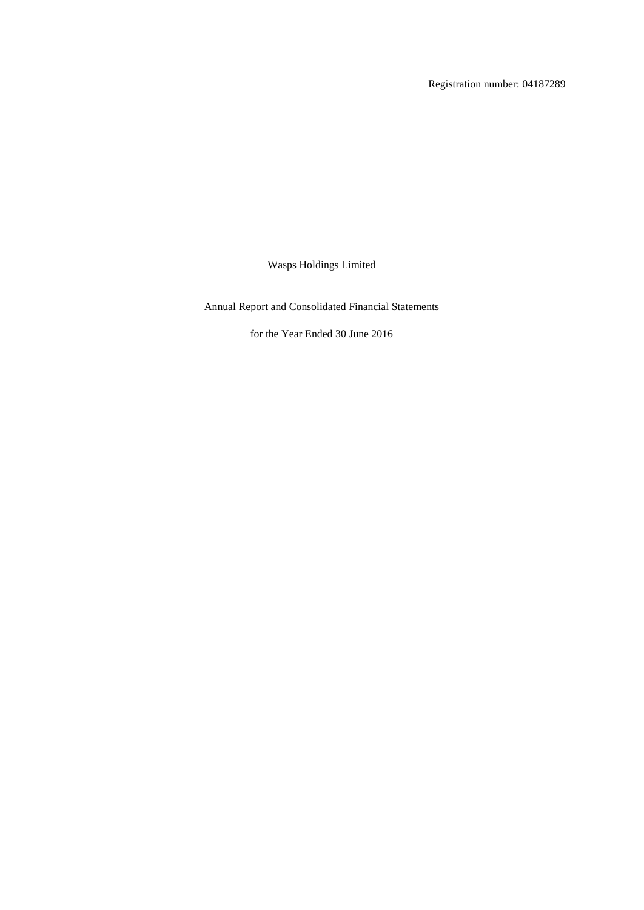Registration number: 04187289

Wasps Holdings Limited

Annual Report and Consolidated Financial Statements

for the Year Ended 30 June 2016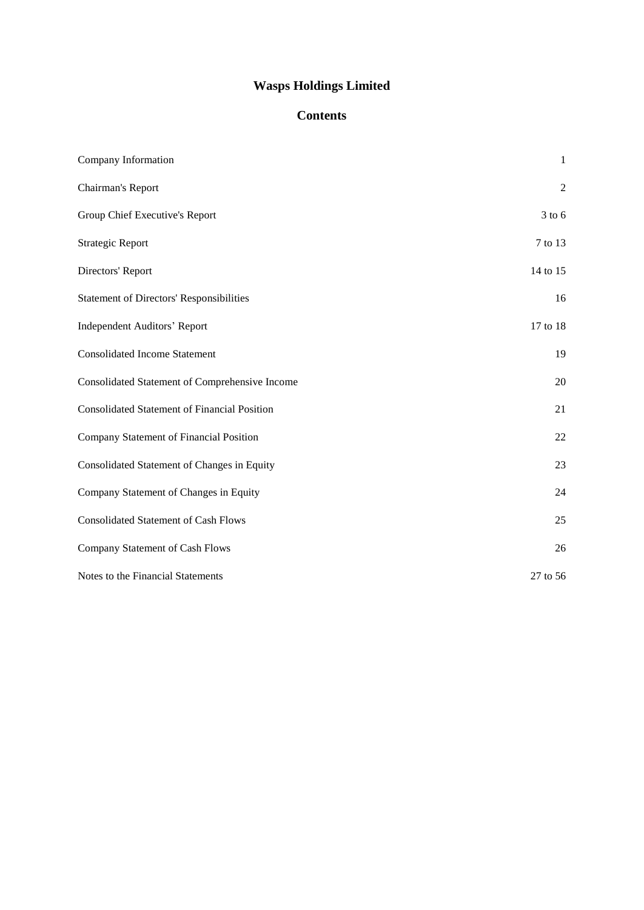# **Contents**

| Company Information                                 | $\mathbf{1}$   |
|-----------------------------------------------------|----------------|
| Chairman's Report                                   | $\overline{2}$ |
| Group Chief Executive's Report                      | $3$ to $6$     |
| <b>Strategic Report</b>                             | 7 to 13        |
| Directors' Report                                   | 14 to 15       |
| <b>Statement of Directors' Responsibilities</b>     | 16             |
| <b>Independent Auditors' Report</b>                 | 17 to 18       |
| <b>Consolidated Income Statement</b>                | 19             |
| Consolidated Statement of Comprehensive Income      | 20             |
| <b>Consolidated Statement of Financial Position</b> | 21             |
| Company Statement of Financial Position             | 22             |
| Consolidated Statement of Changes in Equity         | 23             |
| Company Statement of Changes in Equity              | 24             |
| <b>Consolidated Statement of Cash Flows</b>         | 25             |
| Company Statement of Cash Flows                     | 26             |
| Notes to the Financial Statements                   | 27 to 56       |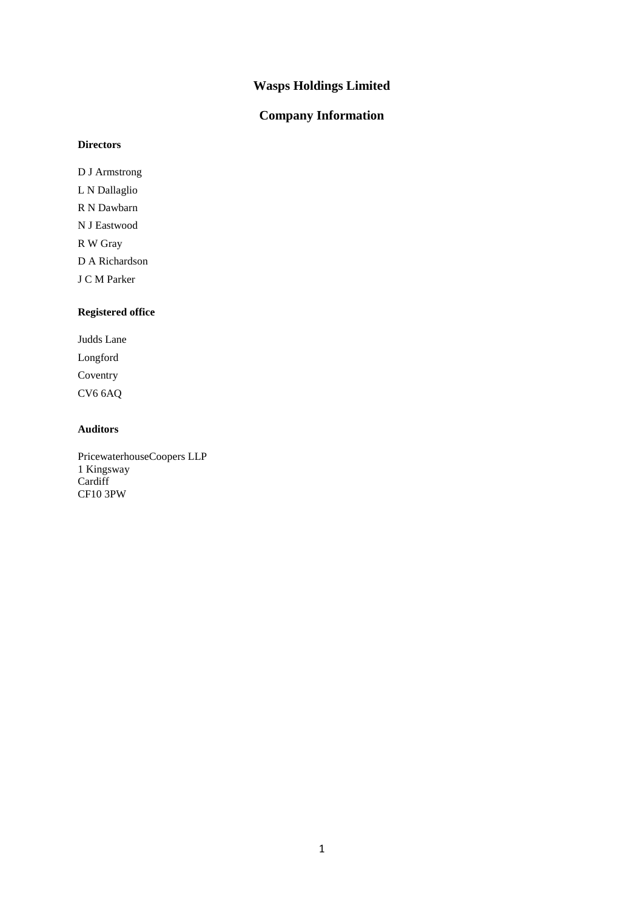### **Company Information**

### **Directors**

D J Armstrong L N Dallaglio R N Dawbarn N J Eastwood R W Gray D A Richardson J C M Parker

### **Registered office**

Judds Lane Longford Coventry CV6 6AQ

### **Auditors**

PricewaterhouseCoopers LLP 1 Kingsway Cardiff CF10 3PW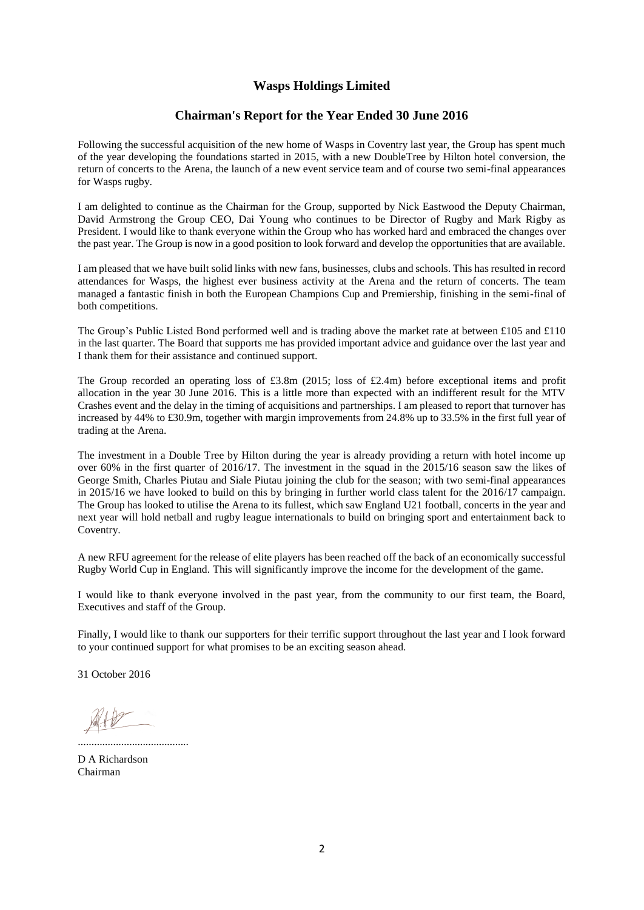#### **Chairman's Report for the Year Ended 30 June 2016**

Following the successful acquisition of the new home of Wasps in Coventry last year, the Group has spent much of the year developing the foundations started in 2015, with a new DoubleTree by Hilton hotel conversion, the return of concerts to the Arena, the launch of a new event service team and of course two semi-final appearances for Wasps rugby.

I am delighted to continue as the Chairman for the Group, supported by Nick Eastwood the Deputy Chairman, David Armstrong the Group CEO, Dai Young who continues to be Director of Rugby and Mark Rigby as President. I would like to thank everyone within the Group who has worked hard and embraced the changes over the past year. The Group is now in a good position to look forward and develop the opportunities that are available.

I am pleased that we have built solid links with new fans, businesses, clubs and schools. This has resulted in record attendances for Wasps, the highest ever business activity at the Arena and the return of concerts. The team managed a fantastic finish in both the European Champions Cup and Premiership, finishing in the semi-final of both competitions.

The Group's Public Listed Bond performed well and is trading above the market rate at between £105 and £110 in the last quarter. The Board that supports me has provided important advice and guidance over the last year and I thank them for their assistance and continued support.

The Group recorded an operating loss of £3.8m (2015; loss of £2.4m) before exceptional items and profit allocation in the year 30 June 2016. This is a little more than expected with an indifferent result for the MTV Crashes event and the delay in the timing of acquisitions and partnerships. I am pleased to report that turnover has increased by 44% to £30.9m, together with margin improvements from 24.8% up to 33.5% in the first full year of trading at the Arena.

The investment in a Double Tree by Hilton during the year is already providing a return with hotel income up over 60% in the first quarter of 2016/17. The investment in the squad in the 2015/16 season saw the likes of George Smith, Charles Piutau and Siale Piutau joining the club for the season; with two semi-final appearances in 2015/16 we have looked to build on this by bringing in further world class talent for the 2016/17 campaign. The Group has looked to utilise the Arena to its fullest, which saw England U21 football, concerts in the year and next year will hold netball and rugby league internationals to build on bringing sport and entertainment back to Coventry.

A new RFU agreement for the release of elite players has been reached off the back of an economically successful Rugby World Cup in England. This will significantly improve the income for the development of the game.

I would like to thank everyone involved in the past year, from the community to our first team, the Board, Executives and staff of the Group.

Finally, I would like to thank our supporters for their terrific support throughout the last year and I look forward to your continued support for what promises to be an exciting season ahead.

31 October 2016

.........................................

D A Richardson Chairman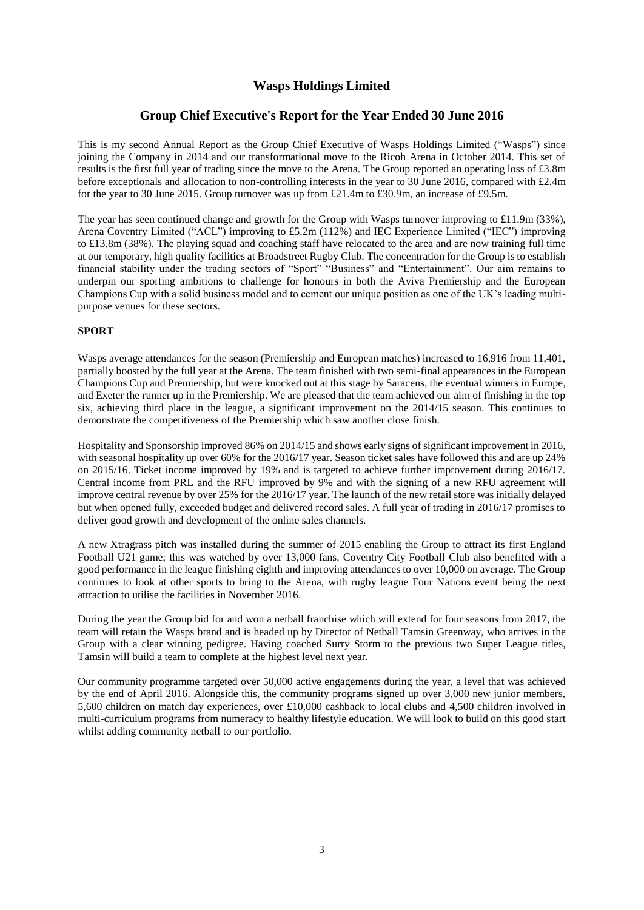### **Group Chief Executive's Report for the Year Ended 30 June 2016**

This is my second Annual Report as the Group Chief Executive of Wasps Holdings Limited ("Wasps") since joining the Company in 2014 and our transformational move to the Ricoh Arena in October 2014. This set of results is the first full year of trading since the move to the Arena. The Group reported an operating loss of  $\text{\textsterling}3.8m$ before exceptionals and allocation to non-controlling interests in the year to 30 June 2016, compared with £2.4m for the year to 30 June 2015. Group turnover was up from £21.4m to £30.9m, an increase of £9.5m.

The year has seen continued change and growth for the Group with Wasps turnover improving to £11.9m (33%), Arena Coventry Limited ("ACL") improving to £5.2m (112%) and IEC Experience Limited ("IEC") improving to £13.8m (38%). The playing squad and coaching staff have relocated to the area and are now training full time at our temporary, high quality facilities at Broadstreet Rugby Club. The concentration for the Group is to establish financial stability under the trading sectors of "Sport" "Business" and "Entertainment". Our aim remains to underpin our sporting ambitions to challenge for honours in both the Aviva Premiership and the European Champions Cup with a solid business model and to cement our unique position as one of the UK's leading multipurpose venues for these sectors.

#### **SPORT**

Wasps average attendances for the season (Premiership and European matches) increased to 16,916 from 11,401, partially boosted by the full year at the Arena. The team finished with two semi-final appearances in the European Champions Cup and Premiership, but were knocked out at this stage by Saracens, the eventual winners in Europe, and Exeter the runner up in the Premiership. We are pleased that the team achieved our aim of finishing in the top six, achieving third place in the league, a significant improvement on the 2014/15 season. This continues to demonstrate the competitiveness of the Premiership which saw another close finish.

Hospitality and Sponsorship improved 86% on 2014/15 and shows early signs of significant improvement in 2016, with seasonal hospitality up over 60% for the 2016/17 year. Season ticket sales have followed this and are up 24% on 2015/16. Ticket income improved by 19% and is targeted to achieve further improvement during 2016/17. Central income from PRL and the RFU improved by 9% and with the signing of a new RFU agreement will improve central revenue by over 25% for the 2016/17 year. The launch of the new retail store was initially delayed but when opened fully, exceeded budget and delivered record sales. A full year of trading in 2016/17 promises to deliver good growth and development of the online sales channels.

A new Xtragrass pitch was installed during the summer of 2015 enabling the Group to attract its first England Football U21 game; this was watched by over 13,000 fans. Coventry City Football Club also benefited with a good performance in the league finishing eighth and improving attendances to over 10,000 on average. The Group continues to look at other sports to bring to the Arena, with rugby league Four Nations event being the next attraction to utilise the facilities in November 2016.

During the year the Group bid for and won a netball franchise which will extend for four seasons from 2017, the team will retain the Wasps brand and is headed up by Director of Netball Tamsin Greenway, who arrives in the Group with a clear winning pedigree. Having coached Surry Storm to the previous two Super League titles, Tamsin will build a team to complete at the highest level next year.

Our community programme targeted over 50,000 active engagements during the year, a level that was achieved by the end of April 2016. Alongside this, the community programs signed up over 3,000 new junior members, 5,600 children on match day experiences, over £10,000 cashback to local clubs and 4,500 children involved in multi-curriculum programs from numeracy to healthy lifestyle education. We will look to build on this good start whilst adding community netball to our portfolio.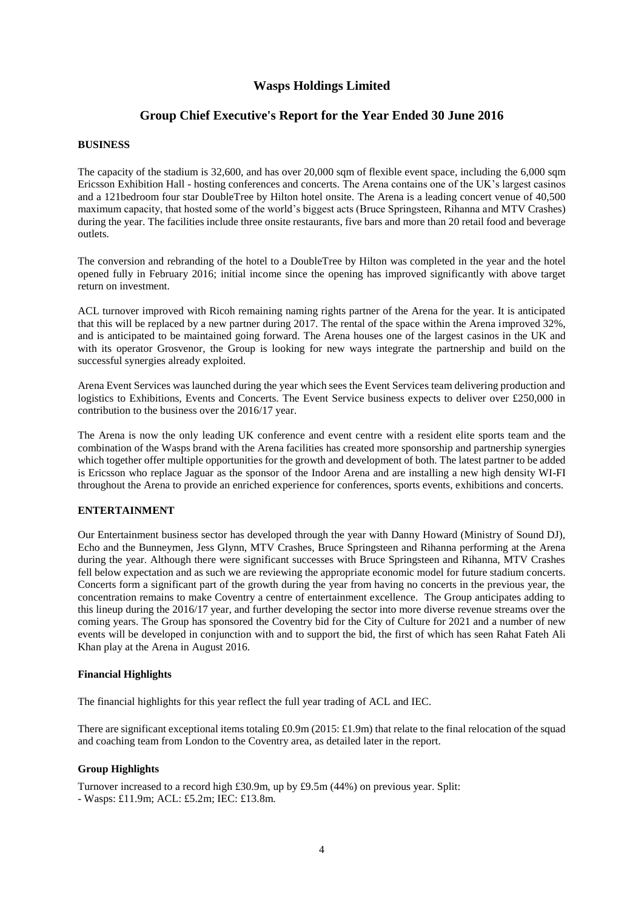### **Group Chief Executive's Report for the Year Ended 30 June 2016**

#### **BUSINESS**

The capacity of the stadium is 32,600, and has over 20,000 sqm of flexible event space, including the 6,000 sqm Ericsson Exhibition Hall - hosting conferences and concerts. The Arena contains one of the UK's largest casinos and a 121bedroom four star DoubleTree by Hilton hotel onsite. The Arena is a leading concert venue of 40,500 maximum capacity, that hosted some of the world's biggest acts (Bruce Springsteen, Rihanna and MTV Crashes) during the year. The facilities include three onsite restaurants, five bars and more than 20 retail food and beverage outlets.

The conversion and rebranding of the hotel to a DoubleTree by Hilton was completed in the year and the hotel opened fully in February 2016; initial income since the opening has improved significantly with above target return on investment.

ACL turnover improved with Ricoh remaining naming rights partner of the Arena for the year. It is anticipated that this will be replaced by a new partner during 2017. The rental of the space within the Arena improved 32%, and is anticipated to be maintained going forward. The Arena houses one of the largest casinos in the UK and with its operator Grosvenor, the Group is looking for new ways integrate the partnership and build on the successful synergies already exploited.

Arena Event Services was launched during the year which sees the Event Services team delivering production and logistics to Exhibitions, Events and Concerts. The Event Service business expects to deliver over £250,000 in contribution to the business over the 2016/17 year.

The Arena is now the only leading UK conference and event centre with a resident elite sports team and the combination of the Wasps brand with the Arena facilities has created more sponsorship and partnership synergies which together offer multiple opportunities for the growth and development of both. The latest partner to be added is Ericsson who replace Jaguar as the sponsor of the Indoor Arena and are installing a new high density WI-FI throughout the Arena to provide an enriched experience for conferences, sports events, exhibitions and concerts.

#### **ENTERTAINMENT**

Our Entertainment business sector has developed through the year with Danny Howard (Ministry of Sound DJ), Echo and the Bunneymen, Jess Glynn, MTV Crashes, Bruce Springsteen and Rihanna performing at the Arena during the year. Although there were significant successes with Bruce Springsteen and Rihanna, MTV Crashes fell below expectation and as such we are reviewing the appropriate economic model for future stadium concerts. Concerts form a significant part of the growth during the year from having no concerts in the previous year, the concentration remains to make Coventry a centre of entertainment excellence. The Group anticipates adding to this lineup during the 2016/17 year, and further developing the sector into more diverse revenue streams over the coming years. The Group has sponsored the Coventry bid for the City of Culture for 2021 and a number of new events will be developed in conjunction with and to support the bid, the first of which has seen Rahat Fateh Ali Khan play at the Arena in August 2016.

#### **Financial Highlights**

The financial highlights for this year reflect the full year trading of ACL and IEC.

There are significant exceptional items totaling  $£0.9m$  (2015: £1.9m) that relate to the final relocation of the squad and coaching team from London to the Coventry area, as detailed later in the report.

#### **Group Highlights**

Turnover increased to a record high £30.9m, up by £9.5m (44%) on previous year. Split:

- Wasps: £11.9m; ACL: £5.2m; IEC: £13.8m.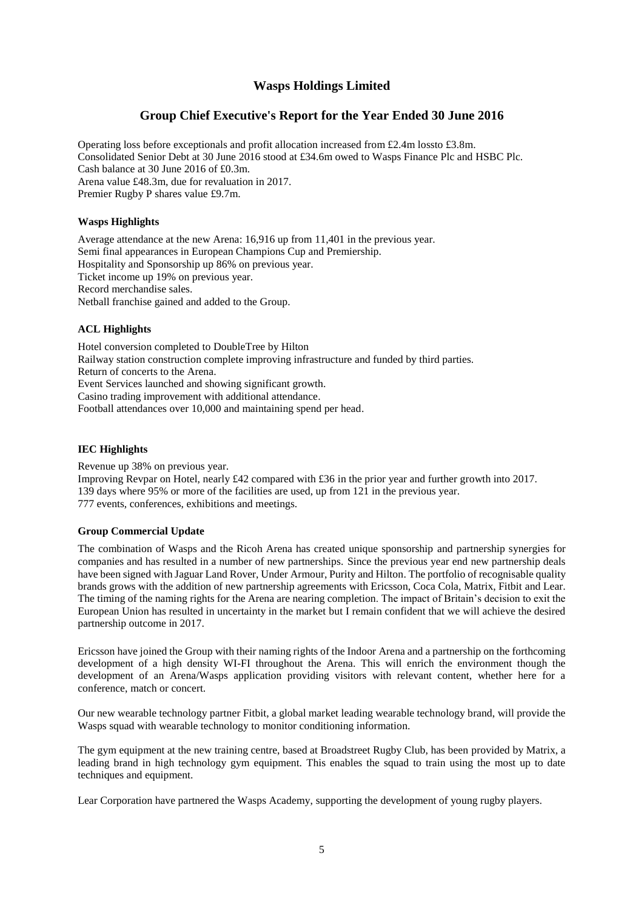### **Group Chief Executive's Report for the Year Ended 30 June 2016**

Operating loss before exceptionals and profit allocation increased from £2.4m lossto £3.8m. Consolidated Senior Debt at 30 June 2016 stood at £34.6m owed to Wasps Finance Plc and HSBC Plc. Cash balance at 30 June 2016 of £0.3m. Arena value £48.3m, due for revaluation in 2017. Premier Rugby P shares value £9.7m.

#### **Wasps Highlights**

Average attendance at the new Arena: 16,916 up from 11,401 in the previous year. Semi final appearances in European Champions Cup and Premiership. Hospitality and Sponsorship up 86% on previous year. Ticket income up 19% on previous year. Record merchandise sales. Netball franchise gained and added to the Group.

#### **ACL Highlights**

Hotel conversion completed to DoubleTree by Hilton Railway station construction complete improving infrastructure and funded by third parties. Return of concerts to the Arena. Event Services launched and showing significant growth. Casino trading improvement with additional attendance. Football attendances over 10,000 and maintaining spend per head.

#### **IEC Highlights**

Revenue up 38% on previous year. Improving Revpar on Hotel, nearly £42 compared with £36 in the prior year and further growth into 2017. 139 days where 95% or more of the facilities are used, up from 121 in the previous year. 777 events, conferences, exhibitions and meetings.

#### **Group Commercial Update**

The combination of Wasps and the Ricoh Arena has created unique sponsorship and partnership synergies for companies and has resulted in a number of new partnerships. Since the previous year end new partnership deals have been signed with Jaguar Land Rover, Under Armour, Purity and Hilton. The portfolio of recognisable quality brands grows with the addition of new partnership agreements with Ericsson, Coca Cola, Matrix, Fitbit and Lear. The timing of the naming rights for the Arena are nearing completion. The impact of Britain's decision to exit the European Union has resulted in uncertainty in the market but I remain confident that we will achieve the desired partnership outcome in 2017.

Ericsson have joined the Group with their naming rights of the Indoor Arena and a partnership on the forthcoming development of a high density WI-FI throughout the Arena. This will enrich the environment though the development of an Arena/Wasps application providing visitors with relevant content, whether here for a conference, match or concert.

Our new wearable technology partner Fitbit, a global market leading wearable technology brand, will provide the Wasps squad with wearable technology to monitor conditioning information.

The gym equipment at the new training centre, based at Broadstreet Rugby Club, has been provided by Matrix, a leading brand in high technology gym equipment. This enables the squad to train using the most up to date techniques and equipment.

Lear Corporation have partnered the Wasps Academy, supporting the development of young rugby players.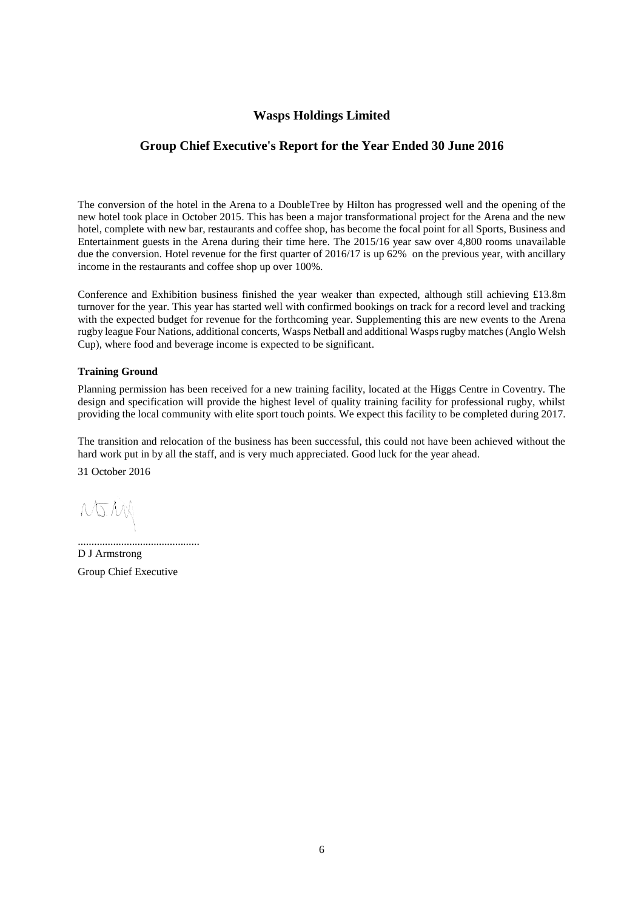#### **Group Chief Executive's Report for the Year Ended 30 June 2016**

The conversion of the hotel in the Arena to a DoubleTree by Hilton has progressed well and the opening of the new hotel took place in October 2015. This has been a major transformational project for the Arena and the new hotel, complete with new bar, restaurants and coffee shop, has become the focal point for all Sports, Business and Entertainment guests in the Arena during their time here. The 2015/16 year saw over 4,800 rooms unavailable due the conversion. Hotel revenue for the first quarter of 2016/17 is up 62% on the previous year, with ancillary income in the restaurants and coffee shop up over 100%.

Conference and Exhibition business finished the year weaker than expected, although still achieving £13.8m turnover for the year. This year has started well with confirmed bookings on track for a record level and tracking with the expected budget for revenue for the forthcoming year. Supplementing this are new events to the Arena rugby league Four Nations, additional concerts, Wasps Netball and additional Wasps rugby matches (Anglo Welsh Cup), where food and beverage income is expected to be significant.

#### **Training Ground**

Planning permission has been received for a new training facility, located at the Higgs Centre in Coventry. The design and specification will provide the highest level of quality training facility for professional rugby, whilst providing the local community with elite sport touch points. We expect this facility to be completed during 2017.

The transition and relocation of the business has been successful, this could not have been achieved without the hard work put in by all the staff, and is very much appreciated. Good luck for the year ahead.

31 October 2016

NS.M

............................................. D J Armstrong

Group Chief Executive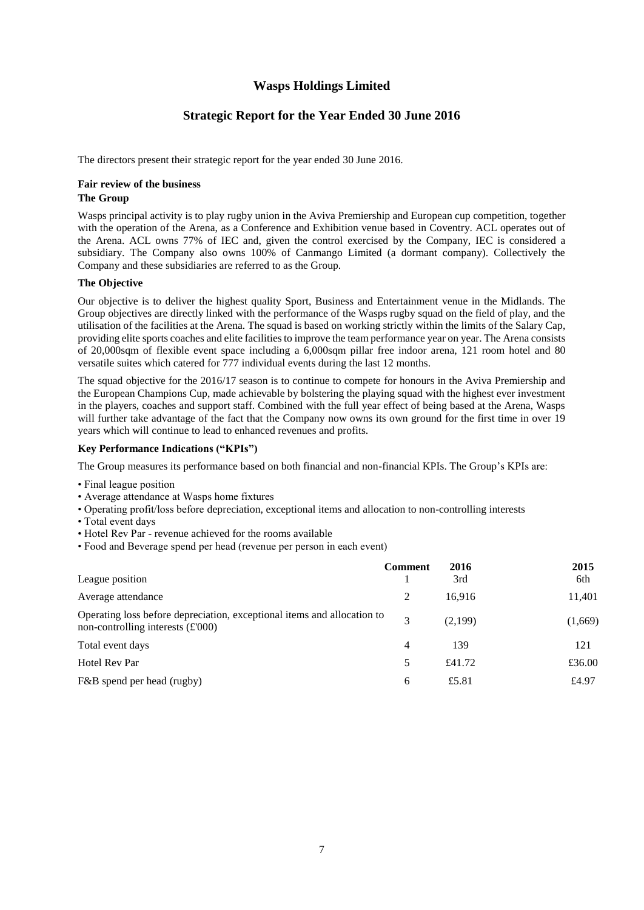### **Strategic Report for the Year Ended 30 June 2016**

The directors present their strategic report for the year ended 30 June 2016.

#### **Fair review of the business**

#### **The Group**

Wasps principal activity is to play rugby union in the Aviva Premiership and European cup competition, together with the operation of the Arena, as a Conference and Exhibition venue based in Coventry. ACL operates out of the Arena. ACL owns 77% of IEC and, given the control exercised by the Company, IEC is considered a subsidiary. The Company also owns 100% of Canmango Limited (a dormant company). Collectively the Company and these subsidiaries are referred to as the Group.

#### **The Objective**

Our objective is to deliver the highest quality Sport, Business and Entertainment venue in the Midlands. The Group objectives are directly linked with the performance of the Wasps rugby squad on the field of play, and the utilisation of the facilities at the Arena. The squad is based on working strictly within the limits of the Salary Cap, providing elite sports coaches and elite facilities to improve the team performance year on year. The Arena consists of 20,000sqm of flexible event space including a 6,000sqm pillar free indoor arena, 121 room hotel and 80 versatile suites which catered for 777 individual events during the last 12 months.

The squad objective for the 2016/17 season is to continue to compete for honours in the Aviva Premiership and the European Champions Cup, made achievable by bolstering the playing squad with the highest ever investment in the players, coaches and support staff. Combined with the full year effect of being based at the Arena, Wasps will further take advantage of the fact that the Company now owns its own ground for the first time in over 19 years which will continue to lead to enhanced revenues and profits.

#### **Key Performance Indications ("KPIs")**

The Group measures its performance based on both financial and non-financial KPIs. The Group's KPIs are:

- Final league position
- Average attendance at Wasps home fixtures
- Operating profit/loss before depreciation, exceptional items and allocation to non-controlling interests
- Total event days
- Hotel Rev Par revenue achieved for the rooms available
- Food and Beverage spend per head (revenue per person in each event)

|                                                                                                                | <b>Comment</b> | 2016    | 2015    |
|----------------------------------------------------------------------------------------------------------------|----------------|---------|---------|
| League position                                                                                                |                | 3rd     | 6th     |
| Average attendance                                                                                             | 2              | 16.916  | 11,401  |
| Operating loss before depreciation, exceptional items and allocation to<br>non-controlling interests $(E'000)$ | 3              | (2.199) | (1,669) |
| Total event days                                                                                               | 4              | 139     | 121     |
| <b>Hotel Rev Par</b>                                                                                           | 5              | £41.72  | £36.00  |
| F&B spend per head (rugby)                                                                                     | 6              | £5.81   | £4.97   |
|                                                                                                                |                |         |         |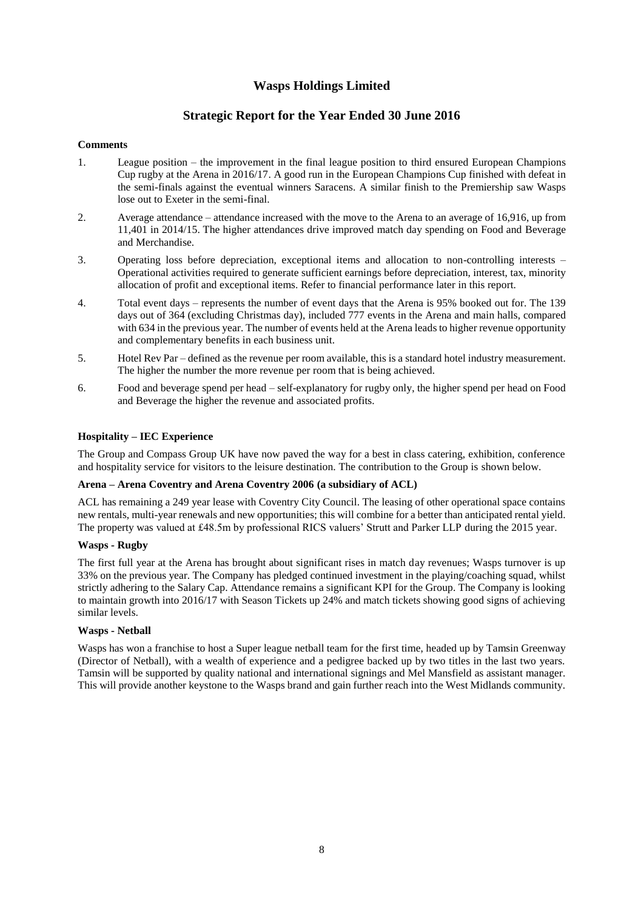### **Strategic Report for the Year Ended 30 June 2016**

#### **Comments**

- 1. League position the improvement in the final league position to third ensured European Champions Cup rugby at the Arena in 2016/17. A good run in the European Champions Cup finished with defeat in the semi-finals against the eventual winners Saracens. A similar finish to the Premiership saw Wasps lose out to Exeter in the semi-final.
- 2. Average attendance attendance increased with the move to the Arena to an average of 16,916, up from 11,401 in 2014/15. The higher attendances drive improved match day spending on Food and Beverage and Merchandise.
- 3. Operating loss before depreciation, exceptional items and allocation to non-controlling interests Operational activities required to generate sufficient earnings before depreciation, interest, tax, minority allocation of profit and exceptional items. Refer to financial performance later in this report.
- 4. Total event days represents the number of event days that the Arena is 95% booked out for. The 139 days out of 364 (excluding Christmas day), included 777 events in the Arena and main halls, compared with 634 in the previous year. The number of events held at the Arena leads to higher revenue opportunity and complementary benefits in each business unit.
- 5. Hotel Rev Par defined as the revenue per room available, this is a standard hotel industry measurement. The higher the number the more revenue per room that is being achieved.
- 6. Food and beverage spend per head self-explanatory for rugby only, the higher spend per head on Food and Beverage the higher the revenue and associated profits.

#### **Hospitality – IEC Experience**

The Group and Compass Group UK have now paved the way for a best in class catering, exhibition, conference and hospitality service for visitors to the leisure destination. The contribution to the Group is shown below.

#### **Arena – Arena Coventry and Arena Coventry 2006 (a subsidiary of ACL)**

ACL has remaining a 249 year lease with Coventry City Council. The leasing of other operational space contains new rentals, multi-year renewals and new opportunities; this will combine for a better than anticipated rental yield. The property was valued at £48.5m by professional RICS valuers' Strutt and Parker LLP during the 2015 year.

#### **Wasps - Rugby**

The first full year at the Arena has brought about significant rises in match day revenues; Wasps turnover is up 33% on the previous year. The Company has pledged continued investment in the playing/coaching squad, whilst strictly adhering to the Salary Cap. Attendance remains a significant KPI for the Group. The Company is looking to maintain growth into 2016/17 with Season Tickets up 24% and match tickets showing good signs of achieving similar levels.

#### **Wasps - Netball**

Wasps has won a franchise to host a Super league netball team for the first time, headed up by Tamsin Greenway (Director of Netball), with a wealth of experience and a pedigree backed up by two titles in the last two years. Tamsin will be supported by quality national and international signings and Mel Mansfield as assistant manager. This will provide another keystone to the Wasps brand and gain further reach into the West Midlands community.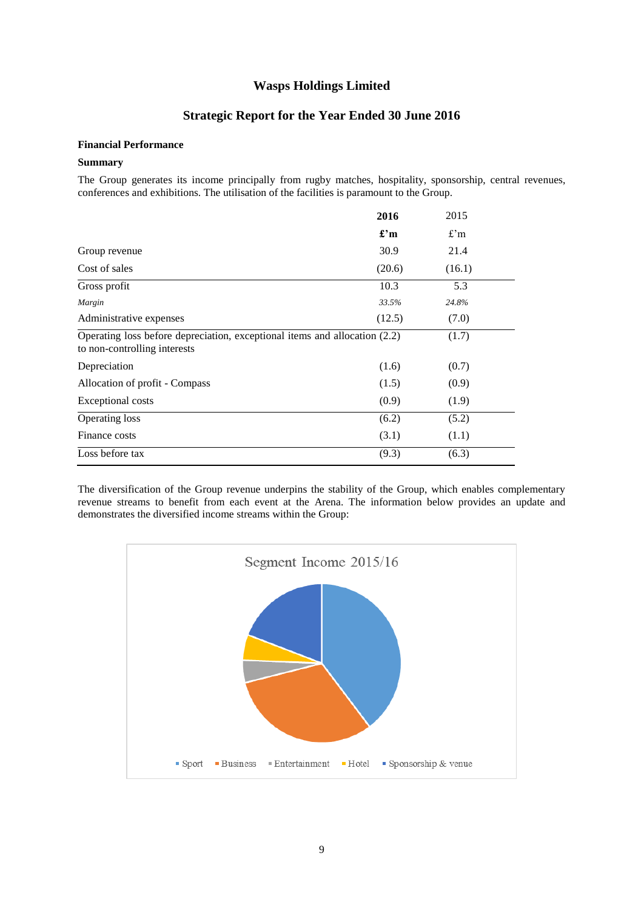### **Strategic Report for the Year Ended 30 June 2016**

#### **Financial Performance**

#### **Summary**

The Group generates its income principally from rugby matches, hospitality, sponsorship, central revenues, conferences and exhibitions. The utilisation of the facilities is paramount to the Group.

|                                                                                                            | 2016                    | 2015   |  |
|------------------------------------------------------------------------------------------------------------|-------------------------|--------|--|
|                                                                                                            | $\mathbf{f}^{\prime}$ m | f'm    |  |
| Group revenue                                                                                              | 30.9                    | 21.4   |  |
| Cost of sales                                                                                              | (20.6)                  | (16.1) |  |
| Gross profit                                                                                               | 10.3                    | 5.3    |  |
| Margin                                                                                                     | 33.5%                   | 24.8%  |  |
| Administrative expenses                                                                                    | (12.5)                  | (7.0)  |  |
| Operating loss before depreciation, exceptional items and allocation (2.2)<br>to non-controlling interests |                         | (1.7)  |  |
| Depreciation                                                                                               | (1.6)                   | (0.7)  |  |
| Allocation of profit - Compass                                                                             | (1.5)                   | (0.9)  |  |
| <b>Exceptional costs</b>                                                                                   | (0.9)                   | (1.9)  |  |
| <b>Operating loss</b>                                                                                      | (6.2)                   | (5.2)  |  |
| Finance costs                                                                                              | (3.1)                   | (1.1)  |  |
| Loss before tax                                                                                            | (9.3)                   | (6.3)  |  |

The diversification of the Group revenue underpins the stability of the Group, which enables complementary revenue streams to benefit from each event at the Arena. The information below provides an update and demonstrates the diversified income streams within the Group:

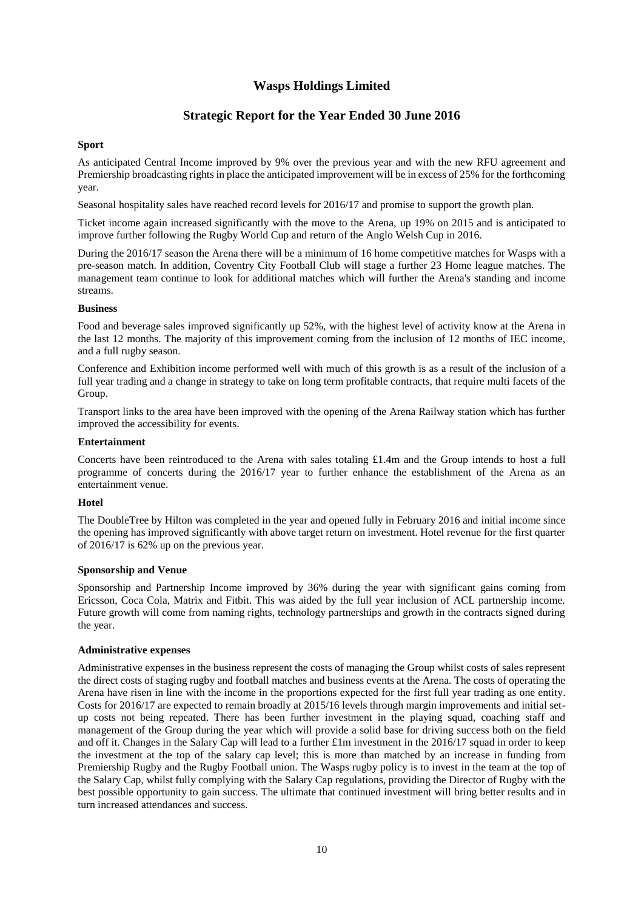### **Strategic Report for the Year Ended 30 June 2016**

#### **Sport**

As anticipated Central Income improved by 9% over the previous year and with the new RFU agreement and Premiership broadcasting rights in place the anticipated improvement will be in excess of 25% for the forthcoming year.

Seasonal hospitality sales have reached record levels for 2016/17 and promise to support the growth plan.

Ticket income again increased significantly with the move to the Arena, up 19% on 2015 and is anticipated to improve further following the Rugby World Cup and return of the Anglo Welsh Cup in 2016.

During the 2016/17 season the Arena there will be a minimum of 16 home competitive matches for Wasps with a pre-season match. In addition, Coventry City Football Club will stage a further 23 Home league matches. The management team continue to look for additional matches which will further the Arena's standing and income streams.

#### **Business**

Food and beverage sales improved significantly up 52%, with the highest level of activity know at the Arena in the last 12 months. The majority of this improvement coming from the inclusion of 12 months of IEC income, and a full rugby season.

Conference and Exhibition income performed well with much of this growth is as a result of the inclusion of a full year trading and a change in strategy to take on long term profitable contracts, that require multi facets of the Group.

Transport links to the area have been improved with the opening of the Arena Railway station which has further improved the accessibility for events.

#### **Entertainment**

Concerts have been reintroduced to the Arena with sales totaling £1.4m and the Group intends to host a full programme of concerts during the 2016/17 year to further enhance the establishment of the Arena as an entertainment venue.

#### **Hotel**

The DoubleTree by Hilton was completed in the year and opened fully in February 2016 and initial income since the opening has improved significantly with above target return on investment. Hotel revenue for the first quarter of 2016/17 is 62% up on the previous year.

#### **Sponsorship and Venue**

Sponsorship and Partnership Income improved by 36% during the year with significant gains coming from Ericsson, Coca Cola, Matrix and Fitbit. This was aided by the full year inclusion of ACL partnership income. Future growth will come from naming rights, technology partnerships and growth in the contracts signed during the year.

#### **Administrative expenses**

Administrative expenses in the business represent the costs of managing the Group whilst costs of sales represent the direct costs of staging rugby and football matches and business events at the Arena. The costs of operating the Arena have risen in line with the income in the proportions expected for the first full year trading as one entity. Costs for 2016/17 are expected to remain broadly at 2015/16 levels through margin improvements and initial setup costs not being repeated. There has been further investment in the playing squad, coaching staff and management of the Group during the year which will provide a solid base for driving success both on the field and off it. Changes in the Salary Cap will lead to a further £1m investment in the 2016/17 squad in order to keep the investment at the top of the salary cap level; this is more than matched by an increase in funding from Premiership Rugby and the Rugby Football union. The Wasps rugby policy is to invest in the team at the top of the Salary Cap, whilst fully complying with the Salary Cap regulations, providing the Director of Rugby with the best possible opportunity to gain success. The ultimate that continued investment will bring better results and in turn increased attendances and success.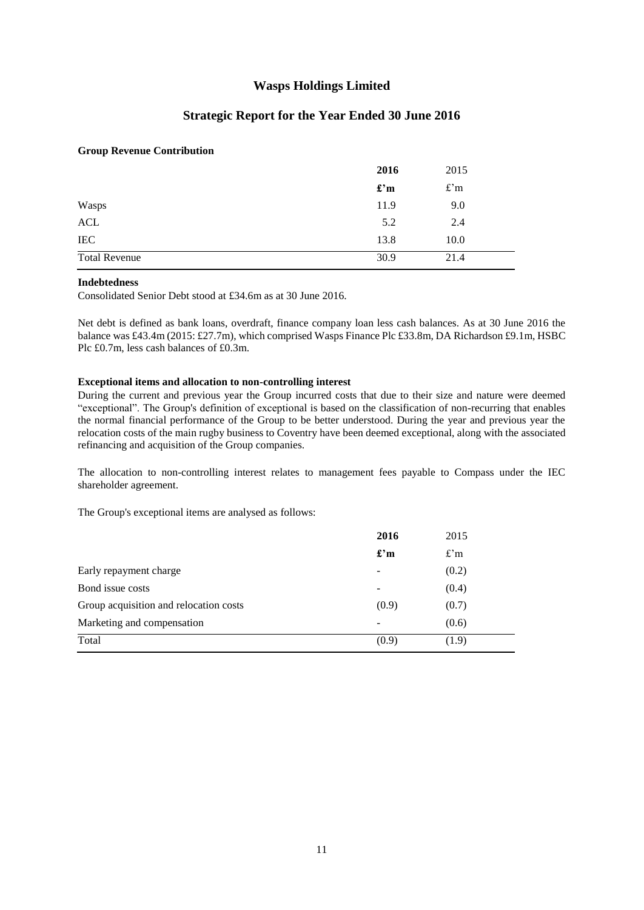### **Strategic Report for the Year Ended 30 June 2016**

#### **Group Revenue Contribution**

|                      | 2016            | 2015 |  |
|----------------------|-----------------|------|--|
|                      | $\mathbf{f}'$ m | f'm  |  |
| Wasps                | 11.9            | 9.0  |  |
| <b>ACL</b>           | 5.2             | 2.4  |  |
| IEC                  | 13.8            | 10.0 |  |
| <b>Total Revenue</b> | 30.9            | 21.4 |  |

#### **Indebtedness**

Consolidated Senior Debt stood at £34.6m as at 30 June 2016.

Net debt is defined as bank loans, overdraft, finance company loan less cash balances. As at 30 June 2016 the balance was £43.4m (2015: £27.7m), which comprised Wasps Finance Plc £33.8m, DA Richardson £9.1m, HSBC Plc £0.7m, less cash balances of £0.3m.

#### **Exceptional items and allocation to non-controlling interest**

During the current and previous year the Group incurred costs that due to their size and nature were deemed "exceptional". The Group's definition of exceptional is based on the classification of non-recurring that enables the normal financial performance of the Group to be better understood. During the year and previous year the relocation costs of the main rugby business to Coventry have been deemed exceptional, along with the associated refinancing and acquisition of the Group companies.

The allocation to non-controlling interest relates to management fees payable to Compass under the IEC shareholder agreement.

The Group's exceptional items are analysed as follows:

|                                        | 2016  | 2015  |
|----------------------------------------|-------|-------|
|                                        | f'm   | f'm   |
| Early repayment charge                 |       | (0.2) |
| Bond issue costs                       |       | (0.4) |
| Group acquisition and relocation costs | (0.9) | (0.7) |
| Marketing and compensation             |       | (0.6) |
| Total                                  | (0.9) | (1.9) |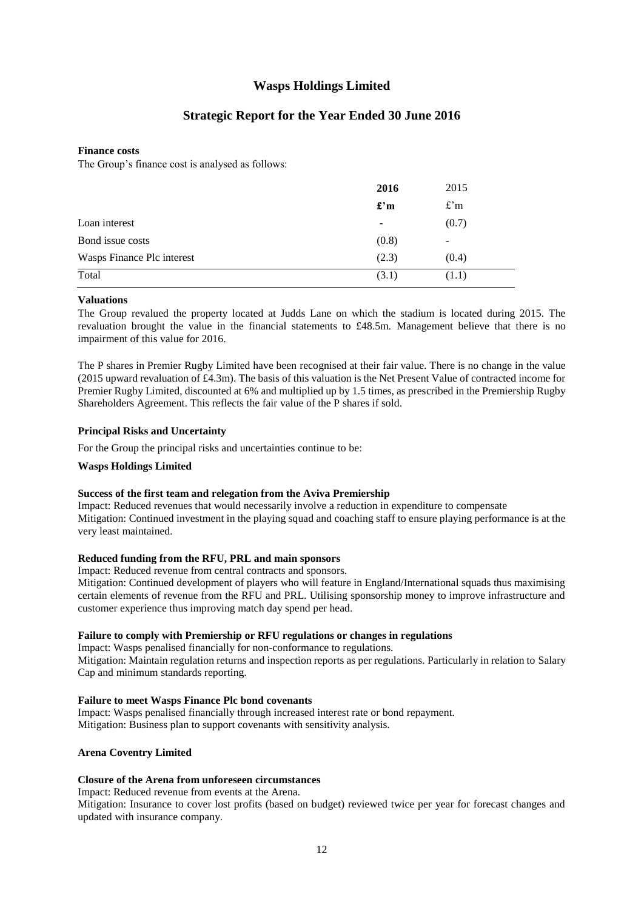### **Strategic Report for the Year Ended 30 June 2016**

#### **Finance costs**

The Group's finance cost is analysed as follows:

|                            | 2016                     | 2015  |  |
|----------------------------|--------------------------|-------|--|
|                            | f'm                      | f'm   |  |
| Loan interest              | $\overline{\phantom{a}}$ | (0.7) |  |
| Bond issue costs           | (0.8)                    | ۰     |  |
| Wasps Finance Plc interest | (2.3)                    | (0.4) |  |
| Total                      | (3.1)                    | (1.1) |  |

#### **Valuations**

The Group revalued the property located at Judds Lane on which the stadium is located during 2015. The revaluation brought the value in the financial statements to £48.5m. Management believe that there is no impairment of this value for 2016.

The P shares in Premier Rugby Limited have been recognised at their fair value. There is no change in the value (2015 upward revaluation of £4.3m). The basis of this valuation is the Net Present Value of contracted income for Premier Rugby Limited, discounted at 6% and multiplied up by 1.5 times, as prescribed in the Premiership Rugby Shareholders Agreement. This reflects the fair value of the P shares if sold.

#### **Principal Risks and Uncertainty**

For the Group the principal risks and uncertainties continue to be:

#### **Wasps Holdings Limited**

#### **Success of the first team and relegation from the Aviva Premiership**

Impact: Reduced revenues that would necessarily involve a reduction in expenditure to compensate Mitigation: Continued investment in the playing squad and coaching staff to ensure playing performance is at the very least maintained.

#### **Reduced funding from the RFU, PRL and main sponsors**

Impact: Reduced revenue from central contracts and sponsors.

Mitigation: Continued development of players who will feature in England/International squads thus maximising certain elements of revenue from the RFU and PRL. Utilising sponsorship money to improve infrastructure and customer experience thus improving match day spend per head.

#### **Failure to comply with Premiership or RFU regulations or changes in regulations**

Impact: Wasps penalised financially for non-conformance to regulations.

Mitigation: Maintain regulation returns and inspection reports as per regulations. Particularly in relation to Salary Cap and minimum standards reporting.

#### **Failure to meet Wasps Finance Plc bond covenants**

Impact: Wasps penalised financially through increased interest rate or bond repayment. Mitigation: Business plan to support covenants with sensitivity analysis.

#### **Arena Coventry Limited**

#### **Closure of the Arena from unforeseen circumstances**

Impact: Reduced revenue from events at the Arena.

Mitigation: Insurance to cover lost profits (based on budget) reviewed twice per year for forecast changes and updated with insurance company.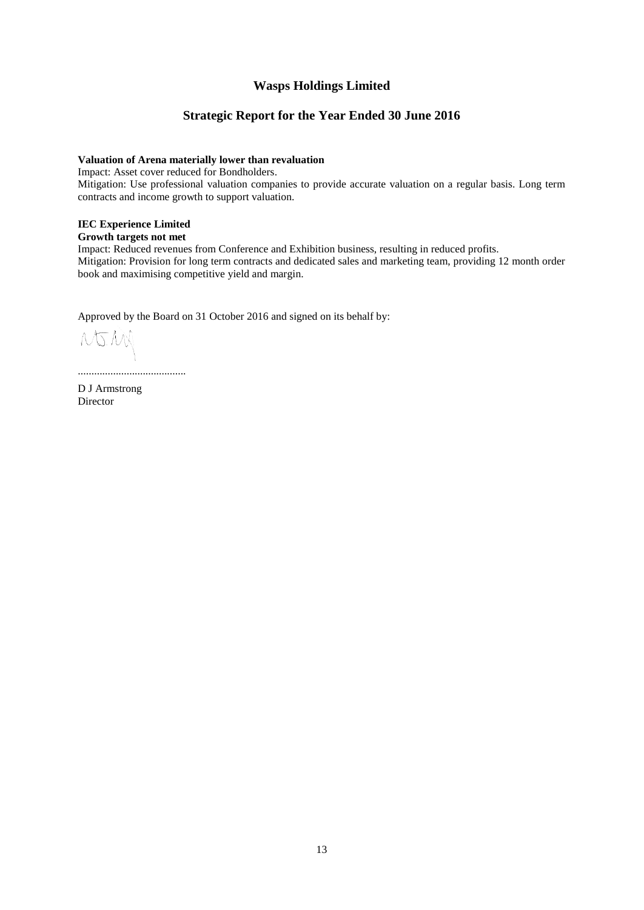### **Strategic Report for the Year Ended 30 June 2016**

### **Valuation of Arena materially lower than revaluation**

Impact: Asset cover reduced for Bondholders.

Mitigation: Use professional valuation companies to provide accurate valuation on a regular basis. Long term contracts and income growth to support valuation.

#### **IEC Experience Limited**

**Growth targets not met**

........................................

Impact: Reduced revenues from Conference and Exhibition business, resulting in reduced profits. Mitigation: Provision for long term contracts and dedicated sales and marketing team, providing 12 month order book and maximising competitive yield and margin.

Approved by the Board on 31 October 2016 and signed on its behalf by:

NOW

D J Armstrong Director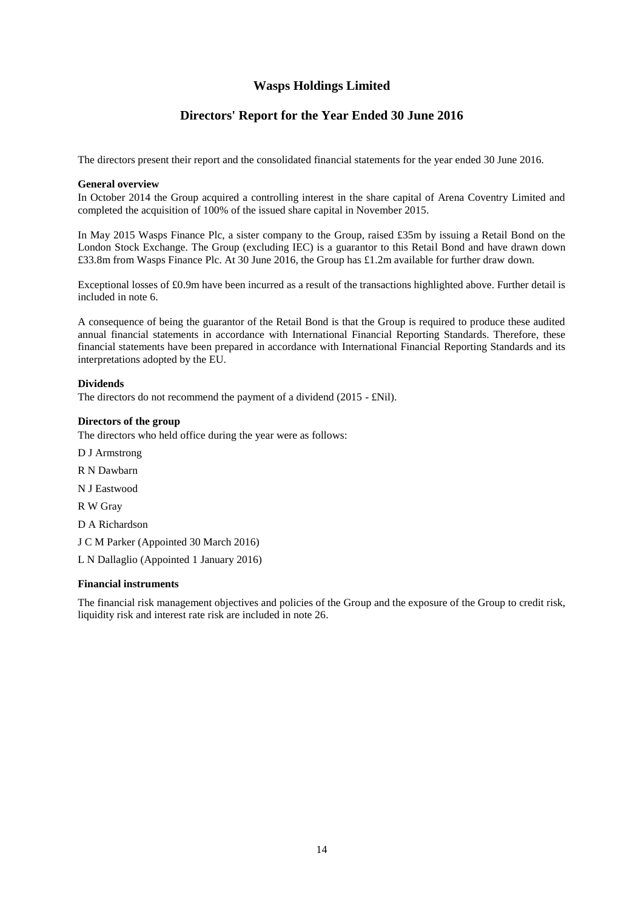### **Directors' Report for the Year Ended 30 June 2016**

The directors present their report and the consolidated financial statements for the year ended 30 June 2016.

#### **General overview**

In October 2014 the Group acquired a controlling interest in the share capital of Arena Coventry Limited and completed the acquisition of 100% of the issued share capital in November 2015.

In May 2015 Wasps Finance Plc, a sister company to the Group, raised £35m by issuing a Retail Bond on the London Stock Exchange. The Group (excluding IEC) is a guarantor to this Retail Bond and have drawn down £33.8m from Wasps Finance Plc. At 30 June 2016, the Group has £1.2m available for further draw down.

Exceptional losses of £0.9m have been incurred as a result of the transactions highlighted above. Further detail is included in note 6.

A consequence of being the guarantor of the Retail Bond is that the Group is required to produce these audited annual financial statements in accordance with International Financial Reporting Standards. Therefore, these financial statements have been prepared in accordance with International Financial Reporting Standards and its interpretations adopted by the EU.

#### **Dividends**

The directors do not recommend the payment of a dividend (2015 - £Nil).

#### **Directors of the group**

The directors who held office during the year were as follows:

- D J Armstrong
- R N Dawbarn
- N J Eastwood
- R W Gray
- D A Richardson
- J C M Parker (Appointed 30 March 2016)

L N Dallaglio (Appointed 1 January 2016)

#### **Financial instruments**

The financial risk management objectives and policies of the Group and the exposure of the Group to credit risk, liquidity risk and interest rate risk are included in note 26.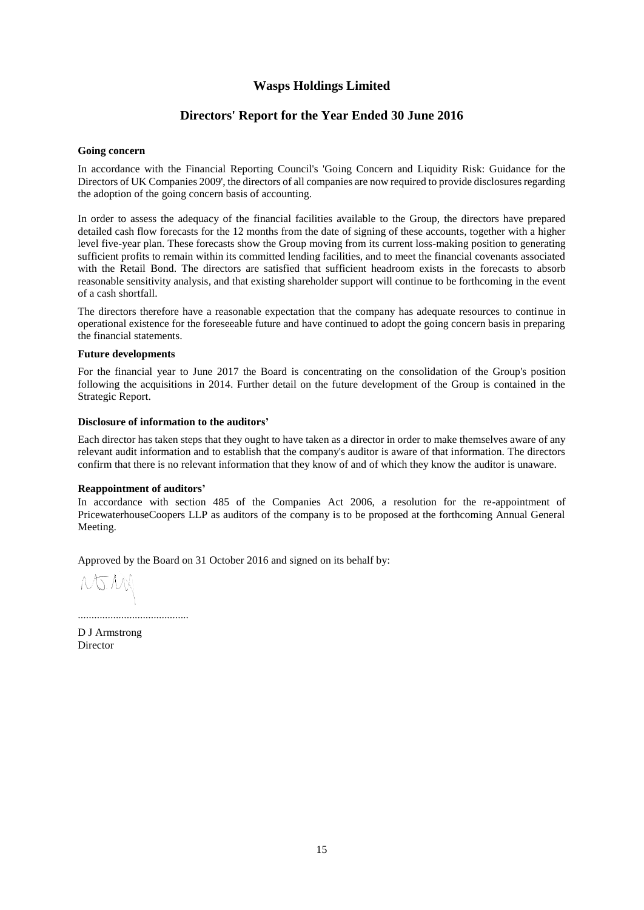### **Directors' Report for the Year Ended 30 June 2016**

#### **Going concern**

In accordance with the Financial Reporting Council's 'Going Concern and Liquidity Risk: Guidance for the Directors of UK Companies 2009', the directors of all companies are now required to provide disclosures regarding the adoption of the going concern basis of accounting.

In order to assess the adequacy of the financial facilities available to the Group, the directors have prepared detailed cash flow forecasts for the 12 months from the date of signing of these accounts, together with a higher level five-year plan. These forecasts show the Group moving from its current loss-making position to generating sufficient profits to remain within its committed lending facilities, and to meet the financial covenants associated with the Retail Bond. The directors are satisfied that sufficient headroom exists in the forecasts to absorb reasonable sensitivity analysis, and that existing shareholder support will continue to be forthcoming in the event of a cash shortfall.

The directors therefore have a reasonable expectation that the company has adequate resources to continue in operational existence for the foreseeable future and have continued to adopt the going concern basis in preparing the financial statements.

#### **Future developments**

For the financial year to June 2017 the Board is concentrating on the consolidation of the Group's position following the acquisitions in 2014. Further detail on the future development of the Group is contained in the Strategic Report.

#### **Disclosure of information to the auditors'**

Each director has taken steps that they ought to have taken as a director in order to make themselves aware of any relevant audit information and to establish that the company's auditor is aware of that information. The directors confirm that there is no relevant information that they know of and of which they know the auditor is unaware.

#### **Reappointment of auditors'**

In accordance with section 485 of the Companies Act 2006, a resolution for the re-appointment of PricewaterhouseCoopers LLP as auditors of the company is to be proposed at the forthcoming Annual General Meeting.

Approved by the Board on 31 October 2016 and signed on its behalf by:

MI M

.........................................

D J Armstrong Director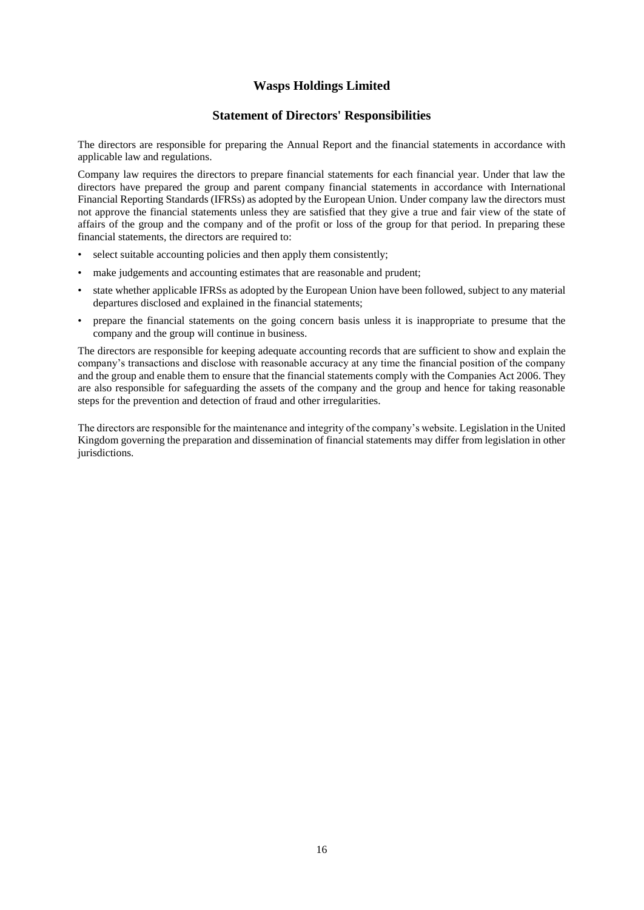#### **Statement of Directors' Responsibilities**

The directors are responsible for preparing the Annual Report and the financial statements in accordance with applicable law and regulations.

Company law requires the directors to prepare financial statements for each financial year. Under that law the directors have prepared the group and parent company financial statements in accordance with International Financial Reporting Standards (IFRSs) as adopted by the European Union. Under company law the directors must not approve the financial statements unless they are satisfied that they give a true and fair view of the state of affairs of the group and the company and of the profit or loss of the group for that period. In preparing these financial statements, the directors are required to:

- select suitable accounting policies and then apply them consistently;
- make judgements and accounting estimates that are reasonable and prudent;
- state whether applicable IFRSs as adopted by the European Union have been followed, subject to any material departures disclosed and explained in the financial statements;
- prepare the financial statements on the going concern basis unless it is inappropriate to presume that the company and the group will continue in business.

The directors are responsible for keeping adequate accounting records that are sufficient to show and explain the company's transactions and disclose with reasonable accuracy at any time the financial position of the company and the group and enable them to ensure that the financial statements comply with the Companies Act 2006. They are also responsible for safeguarding the assets of the company and the group and hence for taking reasonable steps for the prevention and detection of fraud and other irregularities.

The directors are responsible for the maintenance and integrity of the company's website. Legislation in the United Kingdom governing the preparation and dissemination of financial statements may differ from legislation in other jurisdictions.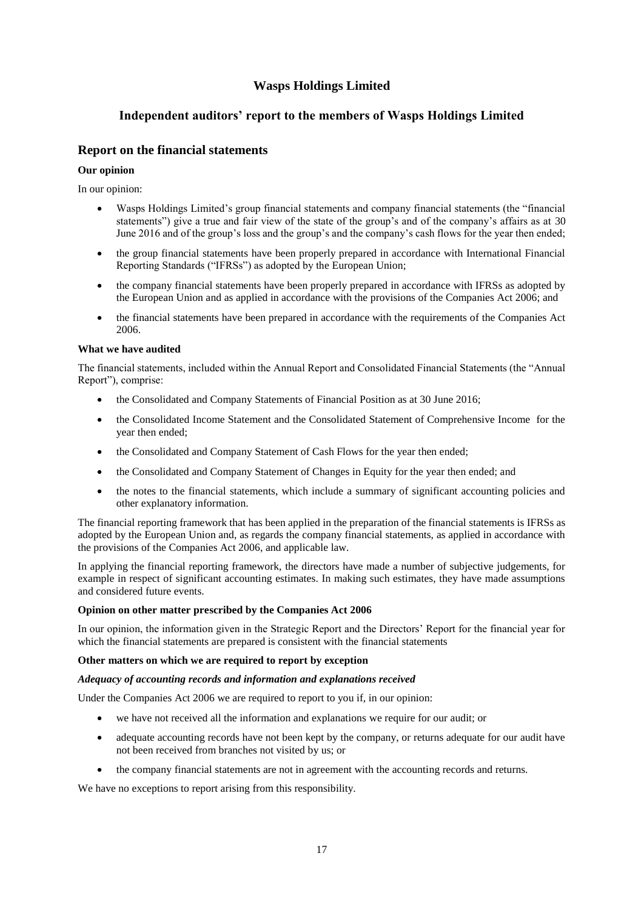### **Independent auditors' report to the members of Wasps Holdings Limited**

### **Report on the financial statements**

#### **Our opinion**

In our opinion:

- Wasps Holdings Limited's group financial statements and company financial statements (the "financial statements") give a true and fair view of the state of the group's and of the company's affairs as at 30 June 2016 and of the group's loss and the group's and the company's cash flows for the year then ended;
- the group financial statements have been properly prepared in accordance with International Financial Reporting Standards ("IFRSs") as adopted by the European Union;
- the company financial statements have been properly prepared in accordance with IFRSs as adopted by the European Union and as applied in accordance with the provisions of the Companies Act 2006; and
- the financial statements have been prepared in accordance with the requirements of the Companies Act 2006.

#### **What we have audited**

The financial statements, included within the Annual Report and Consolidated Financial Statements (the "Annual Report"), comprise:

- the Consolidated and Company Statements of Financial Position as at 30 June 2016;
- the Consolidated Income Statement and the Consolidated Statement of Comprehensive Income for the year then ended;
- the Consolidated and Company Statement of Cash Flows for the year then ended;
- the Consolidated and Company Statement of Changes in Equity for the year then ended; and
- the notes to the financial statements, which include a summary of significant accounting policies and other explanatory information.

The financial reporting framework that has been applied in the preparation of the financial statements is IFRSs as adopted by the European Union and, as regards the company financial statements, as applied in accordance with the provisions of the Companies Act 2006, and applicable law.

In applying the financial reporting framework, the directors have made a number of subjective judgements, for example in respect of significant accounting estimates. In making such estimates, they have made assumptions and considered future events.

#### **Opinion on other matter prescribed by the Companies Act 2006**

In our opinion, the information given in the Strategic Report and the Directors' Report for the financial year for which the financial statements are prepared is consistent with the financial statements

#### **Other matters on which we are required to report by exception**

#### *Adequacy of accounting records and information and explanations received*

Under the Companies Act 2006 we are required to report to you if, in our opinion:

- we have not received all the information and explanations we require for our audit; or
- adequate accounting records have not been kept by the company, or returns adequate for our audit have not been received from branches not visited by us; or
- the company financial statements are not in agreement with the accounting records and returns.

We have no exceptions to report arising from this responsibility.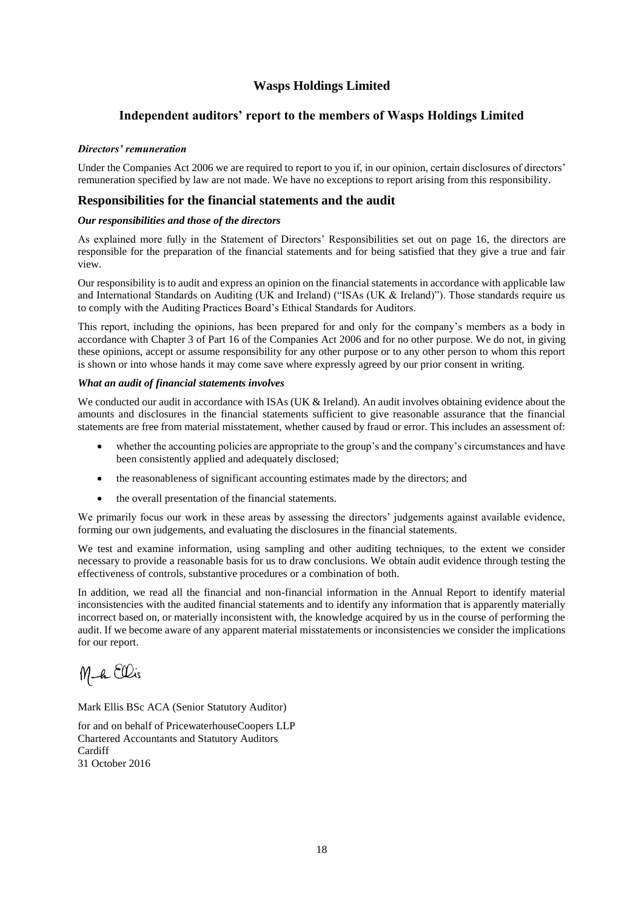### **Independent auditors' report to the members of Wasps Holdings Limited**

#### *Directors' remuneration*

Under the Companies Act 2006 we are required to report to you if, in our opinion, certain disclosures of directors' remuneration specified by law are not made. We have no exceptions to report arising from this responsibility.

### **Responsibilities for the financial statements and the audit**

#### *Our responsibilities and those of the directors*

As explained more fully in the Statement of Directors' Responsibilities set out on page 16, the directors are responsible for the preparation of the financial statements and for being satisfied that they give a true and fair view.

Our responsibility is to audit and express an opinion on the financial statements in accordance with applicable law and International Standards on Auditing (UK and Ireland) ("ISAs (UK & Ireland)"). Those standards require us to comply with the Auditing Practices Board's Ethical Standards for Auditors.

This report, including the opinions, has been prepared for and only for the company's members as a body in accordance with Chapter 3 of Part 16 of the Companies Act 2006 and for no other purpose. We do not, in giving these opinions, accept or assume responsibility for any other purpose or to any other person to whom this report is shown or into whose hands it may come save where expressly agreed by our prior consent in writing.

#### *What an audit of financial statements involves*

We conducted our audit in accordance with ISAs (UK & Ireland). An audit involves obtaining evidence about the amounts and disclosures in the financial statements sufficient to give reasonable assurance that the financial statements are free from material misstatement, whether caused by fraud or error. This includes an assessment of:

- whether the accounting policies are appropriate to the group's and the company's circumstances and have been consistently applied and adequately disclosed;
- the reasonableness of significant accounting estimates made by the directors; and
- the overall presentation of the financial statements.

We primarily focus our work in these areas by assessing the directors' judgements against available evidence, forming our own judgements, and evaluating the disclosures in the financial statements.

We test and examine information, using sampling and other auditing techniques, to the extent we consider necessary to provide a reasonable basis for us to draw conclusions. We obtain audit evidence through testing the effectiveness of controls, substantive procedures or a combination of both.

In addition, we read all the financial and non-financial information in the Annual Report to identify material inconsistencies with the audited financial statements and to identify any information that is apparently materially incorrect based on, or materially inconsistent with, the knowledge acquired by us in the course of performing the audit. If we become aware of any apparent material misstatements or inconsistencies we consider the implications for our report.

Ma Ellis

Mark Ellis BSc ACA (Senior Statutory Auditor)

for and on behalf of PricewaterhouseCoopers LLP Chartered Accountants and Statutory Auditors Cardiff 31 October 2016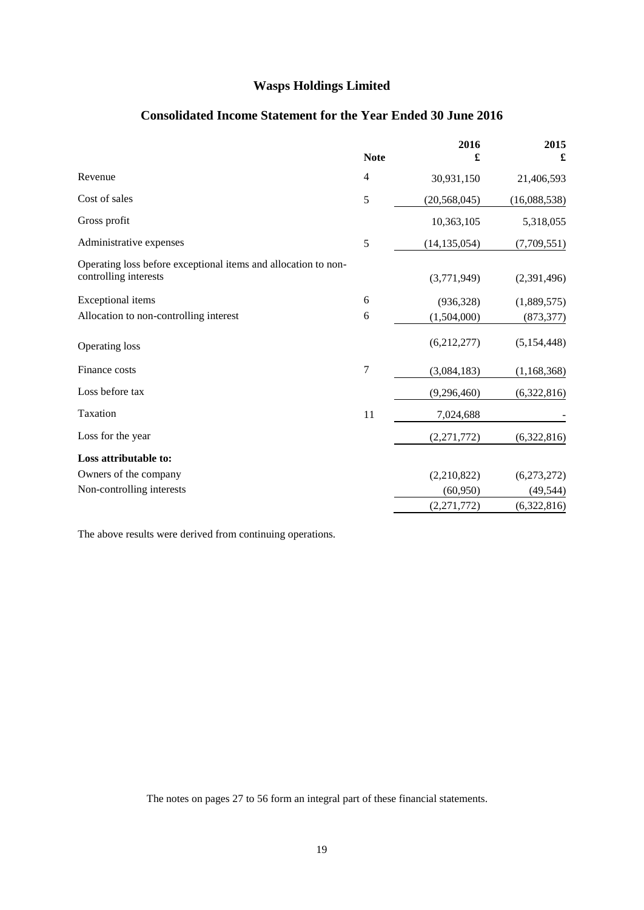### **Consolidated Income Statement for the Year Ended 30 June 2016**

|                                                                                         | <b>Note</b>      | 2016<br>£      | 2015<br>£     |
|-----------------------------------------------------------------------------------------|------------------|----------------|---------------|
| Revenue                                                                                 | 4                | 30,931,150     | 21,406,593    |
| Cost of sales                                                                           | 5                | (20, 568, 045) | (16,088,538)  |
| Gross profit                                                                            |                  | 10,363,105     | 5,318,055     |
| Administrative expenses                                                                 | 5                | (14, 135, 054) | (7,709,551)   |
| Operating loss before exceptional items and allocation to non-<br>controlling interests |                  | (3,771,949)    | (2,391,496)   |
| Exceptional items                                                                       | 6                | (936, 328)     | (1,889,575)   |
| Allocation to non-controlling interest                                                  | $\boldsymbol{6}$ | (1,504,000)    | (873, 377)    |
| <b>Operating loss</b>                                                                   |                  | (6,212,277)    | (5, 154, 448) |
| Finance costs                                                                           | $\overline{7}$   | (3,084,183)    | (1, 168, 368) |
| Loss before tax                                                                         |                  | (9,296,460)    | (6,322,816)   |
| Taxation                                                                                | 11               | 7,024,688      |               |
| Loss for the year                                                                       |                  | (2,271,772)    | (6,322,816)   |
| Loss attributable to:                                                                   |                  |                |               |
| Owners of the company                                                                   |                  | (2,210,822)    | (6,273,272)   |
| Non-controlling interests                                                               |                  | (60, 950)      | (49, 544)     |
|                                                                                         |                  | (2,271,772)    | (6,322,816)   |

The above results were derived from continuing operations.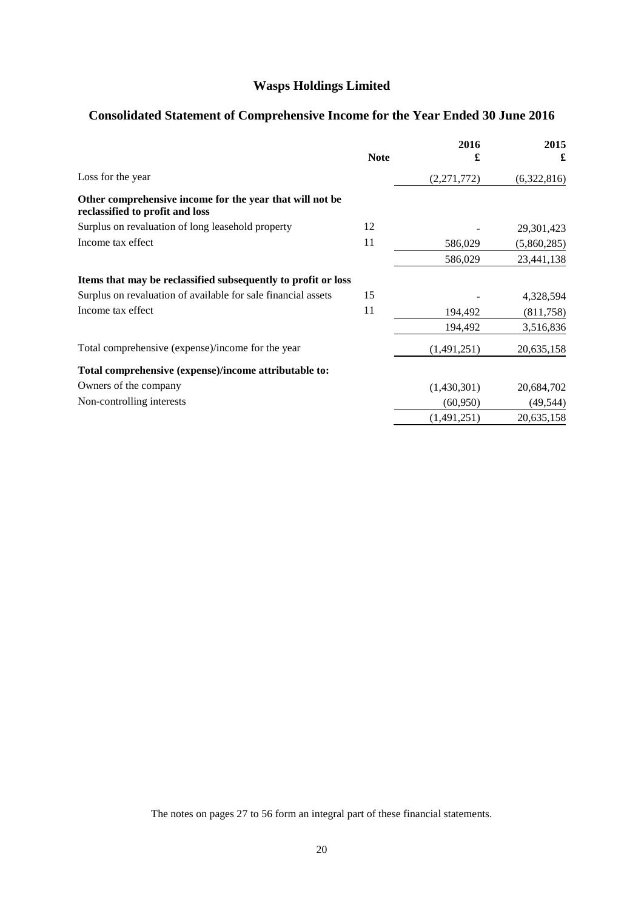# **Consolidated Statement of Comprehensive Income for the Year Ended 30 June 2016**

|                                                                                             |             | 2016        | 2015        |
|---------------------------------------------------------------------------------------------|-------------|-------------|-------------|
|                                                                                             | <b>Note</b> | £           | £           |
| Loss for the year                                                                           |             | (2,271,772) | (6,322,816) |
| Other comprehensive income for the year that will not be<br>reclassified to profit and loss |             |             |             |
| Surplus on revaluation of long leasehold property                                           | 12          |             | 29,301,423  |
| Income tax effect                                                                           | 11          | 586,029     | (5,860,285) |
|                                                                                             |             | 586,029     | 23,441,138  |
| Items that may be reclassified subsequently to profit or loss                               |             |             |             |
| Surplus on revaluation of available for sale financial assets                               | 15          |             | 4,328,594   |
| Income tax effect                                                                           | 11          | 194,492     | (811,758)   |
|                                                                                             |             | 194,492     | 3,516,836   |
| Total comprehensive (expense)/income for the year                                           |             | (1,491,251) | 20,635,158  |
| Total comprehensive (expense)/income attributable to:                                       |             |             |             |
| Owners of the company                                                                       |             | (1,430,301) | 20,684,702  |
| Non-controlling interests                                                                   |             | (60, 950)   | (49, 544)   |
|                                                                                             |             | (1,491,251) | 20,635,158  |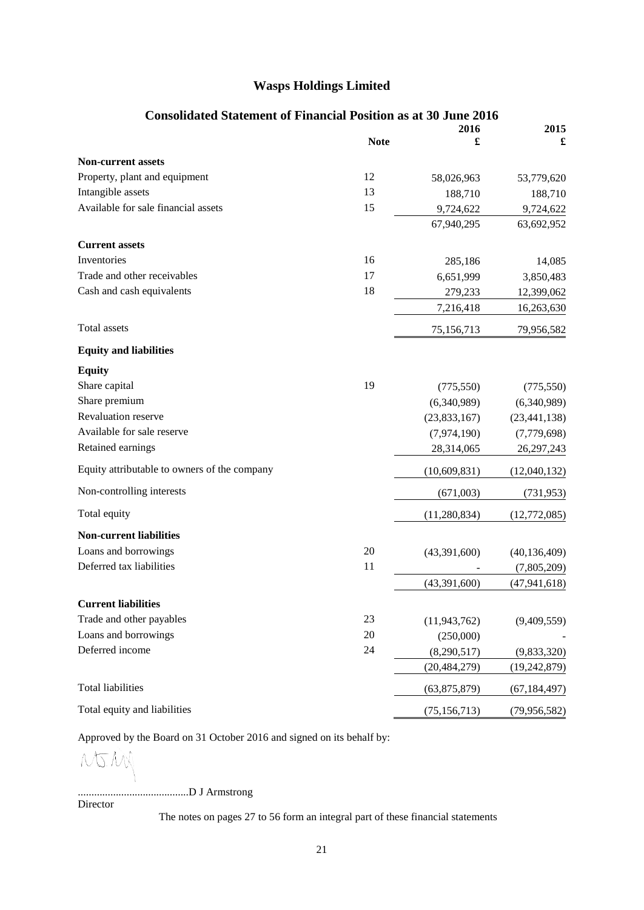| <b>Consolidated Statement of Financial Position as at 30 June 2016</b> |             |                |                |
|------------------------------------------------------------------------|-------------|----------------|----------------|
|                                                                        | <b>Note</b> | 2016<br>£      | 2015<br>£      |
| <b>Non-current assets</b>                                              |             |                |                |
| Property, plant and equipment                                          | 12          | 58,026,963     | 53,779,620     |
| Intangible assets                                                      | 13          | 188,710        | 188,710        |
| Available for sale financial assets                                    | 15          | 9,724,622      | 9,724,622      |
|                                                                        |             | 67,940,295     | 63,692,952     |
| <b>Current assets</b>                                                  |             |                |                |
| Inventories                                                            | 16          | 285,186        | 14,085         |
| Trade and other receivables                                            | 17          | 6,651,999      | 3,850,483      |
| Cash and cash equivalents                                              | 18          | 279,233        | 12,399,062     |
|                                                                        |             | 7,216,418      | 16,263,630     |
| Total assets                                                           |             | 75,156,713     | 79,956,582     |
| <b>Equity and liabilities</b>                                          |             |                |                |
| <b>Equity</b>                                                          |             |                |                |
| Share capital                                                          | 19          | (775, 550)     | (775, 550)     |
| Share premium                                                          |             | (6,340,989)    | (6,340,989)    |
| <b>Revaluation reserve</b>                                             |             | (23, 833, 167) | (23, 441, 138) |
| Available for sale reserve                                             |             | (7,974,190)    | (7,779,698)    |
| Retained earnings                                                      |             | 28,314,065     | 26, 297, 243   |
| Equity attributable to owners of the company                           |             | (10,609,831)   | (12,040,132)   |
| Non-controlling interests                                              |             | (671,003)      | (731, 953)     |
| Total equity                                                           |             | (11, 280, 834) | (12,772,085)   |
| <b>Non-current liabilities</b>                                         |             |                |                |
| Loans and borrowings                                                   | 20          | (43,391,600)   | (40, 136, 409) |
| Deferred tax liabilities                                               | 11          |                | (7,805,209)    |
|                                                                        |             | (43,391,600)   | (47, 941, 618) |
| <b>Current liabilities</b>                                             |             |                |                |
| Trade and other payables                                               | 23          | (11, 943, 762) | (9,409,559)    |
| Loans and borrowings                                                   | 20          | (250,000)      |                |
| Deferred income                                                        | 24          | (8,290,517)    | (9,833,320)    |
|                                                                        |             | (20, 484, 279) | (19, 242, 879) |
| <b>Total liabilities</b>                                               |             | (63,875,879)   | (67, 184, 497) |
| Total equity and liabilities                                           |             | (75, 156, 713) | (79, 956, 582) |

Approved by the Board on 31 October 2016 and signed on its behalf by:

NO.M

.........................................D J Armstrong

Director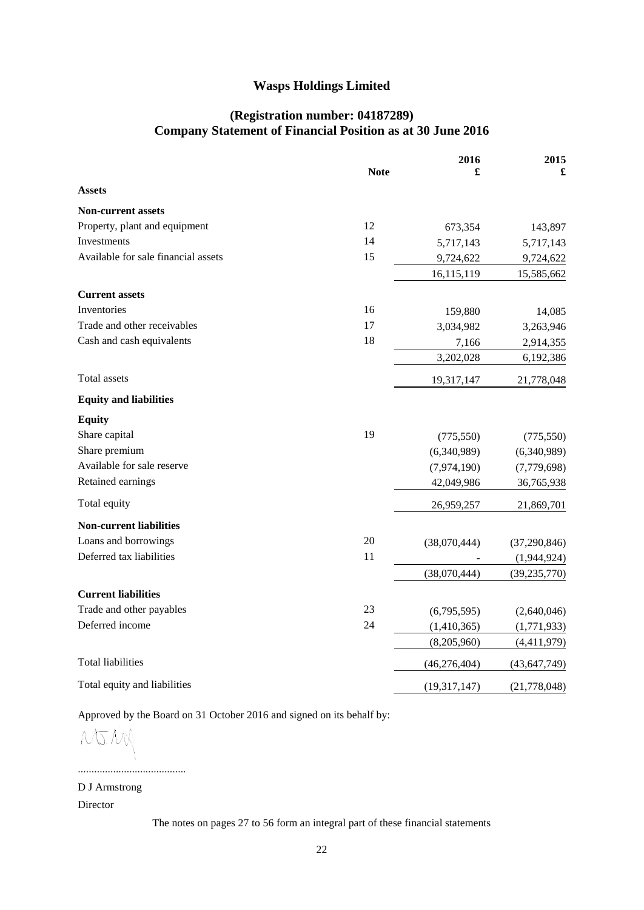### **(Registration number: 04187289) Company Statement of Financial Position as at 30 June 2016**

|                                     |             | 2016           | 2015           |
|-------------------------------------|-------------|----------------|----------------|
|                                     | <b>Note</b> | £              | £              |
| <b>Assets</b>                       |             |                |                |
| <b>Non-current assets</b>           |             |                |                |
| Property, plant and equipment       | 12          | 673,354        | 143,897        |
| Investments                         | 14          | 5,717,143      | 5,717,143      |
| Available for sale financial assets | 15          | 9,724,622      | 9,724,622      |
|                                     |             | 16,115,119     | 15,585,662     |
| <b>Current assets</b>               |             |                |                |
| Inventories                         | 16          | 159,880        | 14,085         |
| Trade and other receivables         | 17          | 3,034,982      | 3,263,946      |
| Cash and cash equivalents           | 18          | 7,166          | 2,914,355      |
|                                     |             | 3,202,028      | 6,192,386      |
| <b>Total assets</b>                 |             | 19,317,147     | 21,778,048     |
| <b>Equity and liabilities</b>       |             |                |                |
| <b>Equity</b>                       |             |                |                |
| Share capital                       | 19          | (775, 550)     | (775, 550)     |
| Share premium                       |             | (6,340,989)    | (6,340,989)    |
| Available for sale reserve          |             | (7,974,190)    | (7,779,698)    |
| Retained earnings                   |             | 42,049,986     | 36,765,938     |
| Total equity                        |             | 26,959,257     | 21,869,701     |
| <b>Non-current liabilities</b>      |             |                |                |
| Loans and borrowings                | 20          | (38,070,444)   | (37, 290, 846) |
| Deferred tax liabilities            | 11          |                | (1,944,924)    |
|                                     |             | (38,070,444)   | (39, 235, 770) |
| <b>Current liabilities</b>          |             |                |                |
| Trade and other payables            | 23          | (6,795,595)    | (2,640,046)    |
| Deferred income                     | 24          | (1,410,365)    | (1,771,933)    |
|                                     |             | (8,205,960)    | (4,411,979)    |
| <b>Total liabilities</b>            |             | (46, 276, 404) | (43, 647, 749) |
| Total equity and liabilities        |             | (19, 317, 147) | (21,778,048)   |

Approved by the Board on 31 October 2016 and signed on its behalf by:

NO.M

........................................

D J Armstrong Director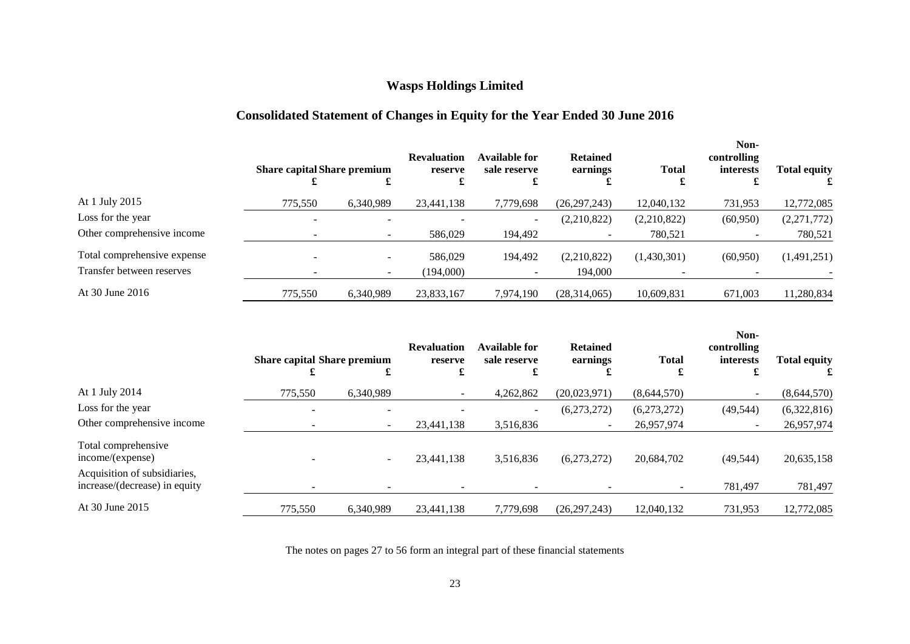## **Consolidated Statement of Changes in Equity for the Year Ended 30 June 2016**

|                             | <b>Share capital Share premium</b> | £                        | <b>Revaluation</b><br>reserve | <b>Available for</b><br>sale reserve | <b>Retained</b><br>earnings<br>x. | <b>Total</b><br>£ | Non-<br>controlling<br>interests | <b>Total equity</b> |
|-----------------------------|------------------------------------|--------------------------|-------------------------------|--------------------------------------|-----------------------------------|-------------------|----------------------------------|---------------------|
|                             |                                    |                          |                               |                                      |                                   |                   |                                  |                     |
| At 1 July 2015              | 775,550                            | 6,340,989                | 23,441,138                    | 7,779,698                            | (26, 297, 243)                    | 12,040,132        | 731,953                          | 12,772,085          |
| Loss for the year           |                                    |                          |                               | $\qquad \qquad \blacksquare$         | (2,210,822)                       | (2,210,822)       | (60, 950)                        | (2,271,772)         |
| Other comprehensive income  |                                    | $\overline{\phantom{0}}$ | 586,029                       | 194,492                              |                                   | 780,521           |                                  | 780,521             |
| Total comprehensive expense |                                    | $\overline{\phantom{0}}$ | 586,029                       | 194,492                              | (2,210,822)                       | (1,430,301)       | (60, 950)                        | (1,491,251)         |
| Transfer between reserves   |                                    | $\sim$                   | (194,000)                     |                                      | 194,000                           |                   |                                  |                     |
| At 30 June 2016             | 775,550                            | 6,340,989                | 23,833,167                    | 7,974,190                            | (28, 314, 065)                    | 10,609,831        | 671,003                          | 11,280,834          |

|                                                               | <b>Share capital Share premium</b> | £                        | <b>Revaluation</b><br>reserve | <b>Available for</b><br>sale reserve | <b>Retained</b><br>earnings | <b>Total</b>             | Non-<br>controlling<br>interests | <b>Total equity</b> |
|---------------------------------------------------------------|------------------------------------|--------------------------|-------------------------------|--------------------------------------|-----------------------------|--------------------------|----------------------------------|---------------------|
| At 1 July 2014                                                | 775,550                            | 6,340,989                | $\sim$                        | 4,262,862                            | (20,023,971)                | (8,644,570)              | $\overline{\phantom{a}}$         | (8,644,570)         |
| Loss for the year                                             |                                    | $\overline{\phantom{a}}$ |                               | $\qquad \qquad \blacksquare$         | (6,273,272)                 | (6,273,272)              | (49, 544)                        | (6,322,816)         |
| Other comprehensive income                                    |                                    | $\overline{\phantom{a}}$ | 23,441,138                    | 3,516,836                            | $\sim$                      | 26,957,974               |                                  | 26,957,974          |
| Total comprehensive<br>income/(expense)                       |                                    | $\overline{\phantom{a}}$ | 23.441.138                    | 3,516,836                            | (6,273,272)                 | 20.684.702               | (49, 544)                        | 20,635,158          |
| Acquisition of subsidiaries,<br>increase/(decrease) in equity |                                    |                          |                               |                                      |                             | $\overline{\phantom{a}}$ | 781,497                          | 781,497             |
| At 30 June 2015                                               | 775.550                            | 6.340.989                | 23,441,138                    | 7.779.698                            | (26, 297, 243)              | 12,040,132               | 731.953                          | 12,772,085          |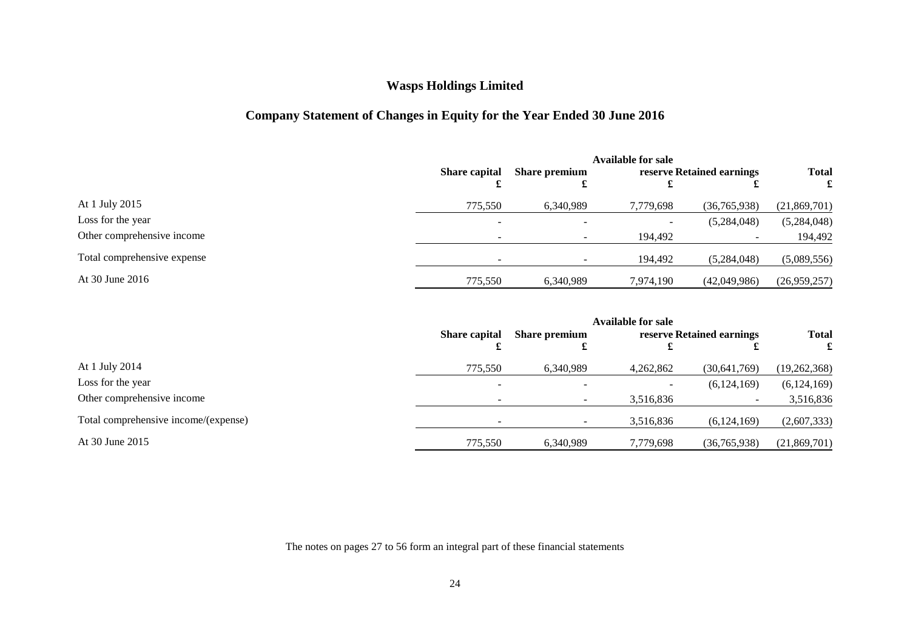## **Company Statement of Changes in Equity for the Year Ended 30 June 2016**

|                             |                          | <b>Available for sale</b> |           |                           |              |
|-----------------------------|--------------------------|---------------------------|-----------|---------------------------|--------------|
|                             | <b>Share capital</b>     | <b>Share premium</b>      |           | reserve Retained earnings | <b>Total</b> |
|                             |                          |                           | t.        |                           |              |
| At 1 July 2015              | 775,550                  | 6,340,989                 | 7,779,698 | (36,765,938)              | (21,869,701) |
| Loss for the year           | $\overline{\phantom{a}}$ |                           | -         | (5,284,048)               | (5,284,048)  |
| Other comprehensive income  |                          |                           | 194,492   |                           | 194,492      |
| Total comprehensive expense | -                        |                           | 194,492   | (5,284,048)               | (5,089,556)  |
| At 30 June 2016             | 775,550                  | 6,340,989                 | 7,974,190 | (42,049,986)              | (26,959,257) |

|                                      |                          | <b>Available for sale</b> |                           |              |                |
|--------------------------------------|--------------------------|---------------------------|---------------------------|--------------|----------------|
|                                      | <b>Share capital</b>     | <b>Share premium</b>      | reserve Retained earnings |              | <b>Total</b>   |
|                                      |                          | au.                       |                           |              |                |
| At 1 July 2014                       | 775,550                  | 6,340,989                 | 4,262,862                 | (30,641,769) | (19, 262, 368) |
| Loss for the year                    |                          |                           |                           | (6,124,169)  | (6,124,169)    |
| Other comprehensive income           | $\overline{\phantom{0}}$ | $\overline{\phantom{0}}$  | 3,516,836                 |              | 3,516,836      |
| Total comprehensive income/(expense) |                          | $\overline{\phantom{a}}$  | 3,516,836                 | (6,124,169)  | (2,607,333)    |
| At 30 June 2015                      | 775,550                  | 6,340,989                 | 7,779,698                 | (36,765,938) | (21,869,701)   |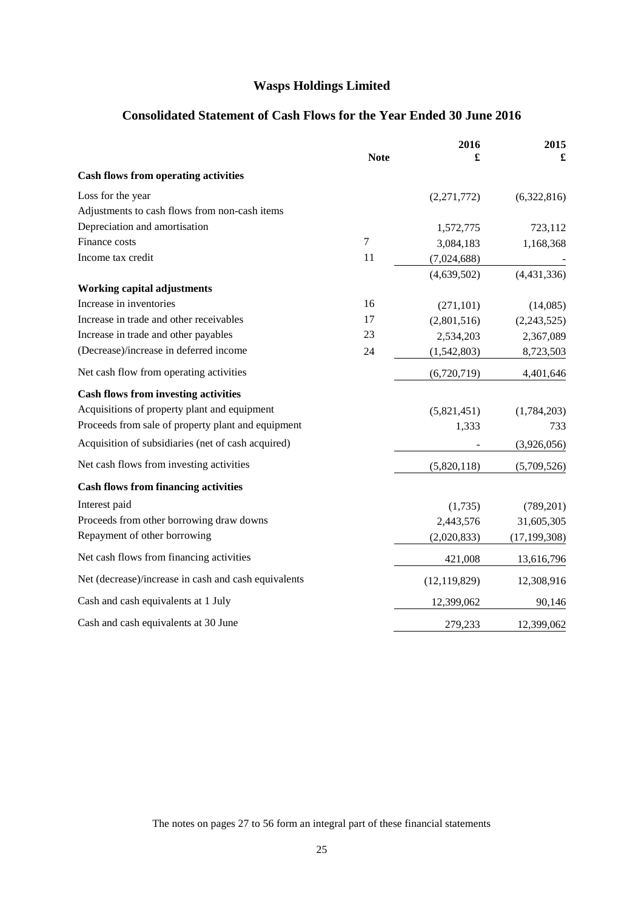### **Consolidated Statement of Cash Flows for the Year Ended 30 June 2016**

| <b>Note</b>                                          | 2016<br>£      | 2015<br>£      |
|------------------------------------------------------|----------------|----------------|
| <b>Cash flows from operating activities</b>          |                |                |
| Loss for the year                                    | (2,271,772)    | (6,322,816)    |
| Adjustments to cash flows from non-cash items        |                |                |
| Depreciation and amortisation                        | 1,572,775      | 723,112        |
| $\overline{7}$<br>Finance costs                      | 3,084,183      | 1,168,368      |
| 11<br>Income tax credit                              | (7,024,688)    |                |
|                                                      | (4,639,502)    | (4, 431, 336)  |
| <b>Working capital adjustments</b>                   |                |                |
| Increase in inventories<br>16                        | (271, 101)     | (14,085)       |
| Increase in trade and other receivables<br>17        | (2,801,516)    | (2,243,525)    |
| Increase in trade and other payables<br>23           | 2,534,203      | 2,367,089      |
| (Decrease)/increase in deferred income<br>24         | (1,542,803)    | 8,723,503      |
| Net cash flow from operating activities              | (6,720,719)    | 4,401,646      |
| <b>Cash flows from investing activities</b>          |                |                |
| Acquisitions of property plant and equipment         | (5,821,451)    | (1,784,203)    |
| Proceeds from sale of property plant and equipment   | 1,333          | 733            |
| Acquisition of subsidiaries (net of cash acquired)   |                | (3,926,056)    |
| Net cash flows from investing activities             | (5,820,118)    | (5,709,526)    |
| <b>Cash flows from financing activities</b>          |                |                |
| Interest paid                                        | (1,735)        | (789,201)      |
| Proceeds from other borrowing draw downs             | 2,443,576      | 31,605,305     |
| Repayment of other borrowing                         | (2,020,833)    | (17, 199, 308) |
| Net cash flows from financing activities             | 421,008        | 13,616,796     |
| Net (decrease)/increase in cash and cash equivalents | (12, 119, 829) | 12,308,916     |
| Cash and cash equivalents at 1 July                  | 12,399,062     | 90,146         |
| Cash and cash equivalents at 30 June                 | 279,233        | 12,399,062     |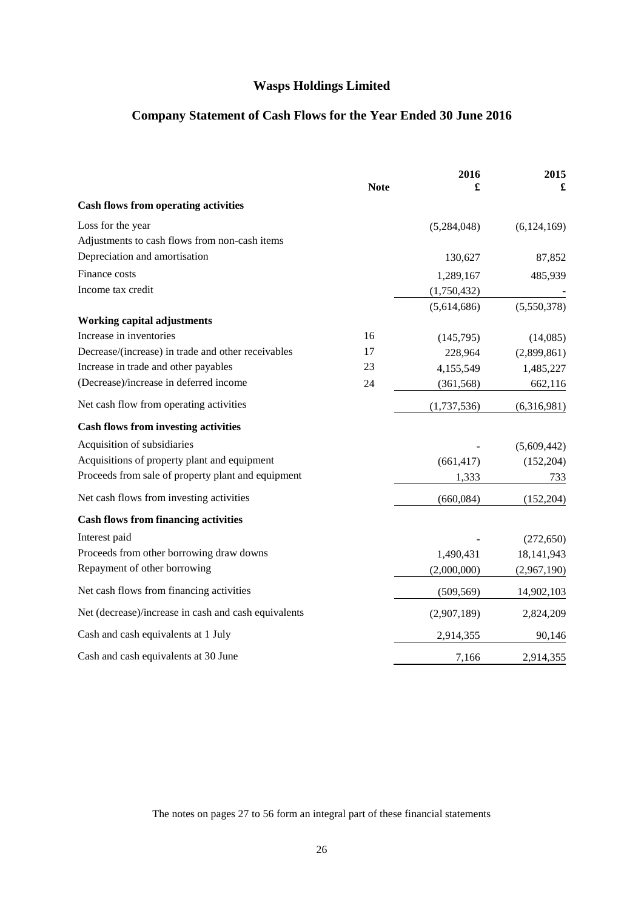# **Company Statement of Cash Flows for the Year Ended 30 June 2016**

|                                                      | <b>Note</b> | 2016<br>£   | 2015<br>£     |
|------------------------------------------------------|-------------|-------------|---------------|
| <b>Cash flows from operating activities</b>          |             |             |               |
| Loss for the year                                    |             | (5,284,048) | (6, 124, 169) |
| Adjustments to cash flows from non-cash items        |             |             |               |
| Depreciation and amortisation                        |             | 130,627     | 87,852        |
| Finance costs                                        |             | 1,289,167   | 485,939       |
| Income tax credit                                    |             | (1,750,432) |               |
|                                                      |             | (5,614,686) | (5,550,378)   |
| <b>Working capital adjustments</b>                   |             |             |               |
| Increase in inventories                              | 16          | (145,795)   | (14,085)      |
| Decrease/(increase) in trade and other receivables   | 17          | 228,964     | (2,899,861)   |
| Increase in trade and other payables                 | 23          | 4,155,549   | 1,485,227     |
| (Decrease)/increase in deferred income               | 24          | (361, 568)  | 662,116       |
| Net cash flow from operating activities              |             | (1,737,536) | (6,316,981)   |
| <b>Cash flows from investing activities</b>          |             |             |               |
| Acquisition of subsidiaries                          |             |             | (5,609,442)   |
| Acquisitions of property plant and equipment         |             | (661, 417)  | (152, 204)    |
| Proceeds from sale of property plant and equipment   |             | 1,333       | 733           |
| Net cash flows from investing activities             |             | (660, 084)  | (152,204)     |
| <b>Cash flows from financing activities</b>          |             |             |               |
| Interest paid                                        |             |             | (272, 650)    |
| Proceeds from other borrowing draw downs             |             | 1,490,431   | 18, 141, 943  |
| Repayment of other borrowing                         |             | (2,000,000) | (2,967,190)   |
| Net cash flows from financing activities             |             | (509, 569)  | 14,902,103    |
| Net (decrease)/increase in cash and cash equivalents |             | (2,907,189) | 2,824,209     |
| Cash and cash equivalents at 1 July                  |             | 2,914,355   | 90,146        |
| Cash and cash equivalents at 30 June                 |             | 7,166       | 2,914,355     |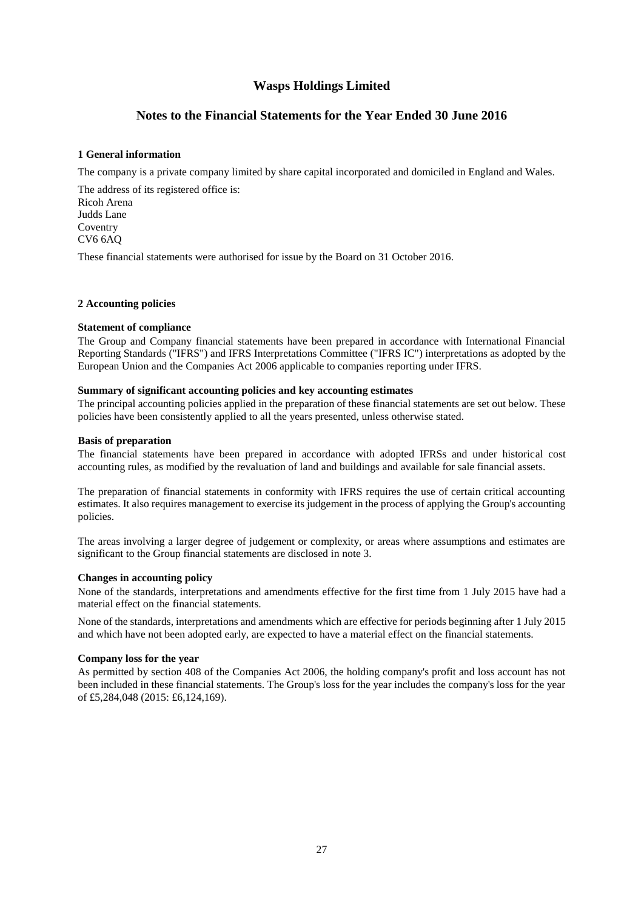### **Notes to the Financial Statements for the Year Ended 30 June 2016**

#### **1 General information**

The company is a private company limited by share capital incorporated and domiciled in England and Wales.

The address of its registered office is: Ricoh Arena Judds Lane Coventry CV6 6AQ

These financial statements were authorised for issue by the Board on 31 October 2016.

#### **2 Accounting policies**

#### **Statement of compliance**

The Group and Company financial statements have been prepared in accordance with International Financial Reporting Standards ("IFRS") and IFRS Interpretations Committee ("IFRS IC") interpretations as adopted by the European Union and the Companies Act 2006 applicable to companies reporting under IFRS.

#### **Summary of significant accounting policies and key accounting estimates**

The principal accounting policies applied in the preparation of these financial statements are set out below. These policies have been consistently applied to all the years presented, unless otherwise stated.

#### **Basis of preparation**

The financial statements have been prepared in accordance with adopted IFRSs and under historical cost accounting rules, as modified by the revaluation of land and buildings and available for sale financial assets.

The preparation of financial statements in conformity with IFRS requires the use of certain critical accounting estimates. It also requires management to exercise its judgement in the process of applying the Group's accounting policies.

The areas involving a larger degree of judgement or complexity, or areas where assumptions and estimates are significant to the Group financial statements are disclosed in note 3.

#### **Changes in accounting policy**

None of the standards, interpretations and amendments effective for the first time from 1 July 2015 have had a material effect on the financial statements.

None of the standards, interpretations and amendments which are effective for periods beginning after 1 July 2015 and which have not been adopted early, are expected to have a material effect on the financial statements.

#### **Company loss for the year**

As permitted by section 408 of the Companies Act 2006, the holding company's profit and loss account has not been included in these financial statements. The Group's loss for the year includes the company's loss for the year of £5,284,048 (2015: £6,124,169).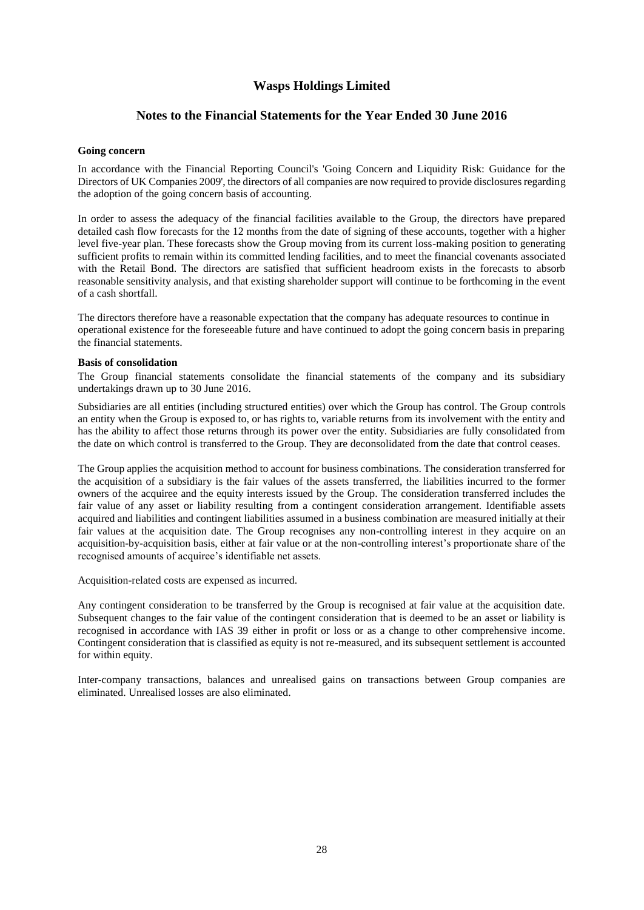### **Notes to the Financial Statements for the Year Ended 30 June 2016**

#### **Going concern**

In accordance with the Financial Reporting Council's 'Going Concern and Liquidity Risk: Guidance for the Directors of UK Companies 2009', the directors of all companies are now required to provide disclosures regarding the adoption of the going concern basis of accounting.

In order to assess the adequacy of the financial facilities available to the Group, the directors have prepared detailed cash flow forecasts for the 12 months from the date of signing of these accounts, together with a higher level five-year plan. These forecasts show the Group moving from its current loss-making position to generating sufficient profits to remain within its committed lending facilities, and to meet the financial covenants associated with the Retail Bond. The directors are satisfied that sufficient headroom exists in the forecasts to absorb reasonable sensitivity analysis, and that existing shareholder support will continue to be forthcoming in the event of a cash shortfall.

The directors therefore have a reasonable expectation that the company has adequate resources to continue in operational existence for the foreseeable future and have continued to adopt the going concern basis in preparing the financial statements.

#### **Basis of consolidation**

The Group financial statements consolidate the financial statements of the company and its subsidiary undertakings drawn up to 30 June 2016.

Subsidiaries are all entities (including structured entities) over which the Group has control. The Group controls an entity when the Group is exposed to, or has rights to, variable returns from its involvement with the entity and has the ability to affect those returns through its power over the entity. Subsidiaries are fully consolidated from the date on which control is transferred to the Group. They are deconsolidated from the date that control ceases.

The Group applies the acquisition method to account for business combinations. The consideration transferred for the acquisition of a subsidiary is the fair values of the assets transferred, the liabilities incurred to the former owners of the acquiree and the equity interests issued by the Group. The consideration transferred includes the fair value of any asset or liability resulting from a contingent consideration arrangement. Identifiable assets acquired and liabilities and contingent liabilities assumed in a business combination are measured initially at their fair values at the acquisition date. The Group recognises any non-controlling interest in they acquire on an acquisition-by-acquisition basis, either at fair value or at the non-controlling interest's proportionate share of the recognised amounts of acquiree's identifiable net assets.

Acquisition-related costs are expensed as incurred.

Any contingent consideration to be transferred by the Group is recognised at fair value at the acquisition date. Subsequent changes to the fair value of the contingent consideration that is deemed to be an asset or liability is recognised in accordance with IAS 39 either in profit or loss or as a change to other comprehensive income. Contingent consideration that is classified as equity is not re-measured, and its subsequent settlement is accounted for within equity.

Inter-company transactions, balances and unrealised gains on transactions between Group companies are eliminated. Unrealised losses are also eliminated.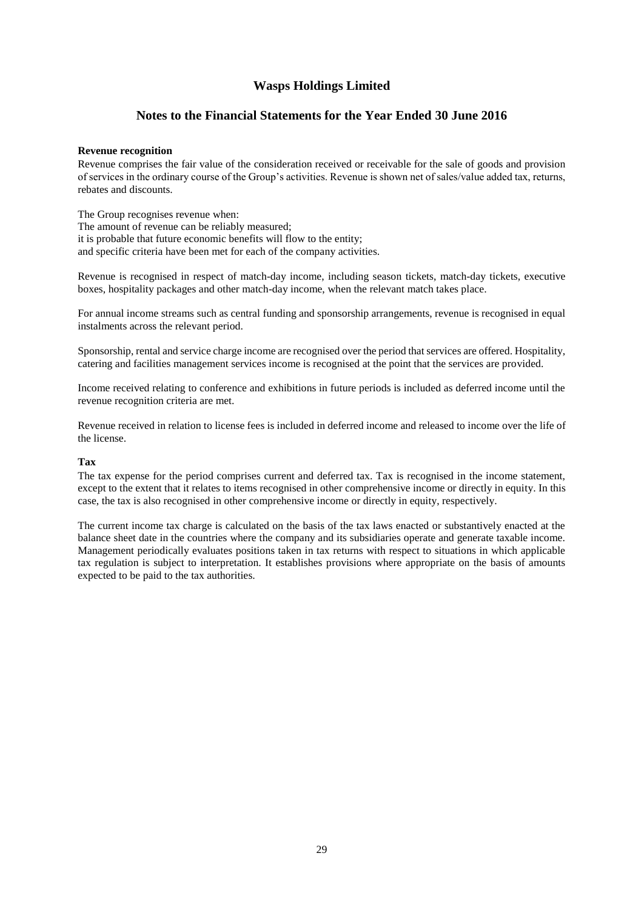### **Notes to the Financial Statements for the Year Ended 30 June 2016**

#### **Revenue recognition**

Revenue comprises the fair value of the consideration received or receivable for the sale of goods and provision of services in the ordinary course of the Group's activities. Revenue is shown net of sales/value added tax, returns, rebates and discounts.

The Group recognises revenue when: The amount of revenue can be reliably measured; it is probable that future economic benefits will flow to the entity; and specific criteria have been met for each of the company activities.

Revenue is recognised in respect of match-day income, including season tickets, match-day tickets, executive boxes, hospitality packages and other match-day income, when the relevant match takes place.

For annual income streams such as central funding and sponsorship arrangements, revenue is recognised in equal instalments across the relevant period.

Sponsorship, rental and service charge income are recognised over the period that services are offered. Hospitality, catering and facilities management services income is recognised at the point that the services are provided.

Income received relating to conference and exhibitions in future periods is included as deferred income until the revenue recognition criteria are met.

Revenue received in relation to license fees is included in deferred income and released to income over the life of the license.

#### **Tax**

The tax expense for the period comprises current and deferred tax. Tax is recognised in the income statement, except to the extent that it relates to items recognised in other comprehensive income or directly in equity. In this case, the tax is also recognised in other comprehensive income or directly in equity, respectively.

The current income tax charge is calculated on the basis of the tax laws enacted or substantively enacted at the balance sheet date in the countries where the company and its subsidiaries operate and generate taxable income. Management periodically evaluates positions taken in tax returns with respect to situations in which applicable tax regulation is subject to interpretation. It establishes provisions where appropriate on the basis of amounts expected to be paid to the tax authorities.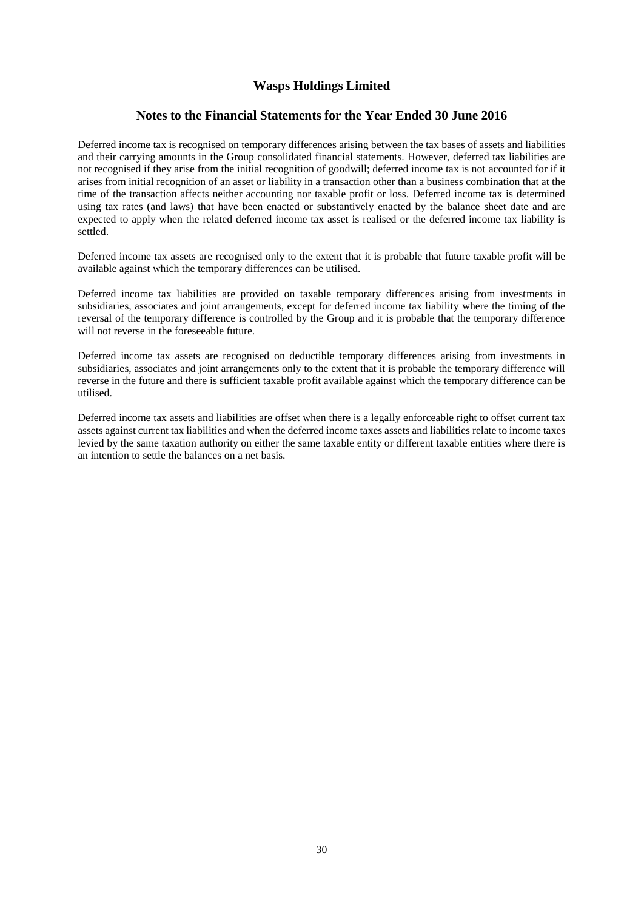### **Notes to the Financial Statements for the Year Ended 30 June 2016**

Deferred income tax is recognised on temporary differences arising between the tax bases of assets and liabilities and their carrying amounts in the Group consolidated financial statements. However, deferred tax liabilities are not recognised if they arise from the initial recognition of goodwill; deferred income tax is not accounted for if it arises from initial recognition of an asset or liability in a transaction other than a business combination that at the time of the transaction affects neither accounting nor taxable profit or loss. Deferred income tax is determined using tax rates (and laws) that have been enacted or substantively enacted by the balance sheet date and are expected to apply when the related deferred income tax asset is realised or the deferred income tax liability is settled.

Deferred income tax assets are recognised only to the extent that it is probable that future taxable profit will be available against which the temporary differences can be utilised.

Deferred income tax liabilities are provided on taxable temporary differences arising from investments in subsidiaries, associates and joint arrangements, except for deferred income tax liability where the timing of the reversal of the temporary difference is controlled by the Group and it is probable that the temporary difference will not reverse in the foreseeable future.

Deferred income tax assets are recognised on deductible temporary differences arising from investments in subsidiaries, associates and joint arrangements only to the extent that it is probable the temporary difference will reverse in the future and there is sufficient taxable profit available against which the temporary difference can be utilised.

Deferred income tax assets and liabilities are offset when there is a legally enforceable right to offset current tax assets against current tax liabilities and when the deferred income taxes assets and liabilities relate to income taxes levied by the same taxation authority on either the same taxable entity or different taxable entities where there is an intention to settle the balances on a net basis.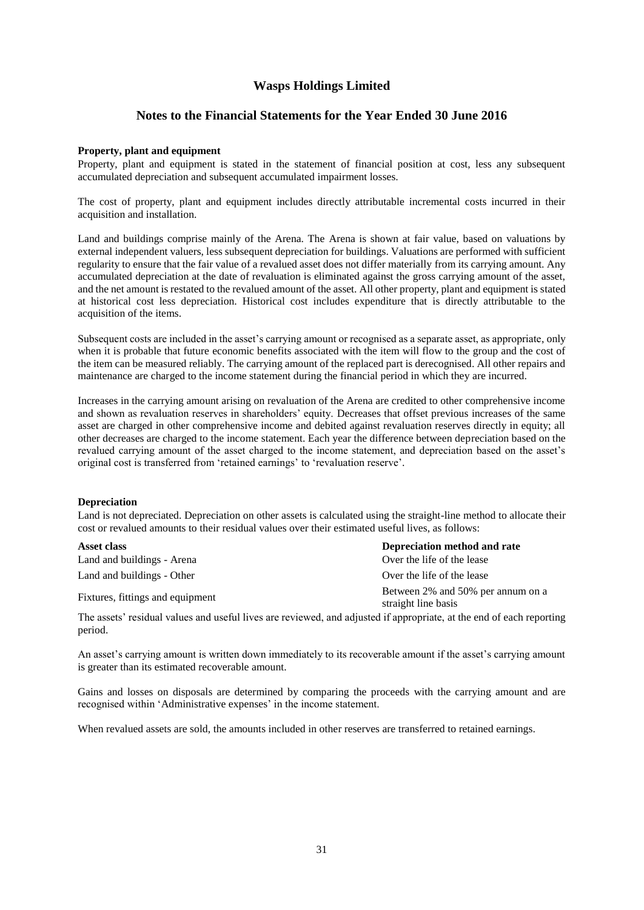#### **Notes to the Financial Statements for the Year Ended 30 June 2016**

#### **Property, plant and equipment**

Property, plant and equipment is stated in the statement of financial position at cost, less any subsequent accumulated depreciation and subsequent accumulated impairment losses.

The cost of property, plant and equipment includes directly attributable incremental costs incurred in their acquisition and installation.

Land and buildings comprise mainly of the Arena. The Arena is shown at fair value, based on valuations by external independent valuers, less subsequent depreciation for buildings. Valuations are performed with sufficient regularity to ensure that the fair value of a revalued asset does not differ materially from its carrying amount. Any accumulated depreciation at the date of revaluation is eliminated against the gross carrying amount of the asset, and the net amount is restated to the revalued amount of the asset. All other property, plant and equipment is stated at historical cost less depreciation. Historical cost includes expenditure that is directly attributable to the acquisition of the items.

Subsequent costs are included in the asset's carrying amount or recognised as a separate asset, as appropriate, only when it is probable that future economic benefits associated with the item will flow to the group and the cost of the item can be measured reliably. The carrying amount of the replaced part is derecognised. All other repairs and maintenance are charged to the income statement during the financial period in which they are incurred.

Increases in the carrying amount arising on revaluation of the Arena are credited to other comprehensive income and shown as revaluation reserves in shareholders' equity. Decreases that offset previous increases of the same asset are charged in other comprehensive income and debited against revaluation reserves directly in equity; all other decreases are charged to the income statement. Each year the difference between depreciation based on the revalued carrying amount of the asset charged to the income statement, and depreciation based on the asset's original cost is transferred from 'retained earnings' to 'revaluation reserve'.

#### **Depreciation**

Land is not depreciated. Depreciation on other assets is calculated using the straight-line method to allocate their cost or revalued amounts to their residual values over their estimated useful lives, as follows:

**Asset class Depreciation method and rate** Land and buildings - Arena  $\blacksquare$ 

Land and buildings - Other Cover the life of the lease Fixtures, fittings and equipment Between 2% and 50% per annum on a straight line basis

The assets' residual values and useful lives are reviewed, and adjusted if appropriate, at the end of each reporting period.

An asset's carrying amount is written down immediately to its recoverable amount if the asset's carrying amount is greater than its estimated recoverable amount.

Gains and losses on disposals are determined by comparing the proceeds with the carrying amount and are recognised within 'Administrative expenses' in the income statement.

When revalued assets are sold, the amounts included in other reserves are transferred to retained earnings.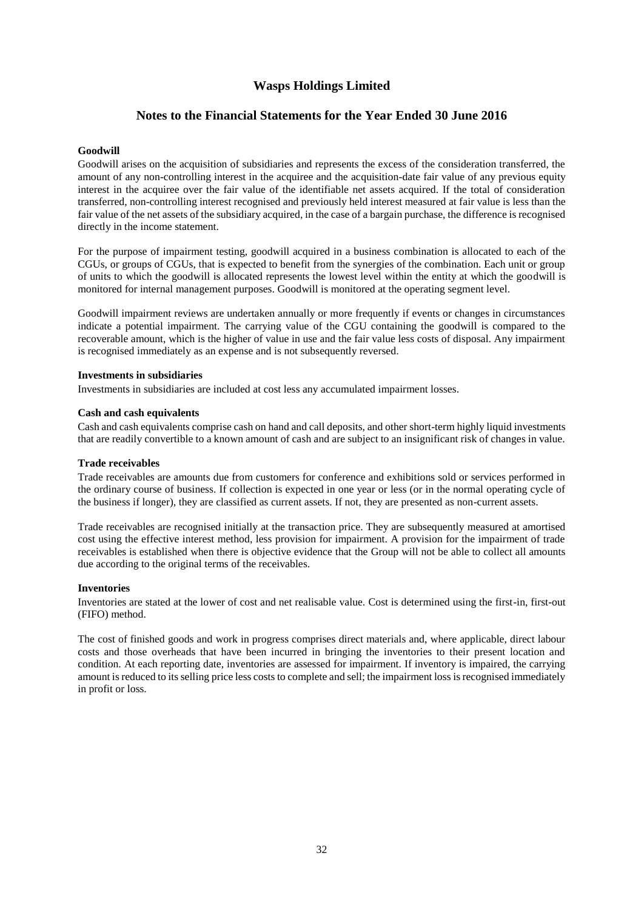### **Notes to the Financial Statements for the Year Ended 30 June 2016**

#### **Goodwill**

Goodwill arises on the acquisition of subsidiaries and represents the excess of the consideration transferred, the amount of any non-controlling interest in the acquiree and the acquisition-date fair value of any previous equity interest in the acquiree over the fair value of the identifiable net assets acquired. If the total of consideration transferred, non-controlling interest recognised and previously held interest measured at fair value is less than the fair value of the net assets of the subsidiary acquired, in the case of a bargain purchase, the difference is recognised directly in the income statement.

For the purpose of impairment testing, goodwill acquired in a business combination is allocated to each of the CGUs, or groups of CGUs, that is expected to benefit from the synergies of the combination. Each unit or group of units to which the goodwill is allocated represents the lowest level within the entity at which the goodwill is monitored for internal management purposes. Goodwill is monitored at the operating segment level.

Goodwill impairment reviews are undertaken annually or more frequently if events or changes in circumstances indicate a potential impairment. The carrying value of the CGU containing the goodwill is compared to the recoverable amount, which is the higher of value in use and the fair value less costs of disposal. Any impairment is recognised immediately as an expense and is not subsequently reversed.

#### **Investments in subsidiaries**

Investments in subsidiaries are included at cost less any accumulated impairment losses.

#### **Cash and cash equivalents**

Cash and cash equivalents comprise cash on hand and call deposits, and other short-term highly liquid investments that are readily convertible to a known amount of cash and are subject to an insignificant risk of changes in value.

#### **Trade receivables**

Trade receivables are amounts due from customers for conference and exhibitions sold or services performed in the ordinary course of business. If collection is expected in one year or less (or in the normal operating cycle of the business if longer), they are classified as current assets. If not, they are presented as non-current assets.

Trade receivables are recognised initially at the transaction price. They are subsequently measured at amortised cost using the effective interest method, less provision for impairment. A provision for the impairment of trade receivables is established when there is objective evidence that the Group will not be able to collect all amounts due according to the original terms of the receivables.

#### **Inventories**

Inventories are stated at the lower of cost and net realisable value. Cost is determined using the first-in, first-out (FIFO) method.

The cost of finished goods and work in progress comprises direct materials and, where applicable, direct labour costs and those overheads that have been incurred in bringing the inventories to their present location and condition. At each reporting date, inventories are assessed for impairment. If inventory is impaired, the carrying amount is reduced to its selling price less costs to complete and sell; the impairment loss is recognised immediately in profit or loss.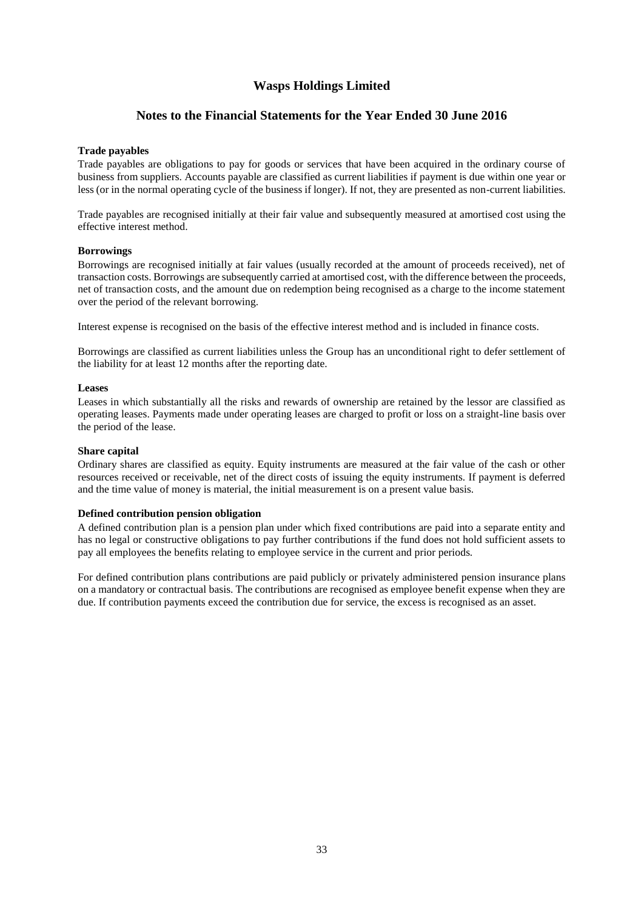### **Notes to the Financial Statements for the Year Ended 30 June 2016**

#### **Trade payables**

Trade payables are obligations to pay for goods or services that have been acquired in the ordinary course of business from suppliers. Accounts payable are classified as current liabilities if payment is due within one year or less (or in the normal operating cycle of the business if longer). If not, they are presented as non-current liabilities.

Trade payables are recognised initially at their fair value and subsequently measured at amortised cost using the effective interest method.

#### **Borrowings**

Borrowings are recognised initially at fair values (usually recorded at the amount of proceeds received), net of transaction costs. Borrowings are subsequently carried at amortised cost, with the difference between the proceeds, net of transaction costs, and the amount due on redemption being recognised as a charge to the income statement over the period of the relevant borrowing.

Interest expense is recognised on the basis of the effective interest method and is included in finance costs.

Borrowings are classified as current liabilities unless the Group has an unconditional right to defer settlement of the liability for at least 12 months after the reporting date.

#### **Leases**

Leases in which substantially all the risks and rewards of ownership are retained by the lessor are classified as operating leases. Payments made under operating leases are charged to profit or loss on a straight-line basis over the period of the lease.

#### **Share capital**

Ordinary shares are classified as equity. Equity instruments are measured at the fair value of the cash or other resources received or receivable, net of the direct costs of issuing the equity instruments. If payment is deferred and the time value of money is material, the initial measurement is on a present value basis.

#### **Defined contribution pension obligation**

A defined contribution plan is a pension plan under which fixed contributions are paid into a separate entity and has no legal or constructive obligations to pay further contributions if the fund does not hold sufficient assets to pay all employees the benefits relating to employee service in the current and prior periods.

For defined contribution plans contributions are paid publicly or privately administered pension insurance plans on a mandatory or contractual basis. The contributions are recognised as employee benefit expense when they are due. If contribution payments exceed the contribution due for service, the excess is recognised as an asset.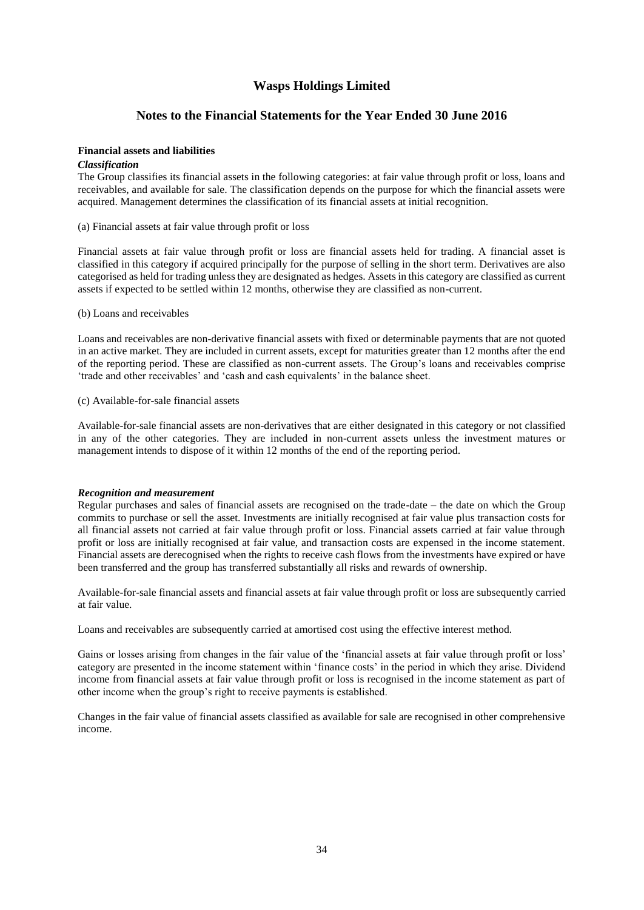### **Notes to the Financial Statements for the Year Ended 30 June 2016**

#### **Financial assets and liabilities**

#### *Classification*

The Group classifies its financial assets in the following categories: at fair value through profit or loss, loans and receivables, and available for sale. The classification depends on the purpose for which the financial assets were acquired. Management determines the classification of its financial assets at initial recognition.

(a) Financial assets at fair value through profit or loss

Financial assets at fair value through profit or loss are financial assets held for trading. A financial asset is classified in this category if acquired principally for the purpose of selling in the short term. Derivatives are also categorised as held for trading unless they are designated as hedges. Assets in this category are classified as current assets if expected to be settled within 12 months, otherwise they are classified as non-current.

#### (b) Loans and receivables

Loans and receivables are non-derivative financial assets with fixed or determinable payments that are not quoted in an active market. They are included in current assets, except for maturities greater than 12 months after the end of the reporting period. These are classified as non-current assets. The Group's loans and receivables comprise 'trade and other receivables' and 'cash and cash equivalents' in the balance sheet.

#### (c) Available-for-sale financial assets

Available-for-sale financial assets are non-derivatives that are either designated in this category or not classified in any of the other categories. They are included in non-current assets unless the investment matures or management intends to dispose of it within 12 months of the end of the reporting period.

#### *Recognition and measurement*

Regular purchases and sales of financial assets are recognised on the trade-date – the date on which the Group commits to purchase or sell the asset. Investments are initially recognised at fair value plus transaction costs for all financial assets not carried at fair value through profit or loss. Financial assets carried at fair value through profit or loss are initially recognised at fair value, and transaction costs are expensed in the income statement. Financial assets are derecognised when the rights to receive cash flows from the investments have expired or have been transferred and the group has transferred substantially all risks and rewards of ownership.

Available-for-sale financial assets and financial assets at fair value through profit or loss are subsequently carried at fair value.

Loans and receivables are subsequently carried at amortised cost using the effective interest method.

Gains or losses arising from changes in the fair value of the 'financial assets at fair value through profit or loss' category are presented in the income statement within 'finance costs' in the period in which they arise. Dividend income from financial assets at fair value through profit or loss is recognised in the income statement as part of other income when the group's right to receive payments is established.

Changes in the fair value of financial assets classified as available for sale are recognised in other comprehensive income.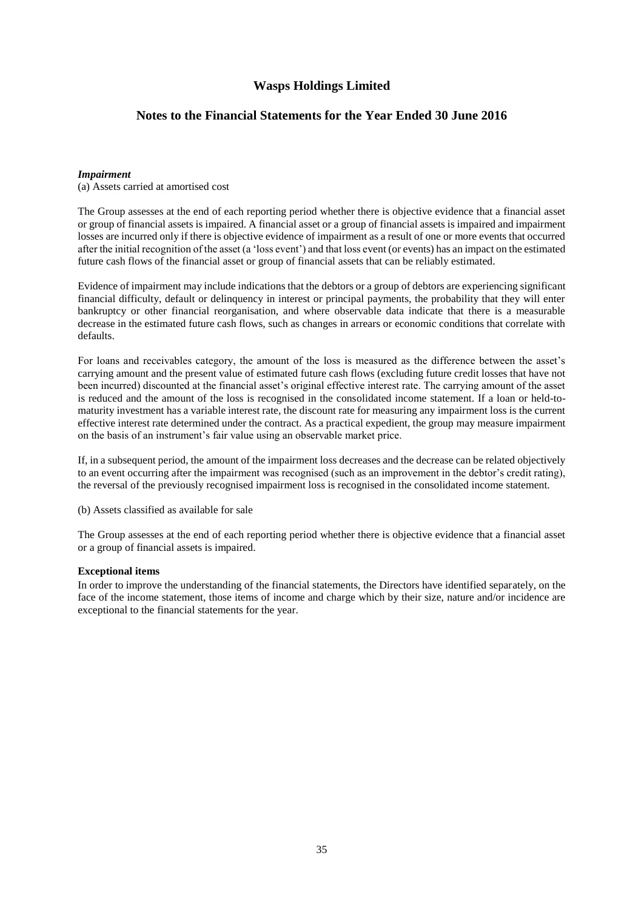### **Notes to the Financial Statements for the Year Ended 30 June 2016**

#### *Impairment*

(a) Assets carried at amortised cost

The Group assesses at the end of each reporting period whether there is objective evidence that a financial asset or group of financial assets is impaired. A financial asset or a group of financial assets is impaired and impairment losses are incurred only if there is objective evidence of impairment as a result of one or more events that occurred after the initial recognition of the asset (a 'loss event') and that loss event (or events) has an impact on the estimated future cash flows of the financial asset or group of financial assets that can be reliably estimated.

Evidence of impairment may include indications that the debtors or a group of debtors are experiencing significant financial difficulty, default or delinquency in interest or principal payments, the probability that they will enter bankruptcy or other financial reorganisation, and where observable data indicate that there is a measurable decrease in the estimated future cash flows, such as changes in arrears or economic conditions that correlate with defaults.

For loans and receivables category, the amount of the loss is measured as the difference between the asset's carrying amount and the present value of estimated future cash flows (excluding future credit losses that have not been incurred) discounted at the financial asset's original effective interest rate. The carrying amount of the asset is reduced and the amount of the loss is recognised in the consolidated income statement. If a loan or held-tomaturity investment has a variable interest rate, the discount rate for measuring any impairment loss is the current effective interest rate determined under the contract. As a practical expedient, the group may measure impairment on the basis of an instrument's fair value using an observable market price.

If, in a subsequent period, the amount of the impairment loss decreases and the decrease can be related objectively to an event occurring after the impairment was recognised (such as an improvement in the debtor's credit rating), the reversal of the previously recognised impairment loss is recognised in the consolidated income statement.

(b) Assets classified as available for sale

The Group assesses at the end of each reporting period whether there is objective evidence that a financial asset or a group of financial assets is impaired.

#### **Exceptional items**

In order to improve the understanding of the financial statements, the Directors have identified separately, on the face of the income statement, those items of income and charge which by their size, nature and/or incidence are exceptional to the financial statements for the year.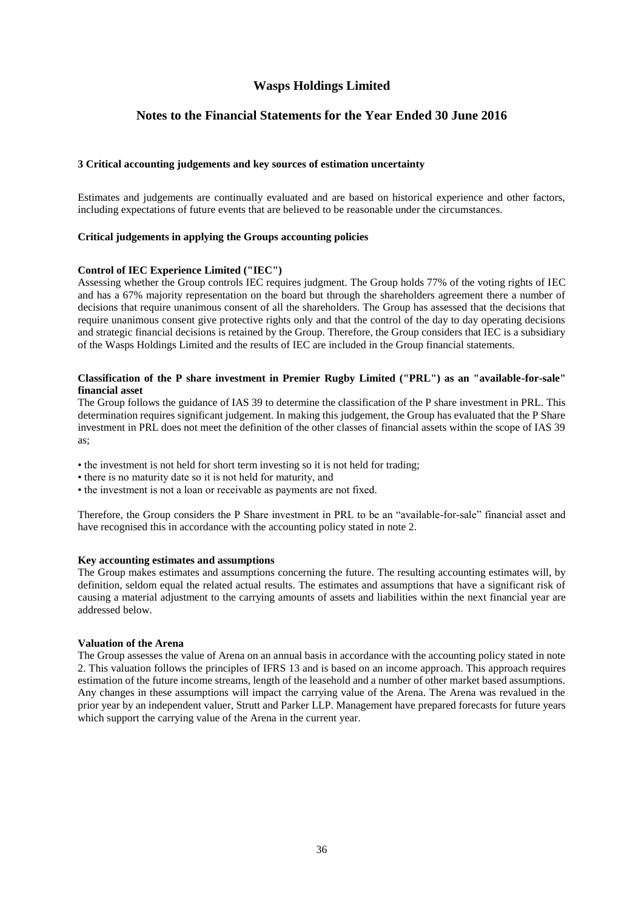### **Notes to the Financial Statements for the Year Ended 30 June 2016**

#### **3 Critical accounting judgements and key sources of estimation uncertainty**

Estimates and judgements are continually evaluated and are based on historical experience and other factors, including expectations of future events that are believed to be reasonable under the circumstances.

#### **Critical judgements in applying the Groups accounting policies**

#### **Control of IEC Experience Limited ("IEC")**

Assessing whether the Group controls IEC requires judgment. The Group holds 77% of the voting rights of IEC and has a 67% majority representation on the board but through the shareholders agreement there a number of decisions that require unanimous consent of all the shareholders. The Group has assessed that the decisions that require unanimous consent give protective rights only and that the control of the day to day operating decisions and strategic financial decisions is retained by the Group. Therefore, the Group considers that IEC is a subsidiary of the Wasps Holdings Limited and the results of IEC are included in the Group financial statements.

#### **Classification of the P share investment in Premier Rugby Limited ("PRL") as an "available-for-sale" financial asset**

The Group follows the guidance of IAS 39 to determine the classification of the P share investment in PRL. This determination requires significant judgement. In making this judgement, the Group has evaluated that the P Share investment in PRL does not meet the definition of the other classes of financial assets within the scope of IAS 39 as;

- the investment is not held for short term investing so it is not held for trading;
- there is no maturity date so it is not held for maturity, and
- the investment is not a loan or receivable as payments are not fixed.

Therefore, the Group considers the P Share investment in PRL to be an "available-for-sale" financial asset and have recognised this in accordance with the accounting policy stated in note 2.

#### **Key accounting estimates and assumptions**

The Group makes estimates and assumptions concerning the future. The resulting accounting estimates will, by definition, seldom equal the related actual results. The estimates and assumptions that have a significant risk of causing a material adjustment to the carrying amounts of assets and liabilities within the next financial year are addressed below.

#### **Valuation of the Arena**

The Group assesses the value of Arena on an annual basis in accordance with the accounting policy stated in note 2. This valuation follows the principles of IFRS 13 and is based on an income approach. This approach requires estimation of the future income streams, length of the leasehold and a number of other market based assumptions. Any changes in these assumptions will impact the carrying value of the Arena. The Arena was revalued in the prior year by an independent valuer, Strutt and Parker LLP. Management have prepared forecasts for future years which support the carrying value of the Arena in the current year.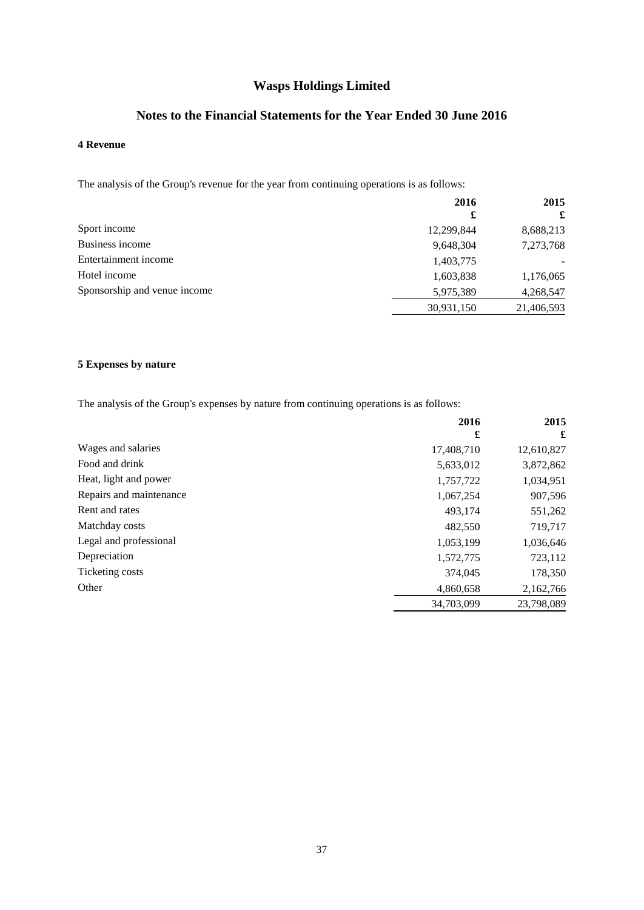### **Notes to the Financial Statements for the Year Ended 30 June 2016**

### **4 Revenue**

The analysis of the Group's revenue for the year from continuing operations is as follows:

|                              | 2016       | 2015       |
|------------------------------|------------|------------|
|                              | £          | £          |
| Sport income                 | 12,299,844 | 8,688,213  |
| Business income              | 9,648,304  | 7,273,768  |
| Entertainment income         | 1,403,775  |            |
| Hotel income                 | 1,603,838  | 1,176,065  |
| Sponsorship and venue income | 5,975,389  | 4,268,547  |
|                              | 30,931,150 | 21,406,593 |

### **5 Expenses by nature**

The analysis of the Group's expenses by nature from continuing operations is as follows:

|                         | 2016       | 2015       |
|-------------------------|------------|------------|
|                         | £          | £          |
| Wages and salaries      | 17,408,710 | 12,610,827 |
| Food and drink          | 5,633,012  | 3,872,862  |
| Heat, light and power   | 1,757,722  | 1,034,951  |
| Repairs and maintenance | 1,067,254  | 907,596    |
| Rent and rates          | 493,174    | 551,262    |
| Matchday costs          | 482,550    | 719,717    |
| Legal and professional  | 1,053,199  | 1,036,646  |
| Depreciation            | 1,572,775  | 723,112    |
| Ticketing costs         | 374,045    | 178,350    |
| Other                   | 4,860,658  | 2,162,766  |
|                         | 34,703,099 | 23,798,089 |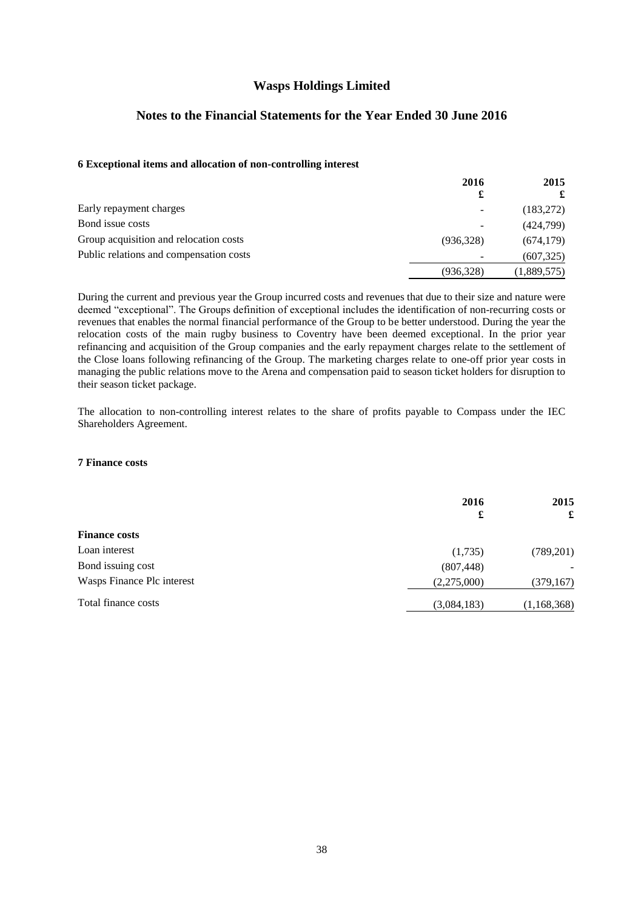### **Notes to the Financial Statements for the Year Ended 30 June 2016**

#### **6 Exceptional items and allocation of non-controlling interest**

|                                         | 2016<br>£                    | 2015        |
|-----------------------------------------|------------------------------|-------------|
|                                         |                              | £           |
| Early repayment charges                 |                              | (183,272)   |
| Bond issue costs                        | $\qquad \qquad \blacksquare$ | (424,799)   |
| Group acquisition and relocation costs  | (936,328)                    | (674, 179)  |
| Public relations and compensation costs |                              | (607, 325)  |
|                                         | (936, 328)                   | (1,889,575) |

During the current and previous year the Group incurred costs and revenues that due to their size and nature were deemed "exceptional". The Groups definition of exceptional includes the identification of non-recurring costs or revenues that enables the normal financial performance of the Group to be better understood. During the year the relocation costs of the main rugby business to Coventry have been deemed exceptional. In the prior year refinancing and acquisition of the Group companies and the early repayment charges relate to the settlement of the Close loans following refinancing of the Group. The marketing charges relate to one-off prior year costs in managing the public relations move to the Arena and compensation paid to season ticket holders for disruption to their season ticket package.

The allocation to non-controlling interest relates to the share of profits payable to Compass under the IEC Shareholders Agreement.

#### **7 Finance costs**

|                            | 2016<br>£   | 2015<br>£   |
|----------------------------|-------------|-------------|
| <b>Finance costs</b>       |             |             |
| Loan interest              | (1,735)     | (789, 201)  |
| Bond issuing cost          | (807, 448)  | -           |
| Wasps Finance Plc interest | (2,275,000) | (379, 167)  |
| Total finance costs        | (3,084,183) | (1,168,368) |
|                            |             |             |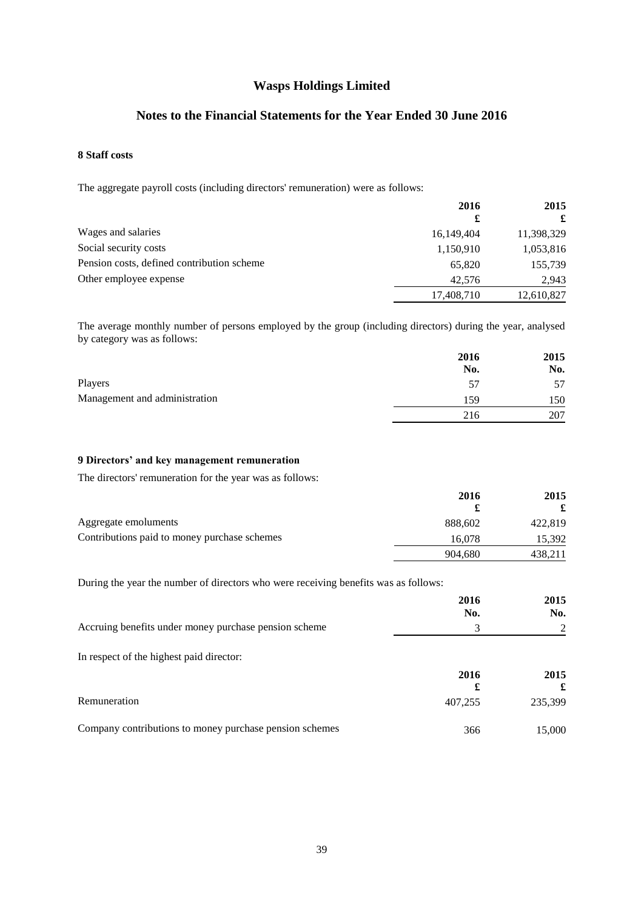### **Notes to the Financial Statements for the Year Ended 30 June 2016**

#### **8 Staff costs**

The aggregate payroll costs (including directors' remuneration) were as follows:

|                                            | 2016       | 2015       |
|--------------------------------------------|------------|------------|
|                                            |            | £          |
| Wages and salaries                         | 16,149,404 | 11,398,329 |
| Social security costs                      | 1,150,910  | 1,053,816  |
| Pension costs, defined contribution scheme | 65,820     | 155,739    |
| Other employee expense                     | 42.576     | 2,943      |
|                                            | 17,408,710 | 12,610,827 |

The average monthly number of persons employed by the group (including directors) during the year, analysed by category was as follows:

|                               | 2016 | 2015 |
|-------------------------------|------|------|
|                               | No.  | No.  |
| Players                       | 57   | 57   |
| Management and administration | 159  | 150  |
|                               | 216  | 207  |

#### **9 Directors' and key management remuneration**

The directors' remuneration for the year was as follows:

|                                              | 2015<br>2016 |         |
|----------------------------------------------|--------------|---------|
|                                              |              |         |
| Aggregate emoluments                         | 888.602      | 422,819 |
| Contributions paid to money purchase schemes | 16.078       | 15.392  |
|                                              | 904.680      | 438,211 |

During the year the number of directors who were receiving benefits was as follows:

|                                                         | 2016<br>No. | 2015<br>No.                 |
|---------------------------------------------------------|-------------|-----------------------------|
| Accruing benefits under money purchase pension scheme   |             | $\mathcal{D}_{\mathcal{L}}$ |
| In respect of the highest paid director:                |             |                             |
|                                                         | 2016        | 2015                        |
|                                                         | £           | £                           |
| Remuneration                                            | 407,255     | 235,399                     |
| Company contributions to money purchase pension schemes | 366         | 15,000                      |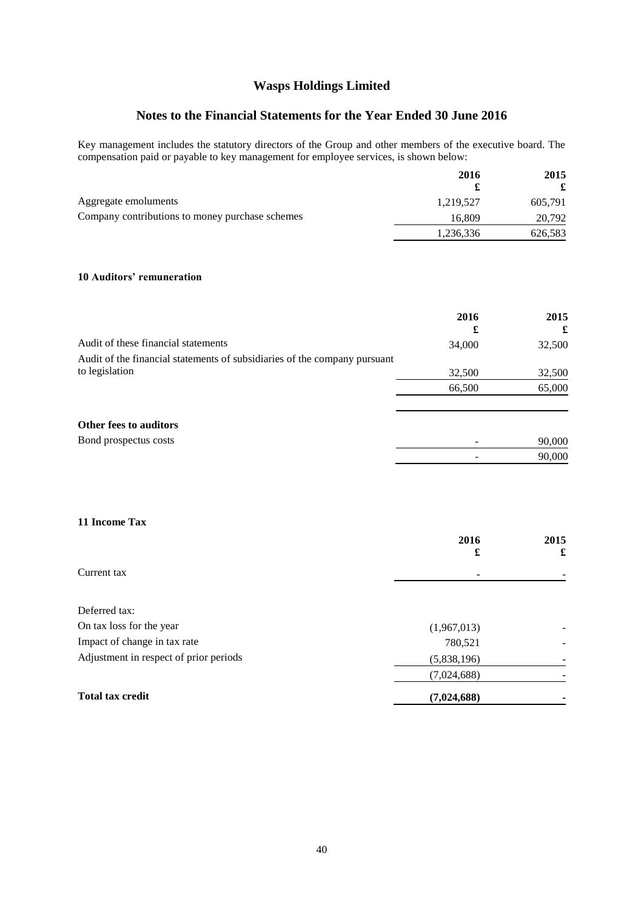### **Notes to the Financial Statements for the Year Ended 30 June 2016**

Key management includes the statutory directors of the Group and other members of the executive board. The compensation paid or payable to key management for employee services, is shown below:

|                                                 | 2016      |         | 2015 |
|-------------------------------------------------|-----------|---------|------|
|                                                 |           |         |      |
| Aggregate emoluments                            | 1.219.527 | 605,791 |      |
| Company contributions to money purchase schemes | 16.809    | 20,792  |      |
|                                                 | 1,236,336 | 626,583 |      |

#### **10 Auditors' remuneration**

|                                                                           | 2016<br>£ | 2015<br>£ |
|---------------------------------------------------------------------------|-----------|-----------|
| Audit of these financial statements                                       | 34,000    | 32,500    |
| Audit of the financial statements of subsidiaries of the company pursuant |           |           |
| to legislation                                                            | 32,500    | 32,500    |
|                                                                           | 66,500    | 65,000    |
|                                                                           |           |           |
| Other fees to auditors                                                    |           |           |
| Bond prospectus costs                                                     |           | 90,000    |
|                                                                           |           | 90,000    |

| 11 Income Tax |  |
|---------------|--|
|---------------|--|

|                                        | 2016<br>£   | 2015<br>£ |
|----------------------------------------|-------------|-----------|
| Current tax                            |             |           |
| Deferred tax:                          |             |           |
| On tax loss for the year               | (1,967,013) |           |
| Impact of change in tax rate           | 780,521     |           |
| Adjustment in respect of prior periods | (5,838,196) |           |
|                                        | (7,024,688) |           |

## **Total tax credit (7,024,688) -**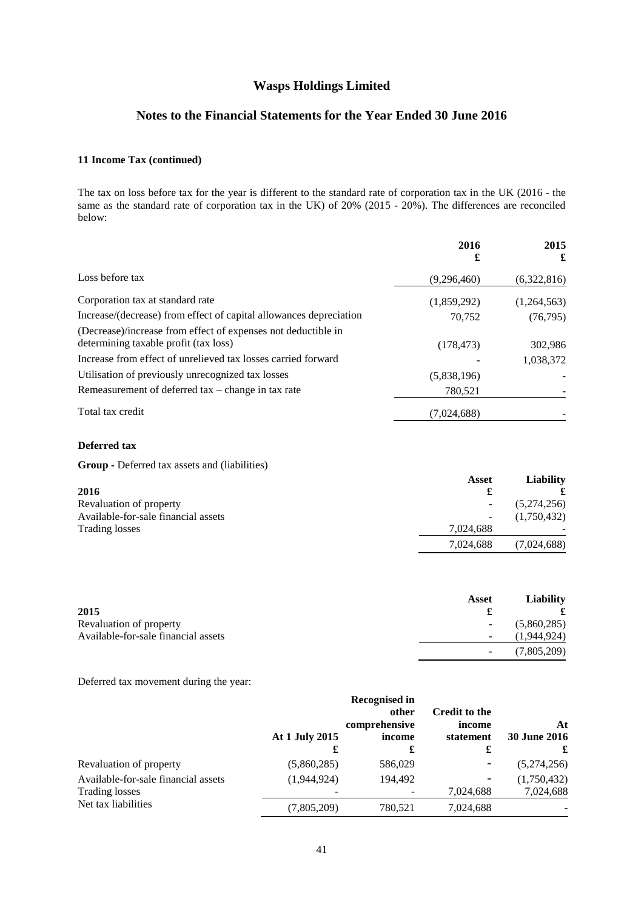### **Notes to the Financial Statements for the Year Ended 30 June 2016**

#### **11 Income Tax (continued)**

The tax on loss before tax for the year is different to the standard rate of corporation tax in the UK (2016 - the same as the standard rate of corporation tax in the UK) of 20% (2015 - 20%). The differences are reconciled below:

|                                                                                                        | 2016<br>£   | 2015<br>£   |
|--------------------------------------------------------------------------------------------------------|-------------|-------------|
| Loss before tax                                                                                        | (9,296,460) | (6,322,816) |
| Corporation tax at standard rate                                                                       | (1,859,292) | (1,264,563) |
| Increase/(decrease) from effect of capital allowances depreciation                                     | 70,752      | (76, 795)   |
| (Decrease)/increase from effect of expenses not deductible in<br>determining taxable profit (tax loss) | (178, 473)  | 302,986     |
| Increase from effect of unrelieved tax losses carried forward                                          |             | 1,038,372   |
| Utilisation of previously unrecognized tax losses                                                      | (5,838,196) |             |
| Remeasurement of deferred $tax$ – change in tax rate                                                   | 780,521     |             |
| Total tax credit                                                                                       | (7.024.688) |             |

### **Deferred tax**

**Group -** Deferred tax assets and (liabilities)

|                                     | Asset     | Liability   |
|-------------------------------------|-----------|-------------|
| 2016                                |           |             |
| Revaluation of property             |           | (5,274,256) |
| Available-for-sale financial assets |           | (1,750,432) |
| Trading losses                      | 7.024.688 |             |
|                                     | 7,024,688 | (7,024,688) |

|                                     | Asset                    | Liability   |
|-------------------------------------|--------------------------|-------------|
| 2015                                |                          |             |
| Revaluation of property             |                          | (5,860,285) |
| Available-for-sale financial assets | $\overline{\phantom{0}}$ | (1,944,924) |
|                                     | $\sim$                   | (7,805,209) |

#### Deferred tax movement during the year:

|                                                              |                | <b>Recognised in</b><br>other<br>comprehensive<br>income<br>£<br>£ | <b>Credit to the</b><br>income        | At                       |
|--------------------------------------------------------------|----------------|--------------------------------------------------------------------|---------------------------------------|--------------------------|
|                                                              | At 1 July 2015 |                                                                    | statement<br>£                        | <b>30 June 2016</b>      |
| Revaluation of property                                      | (5,860,285)    | 586,029                                                            | -                                     | (5,274,256)              |
| Available-for-sale financial assets<br><b>Trading losses</b> | (1,944,924)    | 194,492                                                            | $\overline{\phantom{0}}$<br>7,024,688 | (1,750,432)<br>7,024,688 |
| Net tax liabilities                                          | (7,805,209)    | 780,521                                                            | 7,024,688                             |                          |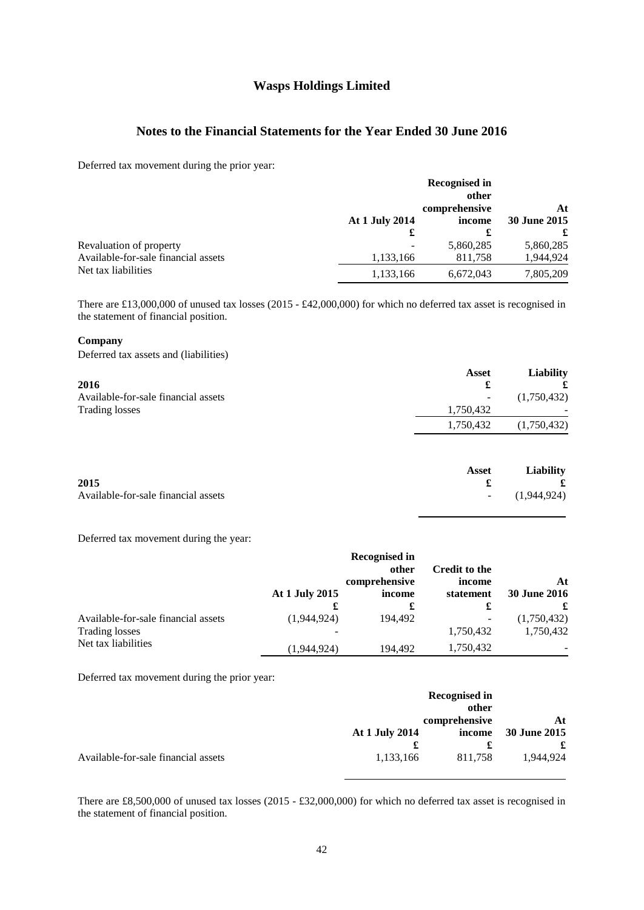### **Notes to the Financial Statements for the Year Ended 30 June 2016**

Deferred tax movement during the prior year:

|                                     |                | Recognised in<br>other |              |
|-------------------------------------|----------------|------------------------|--------------|
|                                     |                | comprehensive          | At           |
|                                     | At 1 July 2014 | income                 | 30 June 2015 |
|                                     | £              | £                      |              |
| Revaluation of property             |                | 5,860,285              | 5,860,285    |
| Available-for-sale financial assets | 1,133,166      | 811,758                | 1,944,924    |
| Net tax liabilities                 | 1,133,166      | 6,672,043              | 7,805,209    |

There are £13,000,000 of unused tax losses (2015 - £42,000,000) for which no deferred tax asset is recognised in the statement of financial position.

#### **Company**

Deferred tax assets and (liabilities)

|                                     | Asset                    | Liability   |
|-------------------------------------|--------------------------|-------------|
| 2016                                |                          |             |
| Available-for-sale financial assets | $\overline{\phantom{a}}$ | (1,750,432) |
| Trading losses                      | 1,750,432                | -           |
|                                     | 1.750.432                | (1,750,432) |

|                                     | Asset | Liability    |
|-------------------------------------|-------|--------------|
| 2015                                |       | $\mathbf{f}$ |
| Available-for-sale financial assets |       | (1,944,924)  |

#### Deferred tax movement during the year:

|                                     |                |                         | <b>Recognised in</b><br>other | <b>Credit to the</b>      |  |
|-------------------------------------|----------------|-------------------------|-------------------------------|---------------------------|--|
|                                     | At 1 July 2015 | comprehensive<br>income | income<br>statement           | At<br><b>30 June 2016</b> |  |
|                                     |                | £                       | £                             |                           |  |
| Available-for-sale financial assets | (1.944.924)    | 194.492                 |                               | (1,750,432)               |  |
| Trading losses                      |                |                         | 1,750,432                     | 1.750.432                 |  |
| Net tax liabilities                 | (1.944.924)    | 194.492                 | 1,750,432                     | $\overline{\phantom{a}}$  |  |

Deferred tax movement during the prior year:

|                                     |                | Recognised in |              |
|-------------------------------------|----------------|---------------|--------------|
|                                     |                | other         |              |
|                                     |                | comprehensive | At           |
|                                     | At 1 July 2014 | income        | 30 June 2015 |
|                                     |                |               |              |
| Available-for-sale financial assets | 1,133,166      | 811.758       | 1.944.924    |

There are £8,500,000 of unused tax losses (2015 - £32,000,000) for which no deferred tax asset is recognised in the statement of financial position.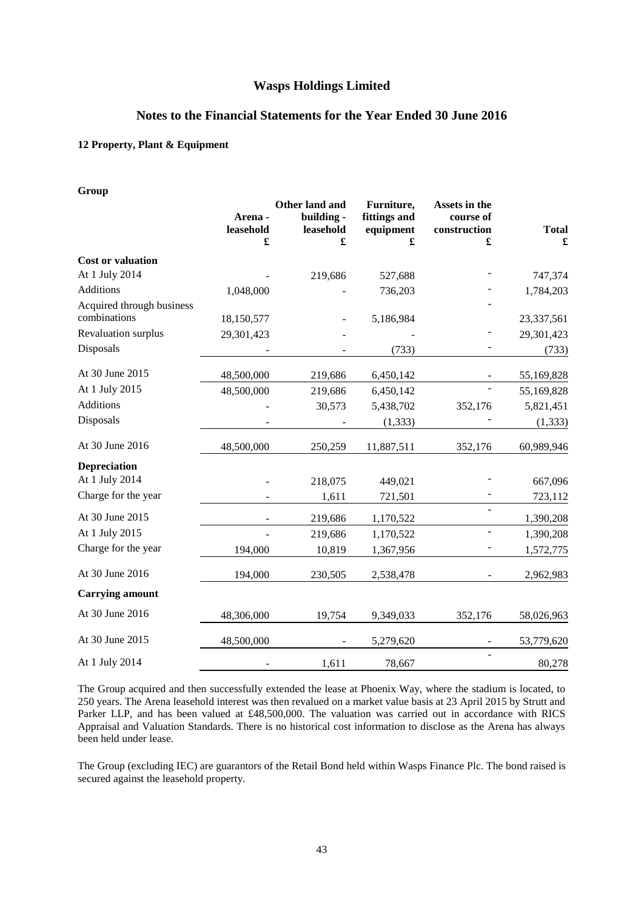### **Notes to the Financial Statements for the Year Ended 30 June 2016**

#### **12 Property, Plant & Equipment**

**Group**

|                           | Arena-<br>leasehold<br>£ | Other land and<br>building -<br>leasehold<br>£ | Furniture,<br>fittings and<br>equipment<br>£ | Assets in the<br>course of<br>construction<br>£ | <b>Total</b><br>£ |
|---------------------------|--------------------------|------------------------------------------------|----------------------------------------------|-------------------------------------------------|-------------------|
| <b>Cost or valuation</b>  |                          |                                                |                                              |                                                 |                   |
| At 1 July 2014            |                          | 219,686                                        | 527,688                                      |                                                 | 747,374           |
| <b>Additions</b>          | 1,048,000                |                                                | 736,203                                      |                                                 | 1,784,203         |
| Acquired through business |                          |                                                |                                              |                                                 |                   |
| combinations              | 18,150,577               |                                                | 5,186,984                                    |                                                 | 23,337,561        |
| Revaluation surplus       | 29,301,423               |                                                |                                              |                                                 | 29,301,423        |
| Disposals                 |                          |                                                | (733)                                        |                                                 | (733)             |
| At 30 June 2015           | 48,500,000               | 219,686                                        | 6,450,142                                    |                                                 | 55,169,828        |
| At 1 July 2015            | 48,500,000               | 219,686                                        | 6,450,142                                    |                                                 | 55,169,828        |
| <b>Additions</b>          |                          | 30,573                                         | 5,438,702                                    | 352,176                                         | 5,821,451         |
| Disposals                 |                          |                                                | (1, 333)                                     |                                                 | (1, 333)          |
| At 30 June 2016           | 48,500,000               | 250,259                                        | 11,887,511                                   | 352,176                                         | 60,989,946        |
| <b>Depreciation</b>       |                          |                                                |                                              |                                                 |                   |
| At 1 July 2014            |                          | 218,075                                        | 449,021                                      |                                                 | 667,096           |
| Charge for the year       |                          | 1,611                                          | 721,501                                      |                                                 | 723,112           |
| At 30 June 2015           |                          | 219,686                                        | 1,170,522                                    |                                                 | 1,390,208         |
| At 1 July 2015            |                          | 219,686                                        | 1,170,522                                    |                                                 | 1,390,208         |
| Charge for the year       | 194,000                  | 10,819                                         | 1,367,956                                    |                                                 | 1,572,775         |
| At 30 June 2016           | 194,000                  | 230,505                                        | 2,538,478                                    |                                                 | 2,962,983         |
| <b>Carrying amount</b>    |                          |                                                |                                              |                                                 |                   |
| At 30 June 2016           | 48,306,000               | 19,754                                         | 9,349,033                                    | 352,176                                         | 58,026,963        |
| At 30 June 2015           | 48,500,000               |                                                | 5,279,620                                    |                                                 | 53,779,620        |
| At 1 July 2014            |                          | 1,611                                          | 78,667                                       |                                                 | 80,278            |

The Group acquired and then successfully extended the lease at Phoenix Way, where the stadium is located, to 250 years. The Arena leasehold interest was then revalued on a market value basis at 23 April 2015 by Strutt and Parker LLP, and has been valued at £48,500,000. The valuation was carried out in accordance with RICS Appraisal and Valuation Standards. There is no historical cost information to disclose as the Arena has always been held under lease.

The Group (excluding IEC) are guarantors of the Retail Bond held within Wasps Finance Plc. The bond raised is secured against the leasehold property.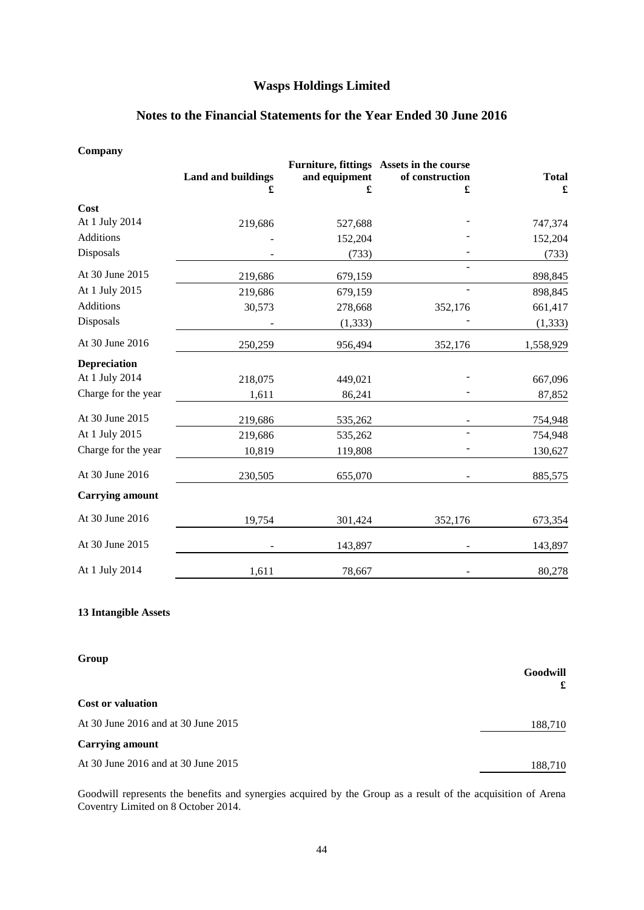### **Notes to the Financial Statements for the Year Ended 30 June 2016**

### **Company**

|                        | <b>Land and buildings</b><br>£ | and equipment<br>£ | Furniture, fittings Assets in the course<br>of construction<br>£ | <b>Total</b><br>£ |
|------------------------|--------------------------------|--------------------|------------------------------------------------------------------|-------------------|
| Cost                   |                                |                    |                                                                  |                   |
| At 1 July 2014         | 219,686                        | 527,688            |                                                                  | 747,374           |
| Additions              |                                | 152,204            |                                                                  | 152,204           |
| Disposals              |                                | (733)              |                                                                  | (733)             |
| At 30 June 2015        | 219,686                        | 679,159            |                                                                  | 898,845           |
| At 1 July 2015         | 219,686                        | 679,159            |                                                                  | 898,845           |
| <b>Additions</b>       | 30,573                         | 278,668            | 352,176                                                          | 661,417           |
| Disposals              |                                | (1, 333)           |                                                                  | (1, 333)          |
| At 30 June 2016        | 250,259                        | 956,494            | 352,176                                                          | 1,558,929         |
| <b>Depreciation</b>    |                                |                    |                                                                  |                   |
| At 1 July 2014         | 218,075                        | 449,021            |                                                                  | 667,096           |
| Charge for the year    | 1,611                          | 86,241             |                                                                  | 87,852            |
| At 30 June 2015        | 219,686                        | 535,262            |                                                                  | 754,948           |
| At 1 July 2015         | 219,686                        | 535,262            |                                                                  | 754,948           |
| Charge for the year    | 10,819                         | 119,808            |                                                                  | 130,627           |
| At 30 June 2016        | 230,505                        | 655,070            |                                                                  | 885,575           |
| <b>Carrying amount</b> |                                |                    |                                                                  |                   |
| At 30 June 2016        | 19,754                         | 301,424            | 352,176                                                          | 673,354           |
| At 30 June 2015        |                                | 143,897            |                                                                  | 143,897           |
| At 1 July 2014         | 1,611                          | 78,667             |                                                                  | 80,278            |

### **13 Intangible Assets**

| w<br>×<br>۰.<br>۰, |
|--------------------|
|--------------------|

|                                     | Goodwill<br>£ |
|-------------------------------------|---------------|
| <b>Cost or valuation</b>            |               |
| At 30 June 2016 and at 30 June 2015 | 188,710       |
| <b>Carrying amount</b>              |               |
| At 30 June 2016 and at 30 June 2015 | 188,710       |

Goodwill represents the benefits and synergies acquired by the Group as a result of the acquisition of Arena Coventry Limited on 8 October 2014.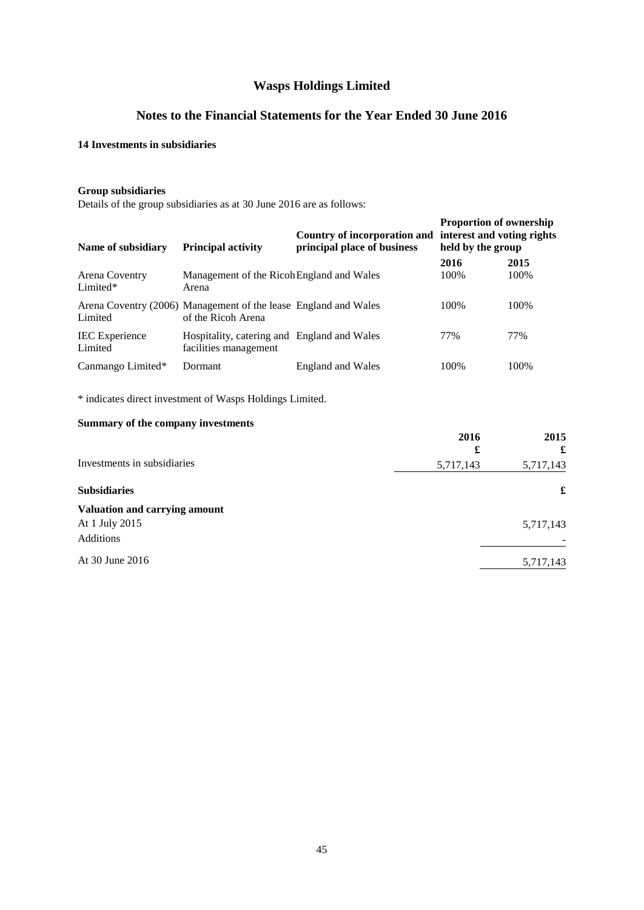### **Notes to the Financial Statements for the Year Ended 30 June 2016**

#### **14 Investments in subsidiaries**

#### **Group subsidiaries**

Details of the group subsidiaries as at 30 June 2016 are as follows:

| Name of subsidiary               | <b>Principal activity</b>                                                             | Country of incorporation and<br>principal place of business | <b>Proportion of ownership</b><br>interest and voting rights<br>held by the group |       |
|----------------------------------|---------------------------------------------------------------------------------------|-------------------------------------------------------------|-----------------------------------------------------------------------------------|-------|
|                                  |                                                                                       |                                                             | 2016                                                                              | 2015  |
| Arena Coventry<br>Limited*       | Management of the Ricoh England and Wales<br>Arena                                    |                                                             | 100\%                                                                             | 100\% |
| Limited                          | Arena Coventry (2006) Management of the lease England and Wales<br>of the Ricoh Arena |                                                             | 100\%                                                                             | 100\% |
| <b>IEC</b> Experience<br>Limited | Hospitality, catering and England and Wales<br>facilities management                  |                                                             | 77%                                                                               | 77%   |
| Canmango Limited*                | Dormant                                                                               | <b>England and Wales</b>                                    | 100\%                                                                             | 100\% |

\* indicates direct investment of Wasps Holdings Limited.

| Summary of the company investments |           |           |
|------------------------------------|-----------|-----------|
|                                    | 2016      | 2015      |
|                                    | £         | £         |
| Investments in subsidiaries        | 5,717,143 | 5,717,143 |
| <b>Subsidiaries</b>                |           | £         |
| Valuation and carrying amount      |           |           |
| At 1 July 2015                     |           | 5,717,143 |
| <b>Additions</b>                   |           |           |
| At 30 June 2016                    |           | 5,717,143 |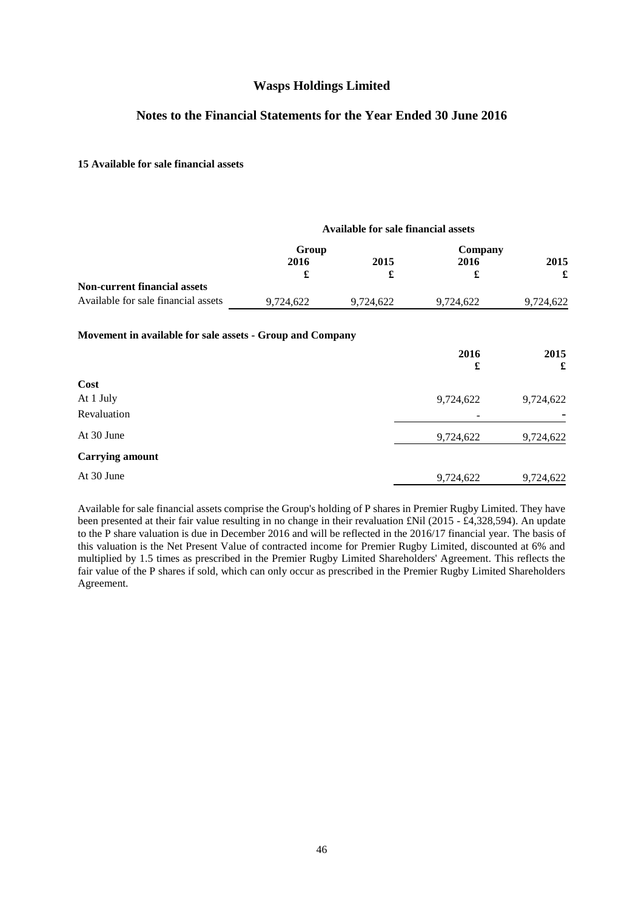### **Notes to the Financial Statements for the Year Ended 30 June 2016**

#### **15 Available for sale financial assets**

|                                                           | <b>Available for sale financial assets</b> |           |           |           |  |
|-----------------------------------------------------------|--------------------------------------------|-----------|-----------|-----------|--|
|                                                           | Group                                      |           |           | Company   |  |
|                                                           | 2016                                       | 2015      | 2016      | 2015      |  |
|                                                           | £                                          | £         | £         | £         |  |
| <b>Non-current financial assets</b>                       |                                            |           |           |           |  |
| Available for sale financial assets                       | 9,724,622                                  | 9,724,622 | 9,724,622 | 9,724,622 |  |
| Movement in available for sale assets - Group and Company |                                            |           | 2016<br>£ | 2015<br>£ |  |
| Cost                                                      |                                            |           |           |           |  |
| At 1 July                                                 |                                            |           | 9,724,622 | 9,724,622 |  |
| Revaluation                                               |                                            |           |           |           |  |

| At 30 June             | 9.724.622 | 9,724,622 |
|------------------------|-----------|-----------|
| <b>Carrying amount</b> |           |           |
| At 30 June             | 9,724,622 | 9,724,622 |

Available for sale financial assets comprise the Group's holding of P shares in Premier Rugby Limited. They have been presented at their fair value resulting in no change in their revaluation £Nil (2015 - £4,328,594). An update to the P share valuation is due in December 2016 and will be reflected in the 2016/17 financial year. The basis of this valuation is the Net Present Value of contracted income for Premier Rugby Limited, discounted at 6% and multiplied by 1.5 times as prescribed in the Premier Rugby Limited Shareholders' Agreement. This reflects the fair value of the P shares if sold, which can only occur as prescribed in the Premier Rugby Limited Shareholders Agreement.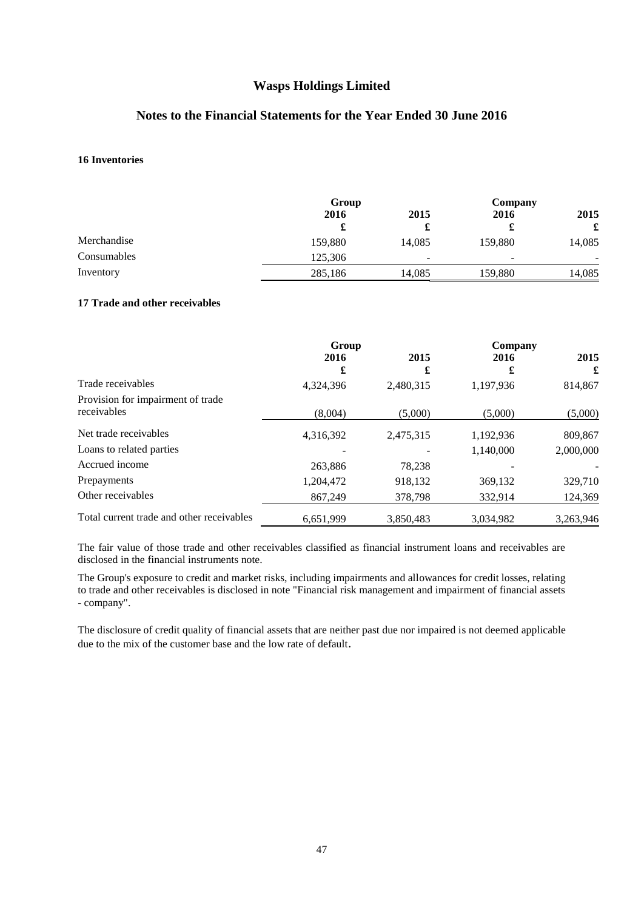### **Notes to the Financial Statements for the Year Ended 30 June 2016**

#### **16 Inventories**

|             | Group   |        | Company                  |                          |
|-------------|---------|--------|--------------------------|--------------------------|
|             | 2016    | 2015   | 2016                     | 2015                     |
|             |         |        |                          | £                        |
| Merchandise | 159,880 | 14,085 | 159,880                  | 14,085                   |
| Consumables | 125,306 | -      | $\overline{\phantom{0}}$ | $\overline{\phantom{0}}$ |
| Inventory   | 285,186 | 14,085 | 159,880                  | 14,085                   |

#### **17 Trade and other receivables**

|                                           | Group     |           | Company   |           |
|-------------------------------------------|-----------|-----------|-----------|-----------|
|                                           | 2016      | 2015      | 2016      | 2015      |
|                                           | £         | £         | £         | £         |
| Trade receivables                         | 4,324,396 | 2,480,315 | 1,197,936 | 814,867   |
| Provision for impairment of trade         |           |           |           |           |
| receivables                               | (8,004)   | (5,000)   | (5,000)   | (5,000)   |
| Net trade receivables                     | 4,316,392 | 2,475,315 | 1,192,936 | 809,867   |
| Loans to related parties                  |           |           | 1,140,000 | 2,000,000 |
| Accrued income                            | 263,886   | 78,238    |           |           |
| Prepayments                               | 1,204,472 | 918,132   | 369,132   | 329,710   |
| Other receivables                         | 867,249   | 378,798   | 332.914   | 124,369   |
| Total current trade and other receivables | 6.651.999 | 3.850.483 | 3.034.982 | 3.263.946 |

The fair value of those trade and other receivables classified as financial instrument loans and receivables are disclosed in the financial instruments note.

The Group's exposure to credit and market risks, including impairments and allowances for credit losses, relating to trade and other receivables is disclosed in note "Financial risk management and impairment of financial assets - company".

The disclosure of credit quality of financial assets that are neither past due nor impaired is not deemed applicable due to the mix of the customer base and the low rate of default.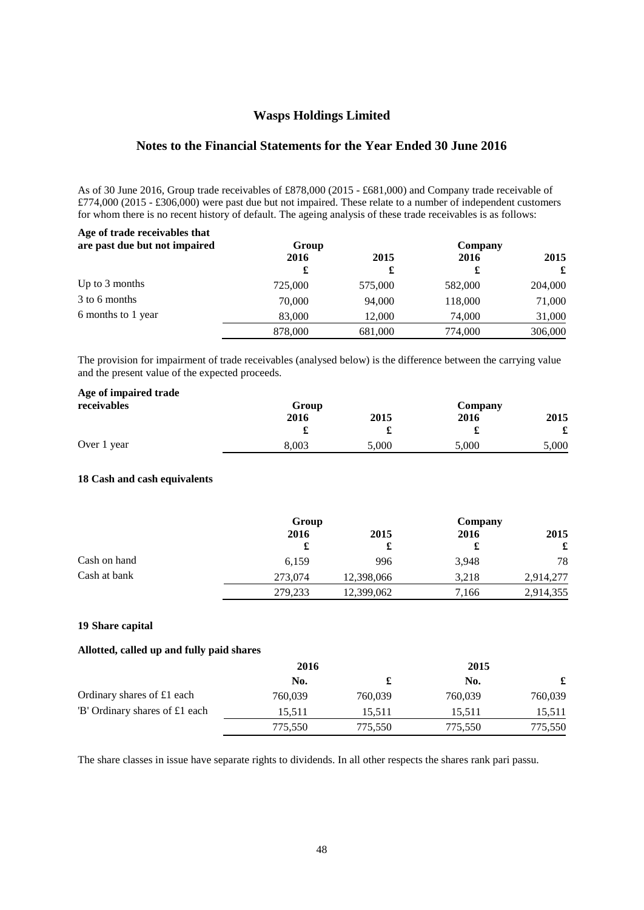### **Notes to the Financial Statements for the Year Ended 30 June 2016**

As of 30 June 2016, Group trade receivables of £878,000 (2015 - £681,000) and Company trade receivable of £774,000 (2015 - £306,000) were past due but not impaired. These relate to a number of independent customers for whom there is no recent history of default. The ageing analysis of these trade receivables is as follows:

| Age of trade receivables that |         |         |         |         |
|-------------------------------|---------|---------|---------|---------|
| are past due but not impaired | Group   |         | Company |         |
|                               | 2016    | 2015    | 2016    | 2015    |
|                               | £       | £       |         | £       |
| Up to $3$ months              | 725,000 | 575,000 | 582,000 | 204,000 |
| 3 to 6 months                 | 70,000  | 94,000  | 118,000 | 71,000  |
| 6 months to 1 year            | 83,000  | 12,000  | 74,000  | 31,000  |
|                               | 878,000 | 681,000 | 774,000 | 306,000 |

The provision for impairment of trade receivables (analysed below) is the difference between the carrying value and the present value of the expected proceeds.

| Age of impaired trade |       |       |         |       |
|-----------------------|-------|-------|---------|-------|
| receivables           | Group |       | Company |       |
|                       | 2016  | 2015  | 2016    | 2015  |
|                       |       |       |         |       |
| Over 1 year           | 8,003 | 5,000 | 5,000   | 5,000 |

#### **18 Cash and cash equivalents**

|              | Group   |            | Company |           |
|--------------|---------|------------|---------|-----------|
|              | 2016    | 2015       | 2016    | 2015      |
|              |         | d.         | £       | £         |
| Cash on hand | 6,159   | 996        | 3,948   | 78        |
| Cash at bank | 273,074 | 12,398,066 | 3.218   | 2,914,277 |
|              | 279,233 | 12,399,062 | 7,166   | 2,914,355 |

#### **19 Share capital**

#### **Allotted, called up and fully paid shares**

|                                | 2016    |         | 2015    |         |
|--------------------------------|---------|---------|---------|---------|
|                                | No.     |         | No.     | £       |
| Ordinary shares of £1 each     | 760.039 | 760,039 | 760,039 | 760,039 |
| 'B' Ordinary shares of £1 each | 15.511  | 15,511  | 15.511  | 15,511  |
|                                | 775,550 | 775,550 | 775,550 | 775,550 |

The share classes in issue have separate rights to dividends. In all other respects the shares rank pari passu.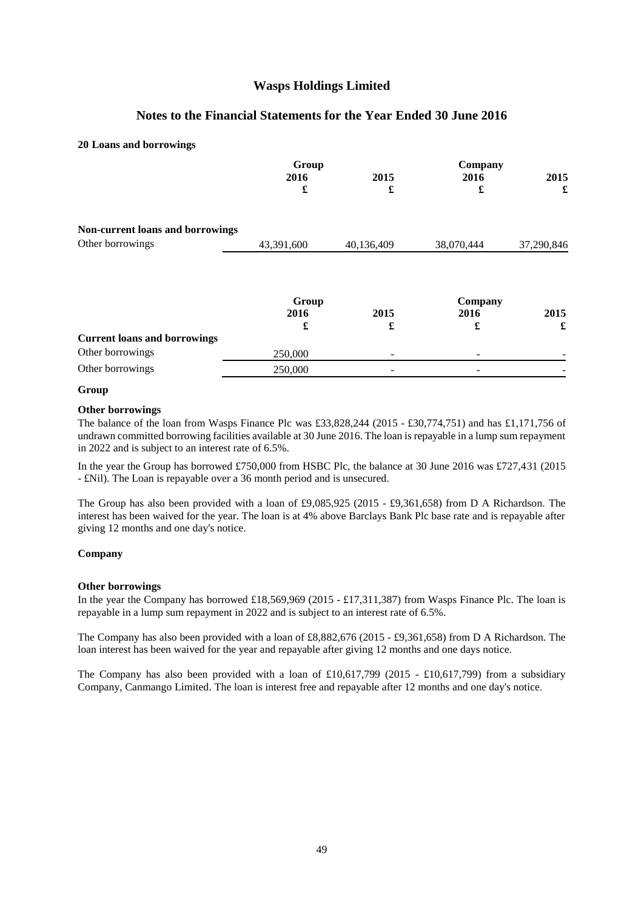### **Notes to the Financial Statements for the Year Ended 30 June 2016**

#### **20 Loans and borrowings**

|                                         | Group      |            | Company    |            |
|-----------------------------------------|------------|------------|------------|------------|
|                                         | 2016       | 2015       | 2016       | 2015       |
|                                         | £          | £          | £          | £          |
| <b>Non-current loans and borrowings</b> |            |            |            |            |
| Other borrowings                        | 43,391,600 | 40,136,409 | 38,070,444 | 37,290,846 |
|                                         | Group      |            | Company    |            |
|                                         | 2016       | 2015       | 2016       | 2015       |
|                                         | £          | £          | £          | £          |
| <b>Current loans and borrowings</b>     |            |            |            |            |
| Other borrowings                        | 250,000    |            |            |            |
| Other borrowings                        | 250,000    |            |            |            |

#### **Group**

#### **Other borrowings**

The balance of the loan from Wasps Finance Plc was £33,828,244 (2015 - £30,774,751) and has £1,171,756 of undrawn committed borrowing facilities available at 30 June 2016. The loan is repayable in a lump sum repayment in 2022 and is subject to an interest rate of 6.5%.

In the year the Group has borrowed £750,000 from HSBC Plc, the balance at 30 June 2016 was £727,431 (2015 - £Nil). The Loan is repayable over a 36 month period and is unsecured.

The Group has also been provided with a loan of £9,085,925 (2015 - £9,361,658) from D A Richardson. The interest has been waived for the year. The loan is at 4% above Barclays Bank Plc base rate and is repayable after giving 12 months and one day's notice.

#### **Company**

#### **Other borrowings**

In the year the Company has borrowed £18,569,969 (2015 - £17,311,387) from Wasps Finance Plc. The loan is repayable in a lump sum repayment in 2022 and is subject to an interest rate of 6.5%.

The Company has also been provided with a loan of £8,882,676 (2015 - £9,361,658) from D A Richardson. The loan interest has been waived for the year and repayable after giving 12 months and one days notice.

The Company has also been provided with a loan of £10,617,799 (2015 - £10,617,799) from a subsidiary Company, Canmango Limited. The loan is interest free and repayable after 12 months and one day's notice.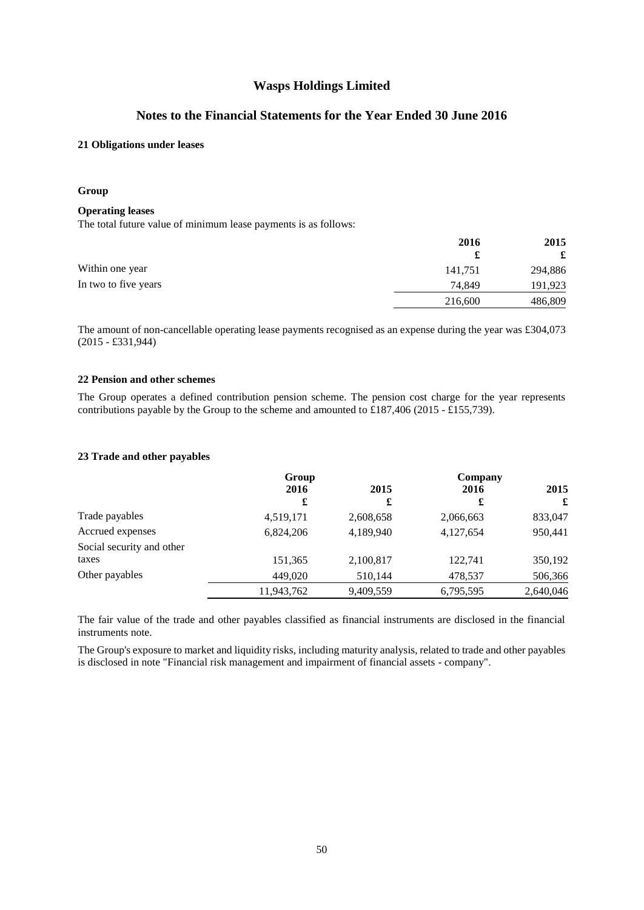### **Notes to the Financial Statements for the Year Ended 30 June 2016**

#### **21 Obligations under leases**

#### **Group**

#### **Operating leases**

The total future value of minimum lease payments is as follows:

|                      | 2016    | 2015    |
|----------------------|---------|---------|
|                      |         | £       |
| Within one year      | 141,751 | 294,886 |
| In two to five years | 74.849  | 191,923 |
|                      | 216,600 | 486,809 |

The amount of non-cancellable operating lease payments recognised as an expense during the year was £304,073 (2015 - £331,944)

#### **22 Pension and other schemes**

The Group operates a defined contribution pension scheme. The pension cost charge for the year represents contributions payable by the Group to the scheme and amounted to £187,406 (2015 - £155,739).

#### **23 Trade and other payables**

|                           | Group      |           | Company   |           |
|---------------------------|------------|-----------|-----------|-----------|
|                           | 2016       | 2015      | 2016      | 2015      |
|                           | £          | £         | £         | £         |
| Trade payables            | 4,519,171  | 2,608,658 | 2,066,663 | 833,047   |
| Accrued expenses          | 6,824,206  | 4,189,940 | 4,127,654 | 950,441   |
| Social security and other |            |           |           |           |
| taxes                     | 151,365    | 2,100,817 | 122.741   | 350,192   |
| Other payables            | 449,020    | 510,144   | 478,537   | 506,366   |
|                           | 11,943,762 | 9,409,559 | 6,795,595 | 2,640,046 |

The fair value of the trade and other payables classified as financial instruments are disclosed in the financial instruments note.

The Group's exposure to market and liquidity risks, including maturity analysis, related to trade and other payables is disclosed in note "Financial risk management and impairment of financial assets - company".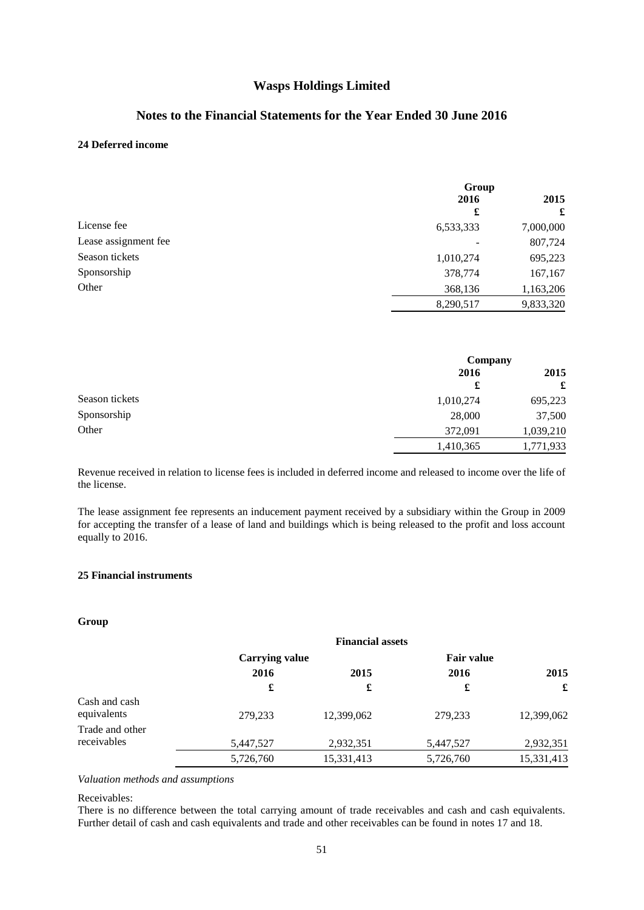### **Notes to the Financial Statements for the Year Ended 30 June 2016**

#### **24 Deferred income**

|                      | Group     |           |  |  |
|----------------------|-----------|-----------|--|--|
|                      | 2016      | 2015      |  |  |
|                      | £         | £         |  |  |
| License fee          | 6,533,333 | 7,000,000 |  |  |
| Lease assignment fee |           | 807,724   |  |  |
| Season tickets       | 1,010,274 | 695,223   |  |  |
| Sponsorship          | 378,774   | 167,167   |  |  |
| Other                | 368,136   | 1,163,206 |  |  |
|                      | 8,290,517 | 9,833,320 |  |  |

|                | Company   |           |
|----------------|-----------|-----------|
|                | 2016<br>£ | 2015<br>£ |
| Season tickets | 1,010,274 | 695,223   |
| Sponsorship    | 28,000    | 37,500    |
| Other          | 372,091   | 1,039,210 |
|                | 1,410,365 | 1,771,933 |

Revenue received in relation to license fees is included in deferred income and released to income over the life of the license.

The lease assignment fee represents an inducement payment received by a subsidiary within the Group in 2009 for accepting the transfer of a lease of land and buildings which is being released to the profit and loss account equally to 2016.

#### **25 Financial instruments**

#### **Group**

|                                | <b>Financial assets</b> |            |                   |            |  |
|--------------------------------|-------------------------|------------|-------------------|------------|--|
|                                | <b>Carrying value</b>   |            | <b>Fair value</b> |            |  |
|                                | 2016                    | 2015       | 2016              | 2015       |  |
|                                | £                       | £          | £                 | £          |  |
| Cash and cash<br>equivalents   | 279,233                 | 12,399,062 | 279,233           | 12,399,062 |  |
| Trade and other<br>receivables | 5,447,527               | 2,932,351  | 5,447,527         | 2,932,351  |  |
|                                | 5,726,760               | 15,331,413 | 5,726,760         | 15,331,413 |  |

#### *Valuation methods and assumptions*

#### Receivables:

There is no difference between the total carrying amount of trade receivables and cash and cash equivalents. Further detail of cash and cash equivalents and trade and other receivables can be found in notes 17 and 18.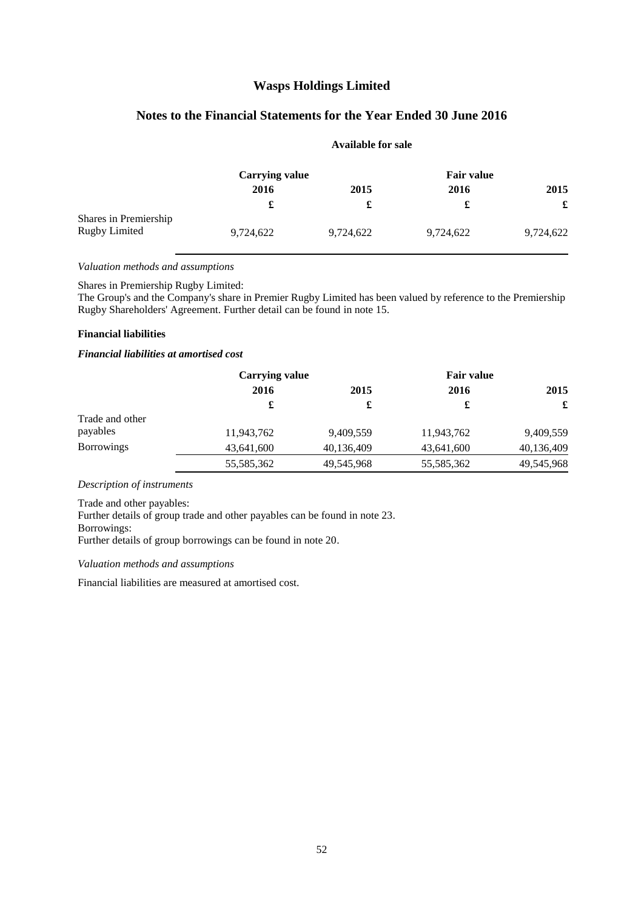|                                               | <b>Available for sale</b> |           |                   |           |  |
|-----------------------------------------------|---------------------------|-----------|-------------------|-----------|--|
|                                               | <b>Carrying value</b>     |           | <b>Fair value</b> |           |  |
|                                               | 2016                      | 2015      | 2016              | 2015      |  |
|                                               | £                         | £         | £                 | £         |  |
| Shares in Premiership<br><b>Rugby Limited</b> | 9,724,622                 | 9,724,622 | 9,724,622         | 9,724,622 |  |

### **Notes to the Financial Statements for the Year Ended 30 June 2016**

#### *Valuation methods and assumptions*

Shares in Premiership Rugby Limited:

The Group's and the Company's share in Premier Rugby Limited has been valued by reference to the Premiership Rugby Shareholders' Agreement. Further detail can be found in note 15.

#### **Financial liabilities**

#### *Financial liabilities at amortised cost*

|                   | Carrying value |            | <b>Fair value</b> |            |
|-------------------|----------------|------------|-------------------|------------|
|                   | 2016           | 2015       | 2016              | 2015       |
|                   | £              | £          | £                 | £          |
| Trade and other   |                |            |                   |            |
| payables          | 11,943,762     | 9,409,559  | 11,943,762        | 9,409,559  |
| <b>Borrowings</b> | 43,641,600     | 40,136,409 | 43,641,600        | 40,136,409 |
|                   | 55,585,362     | 49,545,968 | 55,585,362        | 49,545,968 |
|                   |                |            |                   |            |

#### *Description of instruments*

Trade and other payables:

Further details of group trade and other payables can be found in note 23. Borrowings:

Further details of group borrowings can be found in note 20.

#### *Valuation methods and assumptions*

Financial liabilities are measured at amortised cost.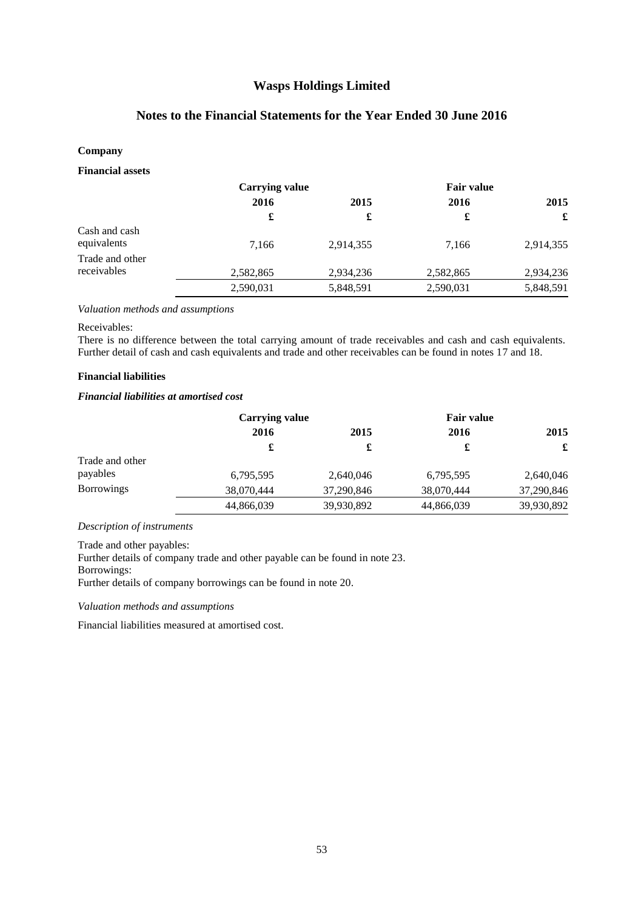**Notes to the Financial Statements for the Year Ended 30 June 2016**

# **Company**

### **Financial assets**

|                                | <b>Carrying value</b> |           | <b>Fair value</b> |           |
|--------------------------------|-----------------------|-----------|-------------------|-----------|
|                                | 2016                  | 2015      | 2016              | 2015      |
|                                | £                     | £         | £                 | £         |
| Cash and cash<br>equivalents   | 7.166                 | 2,914,355 | 7.166             | 2,914,355 |
| Trade and other<br>receivables | 2,582,865             | 2,934,236 | 2,582,865         | 2,934,236 |
|                                | 2,590,031             | 5,848,591 | 2,590,031         | 5,848,591 |

#### *Valuation methods and assumptions*

#### Receivables:

There is no difference between the total carrying amount of trade receivables and cash and cash equivalents. Further detail of cash and cash equivalents and trade and other receivables can be found in notes 17 and 18.

#### **Financial liabilities**

#### *Financial liabilities at amortised cost*

|                   | <b>Carrying value</b> |            | <b>Fair value</b> |            |
|-------------------|-----------------------|------------|-------------------|------------|
|                   | 2016                  | 2015       | 2016              | 2015       |
|                   | £                     | £          | £                 | £          |
| Trade and other   |                       |            |                   |            |
| payables          | 6,795,595             | 2,640,046  | 6,795,595         | 2,640,046  |
| <b>Borrowings</b> | 38,070,444            | 37,290,846 | 38,070,444        | 37,290,846 |
|                   | 44,866,039            | 39,930,892 | 44,866,039        | 39,930,892 |

#### *Description of instruments*

Trade and other payables: Further details of company trade and other payable can be found in note 23. Borrowings: Further details of company borrowings can be found in note 20.

#### *Valuation methods and assumptions*

Financial liabilities measured at amortised cost.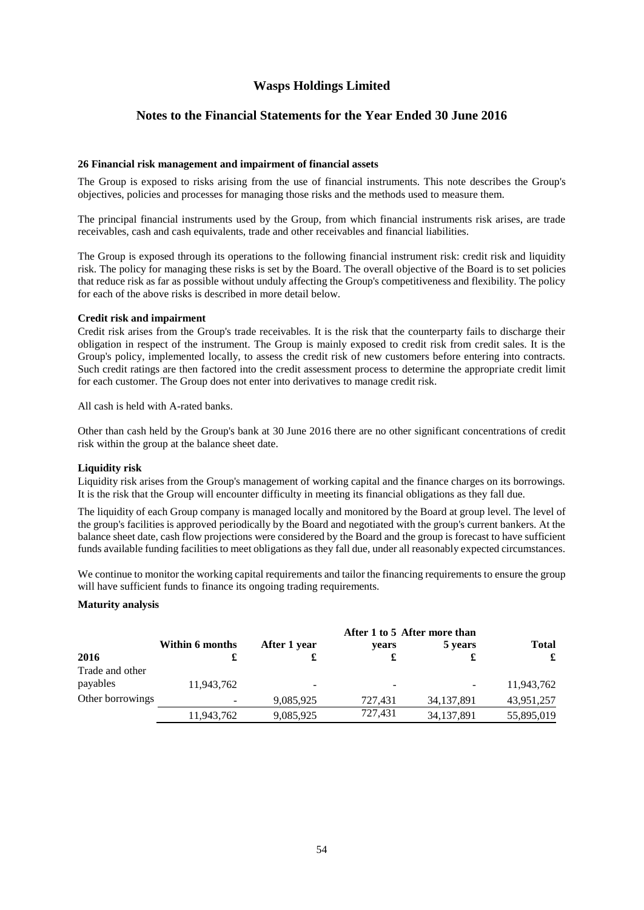### **Notes to the Financial Statements for the Year Ended 30 June 2016**

#### **26 Financial risk management and impairment of financial assets**

The Group is exposed to risks arising from the use of financial instruments. This note describes the Group's objectives, policies and processes for managing those risks and the methods used to measure them.

The principal financial instruments used by the Group, from which financial instruments risk arises, are trade receivables, cash and cash equivalents, trade and other receivables and financial liabilities.

The Group is exposed through its operations to the following financial instrument risk: credit risk and liquidity risk. The policy for managing these risks is set by the Board. The overall objective of the Board is to set policies that reduce risk as far as possible without unduly affecting the Group's competitiveness and flexibility. The policy for each of the above risks is described in more detail below.

#### **Credit risk and impairment**

Credit risk arises from the Group's trade receivables. It is the risk that the counterparty fails to discharge their obligation in respect of the instrument. The Group is mainly exposed to credit risk from credit sales. It is the Group's policy, implemented locally, to assess the credit risk of new customers before entering into contracts. Such credit ratings are then factored into the credit assessment process to determine the appropriate credit limit for each customer. The Group does not enter into derivatives to manage credit risk.

All cash is held with A-rated banks.

Other than cash held by the Group's bank at 30 June 2016 there are no other significant concentrations of credit risk within the group at the balance sheet date.

#### **Liquidity risk**

Liquidity risk arises from the Group's management of working capital and the finance charges on its borrowings. It is the risk that the Group will encounter difficulty in meeting its financial obligations as they fall due.

The liquidity of each Group company is managed locally and monitored by the Board at group level. The level of the group's facilities is approved periodically by the Board and negotiated with the group's current bankers. At the balance sheet date, cash flow projections were considered by the Board and the group is forecast to have sufficient funds available funding facilities to meet obligations as they fall due, under all reasonably expected circumstances.

We continue to monitor the working capital requirements and tailor the financing requirements to ensure the group will have sufficient funds to finance its ongoing trading requirements.

#### **Maturity analysis**

|                  | After 1 to 5 After more than |              |         |              |            |  |
|------------------|------------------------------|--------------|---------|--------------|------------|--|
|                  | Within 6 months              | After 1 year | vears   | 5 years      | Total      |  |
| 2016             |                              |              |         |              | £          |  |
| Trade and other  |                              |              |         |              |            |  |
| payables         | 11,943,762                   | -            | -       | -            | 11,943,762 |  |
| Other borrowings | $\overline{\phantom{a}}$     | 9,085,925    | 727.431 | 34, 137, 891 | 43,951,257 |  |
|                  | 11,943,762                   | 9,085,925    | 727,431 | 34, 137, 891 | 55,895,019 |  |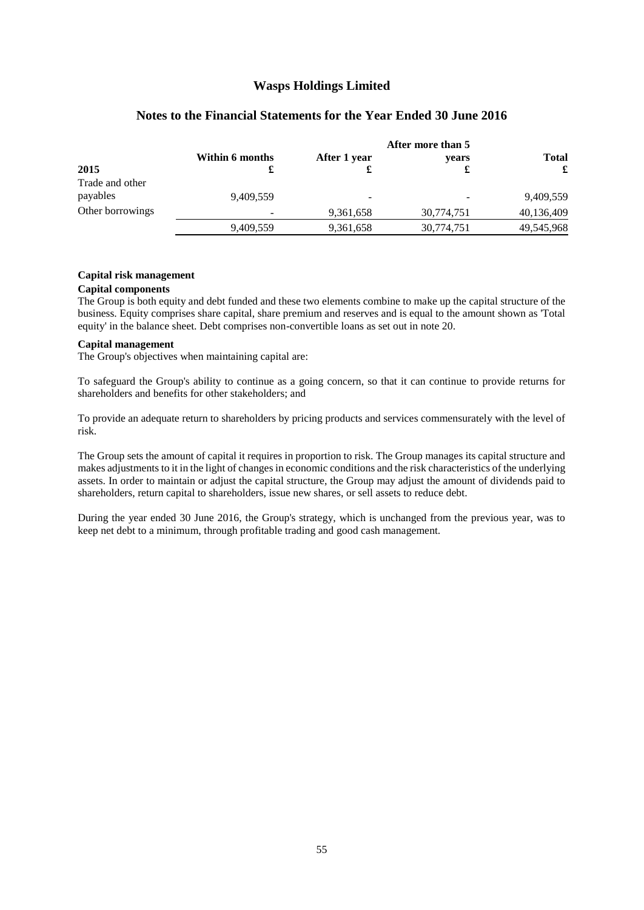|                             |                 | After more than 5        |            |                   |
|-----------------------------|-----------------|--------------------------|------------|-------------------|
| 2015                        | Within 6 months | After 1 year             | years      | <b>Total</b><br>£ |
| Trade and other<br>payables | 9,409,559       | $\overline{\phantom{a}}$ |            | 9,409,559         |
| Other borrowings            | -               | 9,361,658                | 30,774,751 | 40,136,409        |
|                             | 9,409,559       | 9,361,658                | 30,774,751 | 49,545,968        |

### **Notes to the Financial Statements for the Year Ended 30 June 2016**

#### **Capital risk management**

#### **Capital components**

The Group is both equity and debt funded and these two elements combine to make up the capital structure of the business. Equity comprises share capital, share premium and reserves and is equal to the amount shown as 'Total equity' in the balance sheet. Debt comprises non-convertible loans as set out in note 20.

#### **Capital management**

The Group's objectives when maintaining capital are:

To safeguard the Group's ability to continue as a going concern, so that it can continue to provide returns for shareholders and benefits for other stakeholders; and

To provide an adequate return to shareholders by pricing products and services commensurately with the level of risk.

The Group sets the amount of capital it requires in proportion to risk. The Group manages its capital structure and makes adjustments to it in the light of changes in economic conditions and the risk characteristics of the underlying assets. In order to maintain or adjust the capital structure, the Group may adjust the amount of dividends paid to shareholders, return capital to shareholders, issue new shares, or sell assets to reduce debt.

During the year ended 30 June 2016, the Group's strategy, which is unchanged from the previous year, was to keep net debt to a minimum, through profitable trading and good cash management.